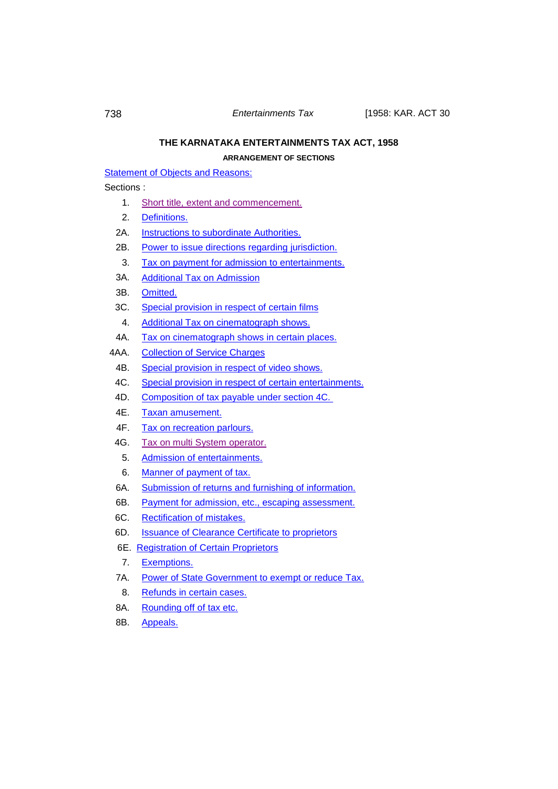# **THE KARNATAKA ENTERTAINMENTS TAX ACT, 1958**

**ARRANGEMENT OF SECTIONS**

[Statement of Objects and Reasons:](#page-1-0)

# Sections :

- 1. [Short title, extent and commencement.](#page-26-0)
- 2. [Definitions.](#page-27-0)
- 2A. **[Instructions to subordinate Authorities.](#page-31-0)**
- 2B. Power to issue [directions regarding jurisdiction.](#page-32-0)
- 3. [Tax on payment for admission to entertainments.](#page-32-1)
- 3A. [Additional Tax on Admission](#page-34-0)
- 3B. [Omitted.](#page-34-1)
- 3C. [Special provision in respect of certain films](#page-35-0)
- 4. [Additional Tax on cinematograph shows.](#page-37-0)
- 4A. [Tax on cinematograph shows in certain places.](#page-39-0)
- 4AA. [Collection of Service Charges](#page-41-0)
	- 4B. [Special provision in respect of video shows.](#page-41-1)
- 4C. [Special provision in respect of certain entertainments.](#page-42-0)
- 4D. [Composition of tax payable under section 4C.](#page-43-0)
- 4E. [Taxan amusement.](#page-44-0)
- 4F. [Tax on recreation parlours.](#page-44-1)
- 4G. [Tax on multi System operator.](#page-44-2)
	- 5. [Admission of entertainments.](#page-45-0)
	- 6. [Manner of payment of tax.](#page-45-1)
- 6A. [Submission of returns and furnishing of information.](#page-46-0)
- 6B. [Payment for admission, etc.,](#page-50-0) escaping assessment.
- 6C. [Rectification of mistakes.](#page-51-0)
- 6D. [Issuance of Clearance Certificate to proprietors](#page-52-0)
- 6E. [Registration of Certain Proprietors](#page-52-1)
- 7. [Exemptions.](#page-53-0)
- 7A. [Power of State Government to exempt or reduce Tax.](#page-54-0)
- 8. [Refunds in certain](#page-54-1) cases.
- 8A. [Rounding off of tax etc.](#page-55-0)
- 8B. [Appeals.](#page-55-1)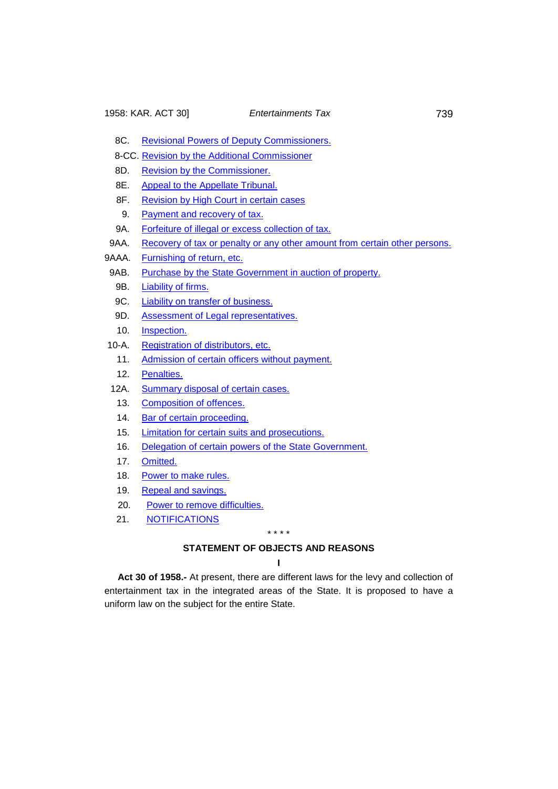- 8C. [Revisional Powers of Deputy Commissioners.](#page-57-0)
- 8-CC. [Revision by the Additional Commissioner](#page-57-1)
- 8D. [Revision by the Commissioner.](#page-58-0)
- 8E. [Appeal to the Appellate Tribunal.](#page-59-0)
- 8F. [Revision by High Court in certain cases](#page-62-0)
- 9. [Payment and recovery of tax.](#page-64-0)
- 9A. [Forfeiture of illegal or excess collection of tax.](#page-65-0)
- 9AA. [Recovery of tax or penalty or any other amount from certain other persons.](#page-66-0)

9AAA. [Furnishing of return, etc.](#page-67-0)

- 9AB. [Purchase by the State Government in auction of property.](#page-67-1)
	- 9B. [Liability of firms.](#page-68-0)
	- 9C. [Liability on transfer of business.](#page-68-1)
	- 9D. [Assessment of Legal representatives.](#page-68-2)
	- 10. [Inspection.](#page-69-0)
- 10-A. Registration of distributors, etc.
	- 11. [Admission of certain officers without payment.](#page-71-0)
	- 12. [Penalties.](#page-71-1)
- 12A. [Summary disposal of certain cases.](#page-72-0)
- 13. [Composition of offences.](#page-72-1)
- 14. [Bar of certain proceeding.](#page-72-2)
- 15. [Limitation for certain suits and prosecutions.](#page-73-0)
- 16. [Delegation of certain powers of the State Government.](#page-73-1)
- 17. [Omitted.](#page-73-2)
- 18. [Power to make rules.](#page-73-3)
- 19. [Repeal and savings.](#page-75-0)
- 20. [Power to remove difficulties.](#page-76-0)
- <span id="page-1-0"></span>21. [NOTIFICATIONS](#page-77-0)

#### \* \* \* \*

# **STATEMENT OF OBJECTS AND REASONS**

#### **I**

**Act 30 of 1958.-** At present, there are different laws for the levy and collection of entertainment tax in the integrated areas of the State. It is proposed to have a uniform law on the subject for the entire State.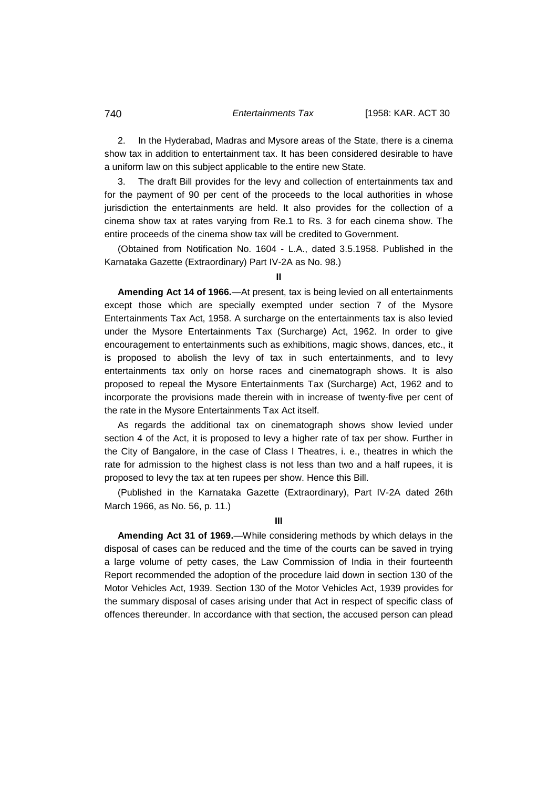2. In the Hyderabad, Madras and Mysore areas of the State, there is a cinema show tax in addition to entertainment tax. It has been considered desirable to have a uniform law on this subject applicable to the entire new State.

The draft Bill provides for the levy and collection of entertainments tax and for the payment of 90 per cent of the proceeds to the local authorities in whose jurisdiction the entertainments are held. It also provides for the collection of a cinema show tax at rates varying from Re.1 to Rs. 3 for each cinema show. The entire proceeds of the cinema show tax will be credited to Government.

(Obtained from Notification No. 1604 - L.A., dated 3.5.1958. Published in the Karnataka Gazette (Extraordinary) Part IV-2A as No. 98.)

**II**

**Amending Act 14 of 1966.**—At present, tax is being levied on all entertainments except those which are specially exempted under section 7 of the Mysore Entertainments Tax Act, 1958. A surcharge on the entertainments tax is also levied under the Mysore Entertainments Tax (Surcharge) Act, 1962. In order to give encouragement to entertainments such as exhibitions, magic shows, dances, etc., it is proposed to abolish the levy of tax in such entertainments, and to levy entertainments tax only on horse races and cinematograph shows. It is also proposed to repeal the Mysore Entertainments Tax (Surcharge) Act, 1962 and to incorporate the provisions made therein with in increase of twenty-five per cent of the rate in the Mysore Entertainments Tax Act itself.

As regards the additional tax on cinematograph shows show levied under section 4 of the Act, it is proposed to levy a higher rate of tax per show. Further in the City of Bangalore, in the case of Class I Theatres, i. e., theatres in which the rate for admission to the highest class is not less than two and a half rupees, it is proposed to levy the tax at ten rupees per show. Hence this Bill.

(Published in the Karnataka Gazette (Extraordinary), Part IV-2A dated 26th March 1966, as No. 56, p. 11.)

**III**

**Amending Act 31 of 1969.**—While considering methods by which delays in the disposal of cases can be reduced and the time of the courts can be saved in trying a large volume of petty cases, the Law Commission of India in their fourteenth Report recommended the adoption of the procedure laid down in section 130 of the Motor Vehicles Act, 1939. Section 130 of the Motor Vehicles Act, 1939 provides for the summary disposal of cases arising under that Act in respect of specific class of offences thereunder. In accordance with that section, the accused person can plead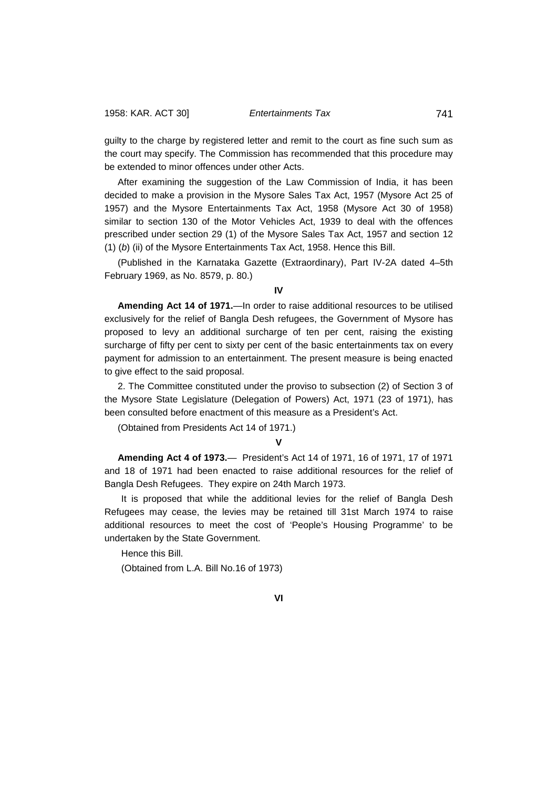guilty to the charge by registered letter and remit to the court as fine such sum as the court may specify. The Commission has recommended that this procedure may be extended to minor offences under other Acts.

After examining the suggestion of the Law Commission of India, it has been decided to make a provision in the Mysore Sales Tax Act, 1957 (Mysore Act 25 of 1957) and the Mysore Entertainments Tax Act, 1958 (Mysore Act 30 of 1958) similar to section 130 of the Motor Vehicles Act, 1939 to deal with the offences prescribed under section 29 (1) of the Mysore Sales Tax Act, 1957 and section 12 (1) (*b*) (ii) of the Mysore Entertainments Tax Act, 1958. Hence this Bill.

(Published in the Karnataka Gazette (Extraordinary), Part IV-2A dated 4–5th February 1969, as No. 8579, p. 80.)

**IV**

**Amending Act 14 of 1971.**—In order to raise additional resources to be utilised exclusively for the relief of Bangla Desh refugees, the Government of Mysore has proposed to levy an additional surcharge of ten per cent, raising the existing surcharge of fifty per cent to sixty per cent of the basic entertainments tax on every payment for admission to an entertainment. The present measure is being enacted to give effect to the said proposal.

2. The Committee constituted under the proviso to subsection (2) of Section 3 of the Mysore State Legislature (Delegation of Powers) Act, 1971 (23 of 1971), has been consulted before enactment of this measure as a President's Act.

(Obtained from Presidents Act 14 of 1971.)

**V**

**Amending Act 4 of 1973.**— President's Act 14 of 1971, 16 of 1971, 17 of 1971 and 18 of 1971 had been enacted to raise additional resources for the relief of Bangla Desh Refugees. They expire on 24th March 1973.

It is proposed that while the additional levies for the relief of Bangla Desh Refugees may cease, the levies may be retained till 31st March 1974 to raise additional resources to meet the cost of 'People's Housing Programme' to be undertaken by the State Government.

Hence this Bill.

(Obtained from L.A. Bill No.16 of 1973)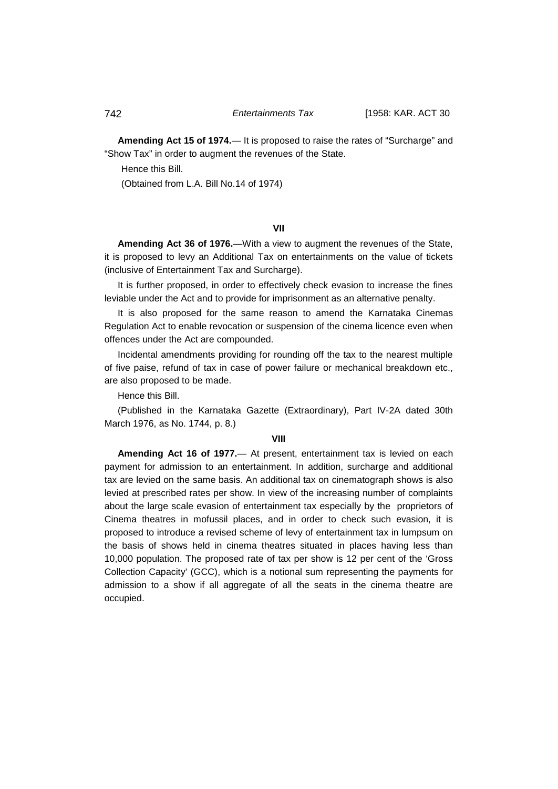**Amending Act 15 of 1974.**— It is proposed to raise the rates of "Surcharge" and "Show Tax" in order to augment the revenues of the State.

Hence this Bill.

(Obtained from L.A. Bill No.14 of 1974)

# **VII**

**Amending Act 36 of 1976.**—With a view to augment the revenues of the State, it is proposed to levy an Additional Tax on entertainments on the value of tickets (inclusive of Entertainment Tax and Surcharge).

It is further proposed, in order to effectively check evasion to increase the fines leviable under the Act and to provide for imprisonment as an alternative penalty.

It is also proposed for the same reason to amend the Karnataka Cinemas Regulation Act to enable revocation or suspension of the cinema licence even when offences under the Act are compounded.

Incidental amendments providing for rounding off the tax to the nearest multiple of five paise, refund of tax in case of power failure or mechanical breakdown etc., are also proposed to be made.

Hence this Bill.

(Published in the Karnataka Gazette (Extraordinary), Part IV-2A dated 30th March 1976, as No. 1744, p. 8.)

### **VIII**

**Amending Act 16 of 1977.**— At present, entertainment tax is levied on each payment for admission to an entertainment. In addition, surcharge and additional tax are levied on the same basis. An additional tax on cinematograph shows is also levied at prescribed rates per show. In view of the increasing number of complaints about the large scale evasion of entertainment tax especially by the proprietors of Cinema theatres in mofussil places, and in order to check such evasion, it is proposed to introduce a revised scheme of levy of entertainment tax in lumpsum on the basis of shows held in cinema theatres situated in places having less than 10,000 population. The proposed rate of tax per show is 12 per cent of the 'Gross Collection Capacity' (GCC), which is a notional sum representing the payments for admission to a show if all aggregate of all the seats in the cinema theatre are occupied.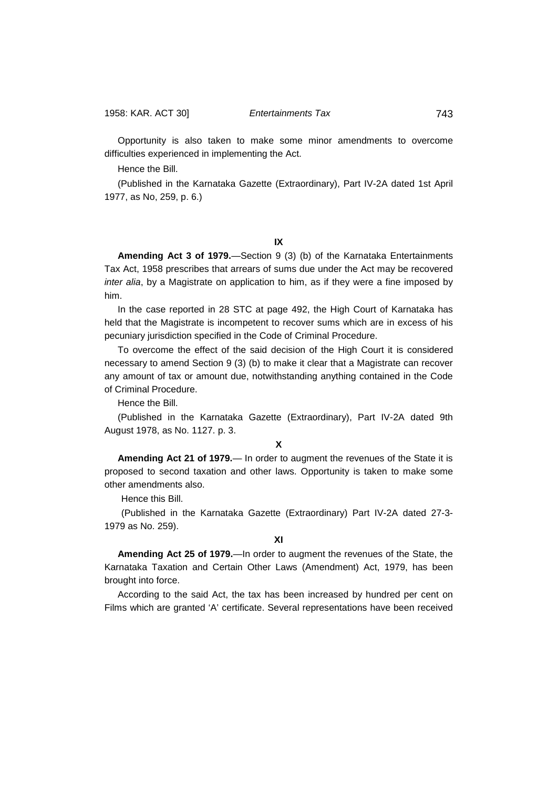Opportunity is also taken to make some minor amendments to overcome difficulties experienced in implementing the Act.

Hence the Bill.

(Published in the Karnataka Gazette (Extraordinary), Part IV-2A dated 1st April 1977, as No, 259, p. 6.)

**IX**

**Amending Act 3 of 1979.**—Section 9 (3) (b) of the Karnataka Entertainments Tax Act, 1958 prescribes that arrears of sums due under the Act may be recovered *inter alia*, by a Magistrate on application to him, as if they were a fine imposed by him.

In the case reported in 28 STC at page 492, the High Court of Karnataka has held that the Magistrate is incompetent to recover sums which are in excess of his pecuniary jurisdiction specified in the Code of Criminal Procedure.

To overcome the effect of the said decision of the High Court it is considered necessary to amend Section 9 (3) (b) to make it clear that a Magistrate can recover any amount of tax or amount due, notwithstanding anything contained in the Code of Criminal Procedure.

Hence the Bill.

(Published in the Karnataka Gazette (Extraordinary), Part IV-2A dated 9th August 1978, as No. 1127. p. 3.

# **X**

**Amending Act 21 of 1979.**— In order to augment the revenues of the State it is proposed to second taxation and other laws. Opportunity is taken to make some other amendments also.

Hence this Bill.

(Published in the Karnataka Gazette (Extraordinary) Part IV-2A dated 27-3- 1979 as No. 259).

**XI**

**Amending Act 25 of 1979.**—In order to augment the revenues of the State, the Karnataka Taxation and Certain Other Laws (Amendment) Act, 1979, has been brought into force.

According to the said Act, the tax has been increased by hundred per cent on Films which are granted 'A' certificate. Several representations have been received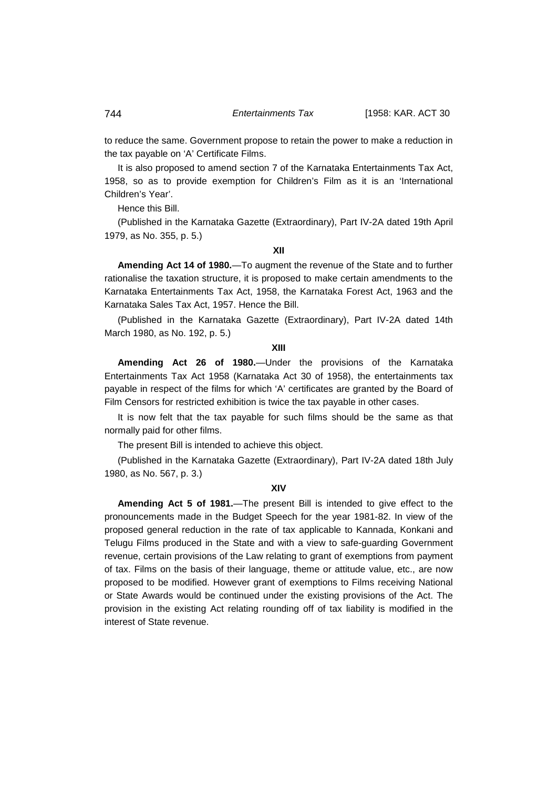to reduce the same. Government propose to retain the power to make a reduction in the tax payable on 'A' Certificate Films.

It is also proposed to amend section 7 of the Karnataka Entertainments Tax Act, 1958, so as to provide exemption for Children's Film as it is an 'International Children's Year'.

Hence this Bill.

(Published in the Karnataka Gazette (Extraordinary), Part IV-2A dated 19th April 1979, as No. 355, p. 5.)

# **XII**

**Amending Act 14 of 1980.**—To augment the revenue of the State and to further rationalise the taxation structure, it is proposed to make certain amendments to the Karnataka Entertainments Tax Act, 1958, the Karnataka Forest Act, 1963 and the Karnataka Sales Tax Act, 1957. Hence the Bill.

(Published in the Karnataka Gazette (Extraordinary), Part IV-2A dated 14th March 1980, as No. 192, p. 5.)

## **XIII**

**Amending Act 26 of 1980.**—Under the provisions of the Karnataka Entertainments Tax Act 1958 (Karnataka Act 30 of 1958), the entertainments tax payable in respect of the films for which 'A' certificates are granted by the Board of Film Censors for restricted exhibition is twice the tax payable in other cases.

It is now felt that the tax payable for such films should be the same as that normally paid for other films.

The present Bill is intended to achieve this object.

(Published in the Karnataka Gazette (Extraordinary), Part IV-2A dated 18th July 1980, as No. 567, p. 3.)

# **XIV**

**Amending Act 5 of 1981.**—The present Bill is intended to give effect to the pronouncements made in the Budget Speech for the year 1981-82. In view of the proposed general reduction in the rate of tax applicable to Kannada, Konkani and Telugu Films produced in the State and with a view to safe-guarding Government revenue, certain provisions of the Law relating to grant of exemptions from payment of tax. Films on the basis of their language, theme or attitude value, etc., are now proposed to be modified. However grant of exemptions to Films receiving National or State Awards would be continued under the existing provisions of the Act. The provision in the existing Act relating rounding off of tax liability is modified in the interest of State revenue.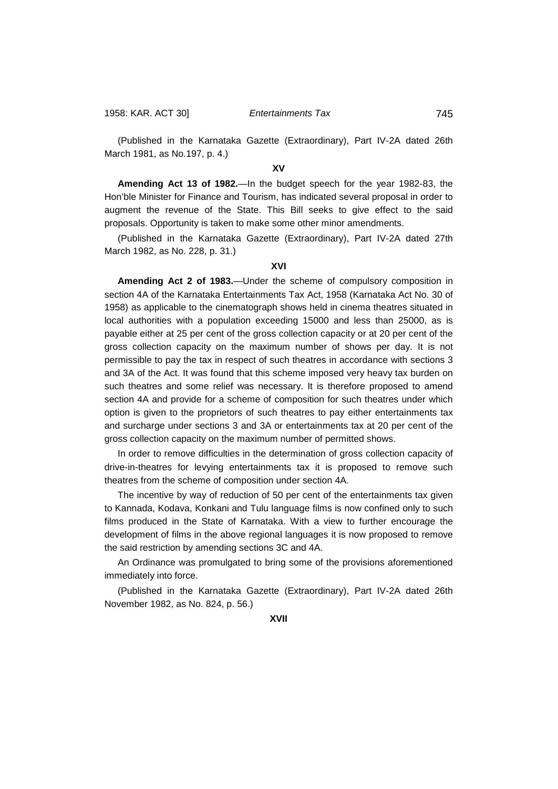(Published in the Karnataka Gazette (Extraordinary), Part IV-2A dated 26th March 1981, as No.197, p. 4.)

# **XV**

**Amending Act 13 of 1982.**—In the budget speech for the year 1982-83, the Hon'ble Minister for Finance and Tourism, has indicated several proposal in order to augment the revenue of the State. This Bill seeks to give effect to the said proposals. Opportunity is taken to make some other minor amendments.

(Published in the Karnataka Gazette (Extraordinary), Part IV-2A dated 27th March 1982, as No. 228, p. 31.)

### **XVI**

**Amending Act 2 of 1983.**—Under the scheme of compulsory composition in section 4A of the Karnataka Entertainments Tax Act, 1958 (Karnataka Act No. 30 of 1958) as applicable to the cinematograph shows held in cinema theatres situated in local authorities with a population exceeding 15000 and less than 25000, as is payable either at 25 per cent of the gross collection capacity or at 20 per cent of the gross collection capacity on the maximum number of shows per day. It is not permissible to pay the tax in respect of such theatres in accordance with sections 3 and 3A of the Act. It was found that this scheme imposed very heavy tax burden on such theatres and some relief was necessary. It is therefore proposed to amend section 4A and provide for a scheme of composition for such theatres under which option is given to the proprietors of such theatres to pay either entertainments tax and surcharge under sections 3 and 3A or entertainments tax at 20 per cent of the gross collection capacity on the maximum number of permitted shows.

In order to remove difficulties in the determination of gross collection capacity of drive-in-theatres for levying entertainments tax it is proposed to remove such theatres from the scheme of composition under section 4A.

The incentive by way of reduction of 50 per cent of the entertainments tax given to Kannada, Kodava, Konkani and Tulu language films is now confined only to such films produced in the State of Karnataka. With a view to further encourage the development of films in the above regional languages it is now proposed to remove the said restriction by amending sections 3C and 4A.

An Ordinance was promulgated to bring some of the provisions aforementioned immediately into force.

(Published in the Karnataka Gazette (Extraordinary), Part IV-2A dated 26th November 1982, as No. 824, p. 56.)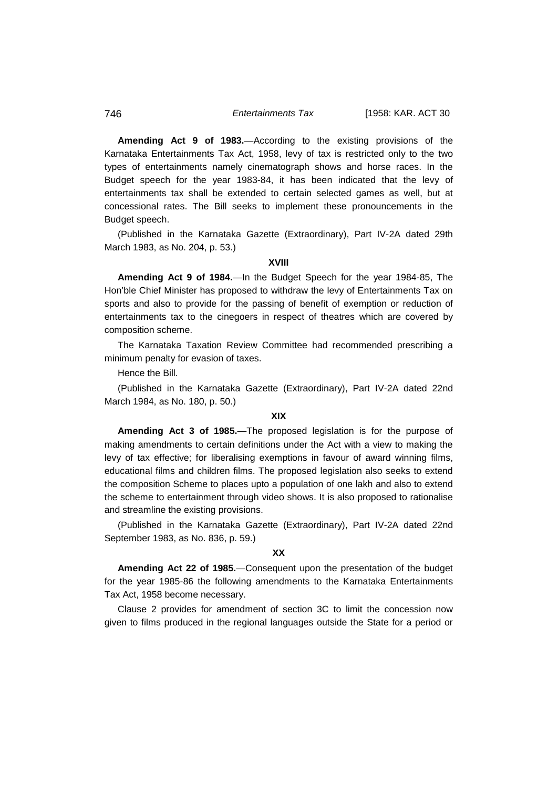**Amending Act 9 of 1983.**—According to the existing provisions of the Karnataka Entertainments Tax Act, 1958, levy of tax is restricted only to the two types of entertainments namely cinematograph shows and horse races. In the Budget speech for the year 1983-84, it has been indicated that the levy of entertainments tax shall be extended to certain selected games as well, but at concessional rates. The Bill seeks to implement these pronouncements in the Budget speech.

(Published in the Karnataka Gazette (Extraordinary), Part IV-2A dated 29th March 1983, as No. 204, p. 53.)

# **XVIII**

**Amending Act 9 of 1984.**—In the Budget Speech for the year 1984-85, The Hon'ble Chief Minister has proposed to withdraw the levy of Entertainments Tax on sports and also to provide for the passing of benefit of exemption or reduction of entertainments tax to the cinegoers in respect of theatres which are covered by composition scheme.

The Karnataka Taxation Review Committee had recommended prescribing a minimum penalty for evasion of taxes.

Hence the Bill.

(Published in the Karnataka Gazette (Extraordinary), Part IV-2A dated 22nd March 1984, as No. 180, p. 50.)

# **XIX**

**Amending Act 3 of 1985.**—The proposed legislation is for the purpose of making amendments to certain definitions under the Act with a view to making the levy of tax effective; for liberalising exemptions in favour of award winning films, educational films and children films. The proposed legislation also seeks to extend the composition Scheme to places upto a population of one lakh and also to extend the scheme to entertainment through video shows. It is also proposed to rationalise and streamline the existing provisions.

(Published in the Karnataka Gazette (Extraordinary), Part IV-2A dated 22nd September 1983, as No. 836, p. 59.)

## **XX**

**Amending Act 22 of 1985.**—Consequent upon the presentation of the budget for the year 1985-86 the following amendments to the Karnataka Entertainments Tax Act, 1958 become necessary.

Clause 2 provides for amendment of section 3C to limit the concession now given to films produced in the regional languages outside the State for a period or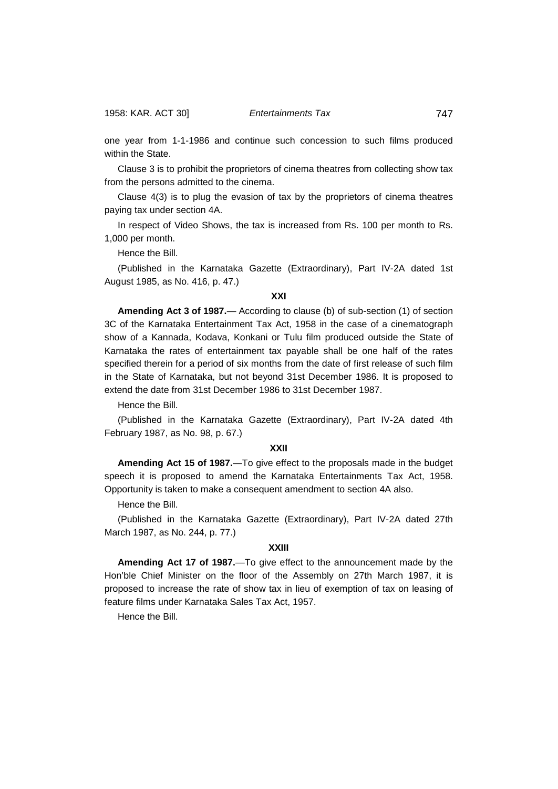one year from 1-1-1986 and continue such concession to such films produced within the State.

Clause 3 is to prohibit the proprietors of cinema theatres from collecting show tax from the persons admitted to the cinema.

Clause 4(3) is to plug the evasion of tax by the proprietors of cinema theatres paying tax under section 4A.

In respect of Video Shows, the tax is increased from Rs. 100 per month to Rs. 1,000 per month.

Hence the Bill.

(Published in the Karnataka Gazette (Extraordinary), Part IV-2A dated 1st August 1985, as No. 416, p. 47.)

# **XXI**

**Amending Act 3 of 1987.**— According to clause (b) of sub-section (1) of section 3C of the Karnataka Entertainment Tax Act, 1958 in the case of a cinematograph show of a Kannada, Kodava, Konkani or Tulu film produced outside the State of Karnataka the rates of entertainment tax payable shall be one half of the rates specified therein for a period of six months from the date of first release of such film in the State of Karnataka, but not beyond 31st December 1986. It is proposed to extend the date from 31st December 1986 to 31st December 1987.

Hence the Bill.

(Published in the Karnataka Gazette (Extraordinary), Part IV-2A dated 4th February 1987, as No. 98, p. 67.)

# **XXII**

**Amending Act 15 of 1987.**—To give effect to the proposals made in the budget speech it is proposed to amend the Karnataka Entertainments Tax Act, 1958. Opportunity is taken to make a consequent amendment to section 4A also.

Hence the Bill.

(Published in the Karnataka Gazette (Extraordinary), Part IV-2A dated 27th March 1987, as No. 244, p. 77.)

# **XXIII**

**Amending Act 17 of 1987.**—To give effect to the announcement made by the Hon'ble Chief Minister on the floor of the Assembly on 27th March 1987, it is proposed to increase the rate of show tax in lieu of exemption of tax on leasing of feature films under Karnataka Sales Tax Act, 1957.

Hence the Bill.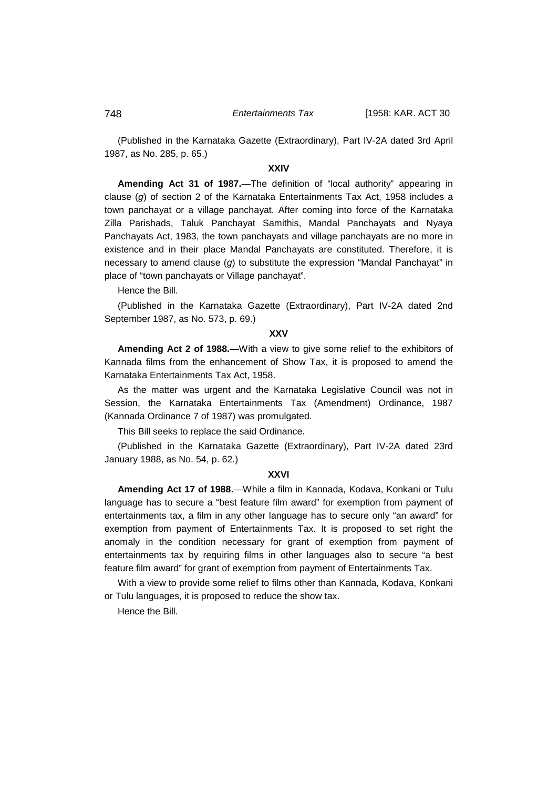(Published in the Karnataka Gazette (Extraordinary), Part IV-2A dated 3rd April 1987, as No. 285, p. 65.)

# **XXIV**

**Amending Act 31 of 1987.**—The definition of "local authority" appearing in clause (*g*) of section 2 of the Karnataka Entertainments Tax Act, 1958 includes a town panchayat or a village panchayat. After coming into force of the Karnataka Zilla Parishads, Taluk Panchayat Samithis, Mandal Panchayats and Nyaya Panchayats Act, 1983, the town panchayats and village panchayats are no more in existence and in their place Mandal Panchayats are constituted. Therefore, it is necessary to amend clause (*g*) to substitute the expression "Mandal Panchayat" in place of "town panchayats or Village panchayat".

Hence the Bill.

(Published in the Karnataka Gazette (Extraordinary), Part IV-2A dated 2nd September 1987, as No. 573, p. 69.)

### **XXV**

**Amending Act 2 of 1988.**—With a view to give some relief to the exhibitors of Kannada films from the enhancement of Show Tax, it is proposed to amend the Karnataka Entertainments Tax Act, 1958.

As the matter was urgent and the Karnataka Legislative Council was not in Session, the Karnataka Entertainments Tax (Amendment) Ordinance, 1987 (Kannada Ordinance 7 of 1987) was promulgated.

This Bill seeks to replace the said Ordinance.

(Published in the Karnataka Gazette (Extraordinary), Part IV-2A dated 23rd January 1988, as No. 54, p. 62.)

#### **XXVI**

**Amending Act 17 of 1988.**—While a film in Kannada, Kodava, Konkani or Tulu language has to secure a "best feature film award" for exemption from payment of entertainments tax, a film in any other language has to secure only "an award" for exemption from payment of Entertainments Tax. It is proposed to set right the anomaly in the condition necessary for grant of exemption from payment of entertainments tax by requiring films in other languages also to secure "a best feature film award" for grant of exemption from payment of Entertainments Tax.

With a view to provide some relief to films other than Kannada, Kodava, Konkani or Tulu languages, it is proposed to reduce the show tax.

Hence the Bill.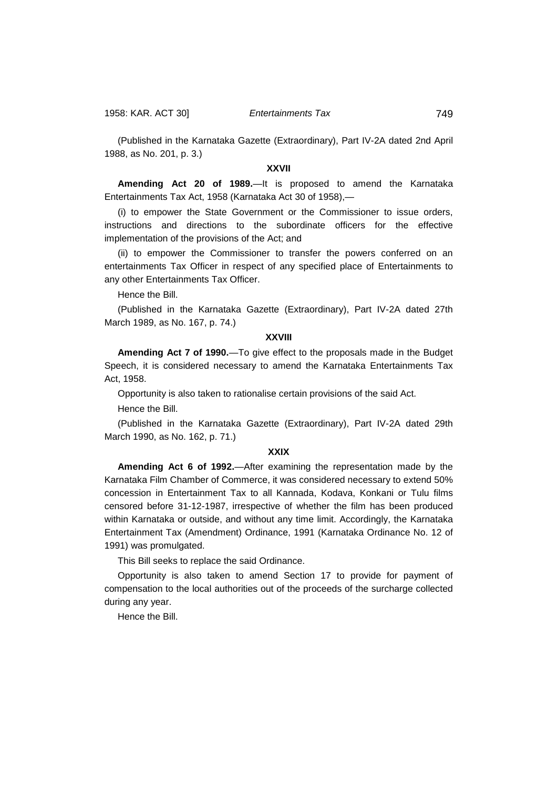(Published in the Karnataka Gazette (Extraordinary), Part IV-2A dated 2nd April 1988, as No. 201, p. 3.)

# **XXVII**

**Amending Act 20 of 1989.**—It is proposed to amend the Karnataka Entertainments Tax Act, 1958 (Karnataka Act 30 of 1958),—

(i) to empower the State Government or the Commissioner to issue orders, instructions and directions to the subordinate officers for the effective implementation of the provisions of the Act; and

(ii) to empower the Commissioner to transfer the powers conferred on an entertainments Tax Officer in respect of any specified place of Entertainments to any other Entertainments Tax Officer.

Hence the Bill.

(Published in the Karnataka Gazette (Extraordinary), Part IV-2A dated 27th March 1989, as No. 167, p. 74.)

# **XXVIII**

**Amending Act 7 of 1990.**—To give effect to the proposals made in the Budget Speech, it is considered necessary to amend the Karnataka Entertainments Tax Act, 1958.

Opportunity is also taken to rationalise certain provisions of the said Act.

Hence the Bill.

(Published in the Karnataka Gazette (Extraordinary), Part IV-2A dated 29th March 1990, as No. 162, p. 71.)

#### **XXIX**

**Amending Act 6 of 1992.**—After examining the representation made by the Karnataka Film Chamber of Commerce, it was considered necessary to extend 50% concession in Entertainment Tax to all Kannada, Kodava, Konkani or Tulu films censored before 31-12-1987, irrespective of whether the film has been produced within Karnataka or outside, and without any time limit. Accordingly, the Karnataka Entertainment Tax (Amendment) Ordinance, 1991 (Karnataka Ordinance No. 12 of 1991) was promulgated.

This Bill seeks to replace the said Ordinance.

Opportunity is also taken to amend Section 17 to provide for payment of compensation to the local authorities out of the proceeds of the surcharge collected during any year.

Hence the Bill.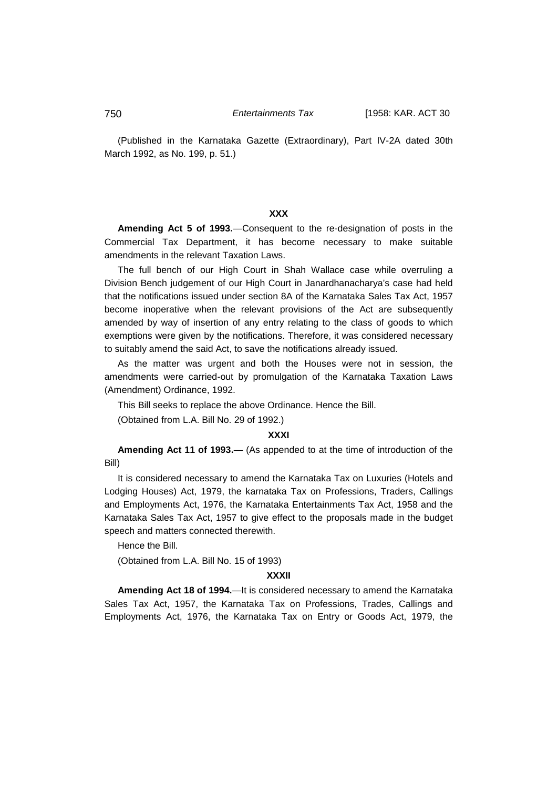(Published in the Karnataka Gazette (Extraordinary), Part IV-2A dated 30th March 1992, as No. 199, p. 51.)

# **XXX**

**Amending Act 5 of 1993.**—Consequent to the re-designation of posts in the Commercial Tax Department, it has become necessary to make suitable amendments in the relevant Taxation Laws.

The full bench of our High Court in Shah Wallace case while overruling a Division Bench judgement of our High Court in Janardhanacharya's case had held that the notifications issued under section 8A of the Karnataka Sales Tax Act, 1957 become inoperative when the relevant provisions of the Act are subsequently amended by way of insertion of any entry relating to the class of goods to which exemptions were given by the notifications. Therefore, it was considered necessary to suitably amend the said Act, to save the notifications already issued.

As the matter was urgent and both the Houses were not in session, the amendments were carried-out by promulgation of the Karnataka Taxation Laws (Amendment) Ordinance, 1992.

This Bill seeks to replace the above Ordinance. Hence the Bill.

(Obtained from L.A. Bill No. 29 of 1992.)

## **XXXI**

**Amending Act 11 of 1993.**— (As appended to at the time of introduction of the Bill)

It is considered necessary to amend the Karnataka Tax on Luxuries (Hotels and Lodging Houses) Act, 1979, the karnataka Tax on Professions, Traders, Callings and Employments Act, 1976, the Karnataka Entertainments Tax Act, 1958 and the Karnataka Sales Tax Act, 1957 to give effect to the proposals made in the budget speech and matters connected therewith.

Hence the Bill.

(Obtained from L.A. Bill No. 15 of 1993)

#### **XXXII**

**Amending Act 18 of 1994.**—It is considered necessary to amend the Karnataka Sales Tax Act, 1957, the Karnataka Tax on Professions, Trades, Callings and Employments Act, 1976, the Karnataka Tax on Entry or Goods Act, 1979, the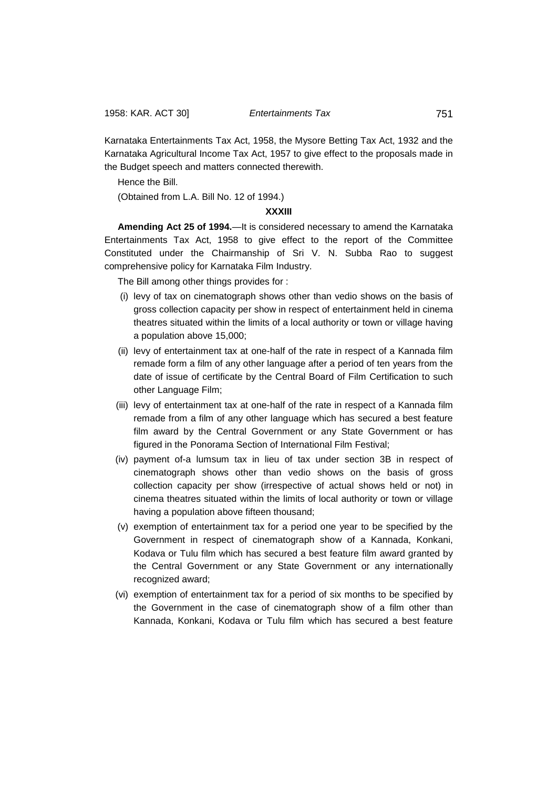Karnataka Entertainments Tax Act, 1958, the Mysore Betting Tax Act, 1932 and the Karnataka Agricultural Income Tax Act, 1957 to give effect to the proposals made in the Budget speech and matters connected therewith.

Hence the Bill.

(Obtained from L.A. Bill No. 12 of 1994.)

# **XXXIII**

**Amending Act 25 of 1994.**—It is considered necessary to amend the Karnataka Entertainments Tax Act, 1958 to give effect to the report of the Committee Constituted under the Chairmanship of Sri V. N. Subba Rao to suggest comprehensive policy for Karnataka Film Industry.

The Bill among other things provides for :

- (i) levy of tax on cinematograph shows other than vedio shows on the basis of gross collection capacity per show in respect of entertainment held in cinema theatres situated within the limits of a local authority or town or village having a population above 15,000;
- (ii) levy of entertainment tax at one-half of the rate in respect of a Kannada film remade form a film of any other language after a period of ten years from the date of issue of certificate by the Central Board of Film Certification to such other Language Film;
- (iii) levy of entertainment tax at one-half of the rate in respect of a Kannada film remade from a film of any other language which has secured a best feature film award by the Central Government or any State Government or has figured in the Ponorama Section of International Film Festival;
- (iv) payment of-a lumsum tax in lieu of tax under section 3B in respect of cinematograph shows other than vedio shows on the basis of gross collection capacity per show (irrespective of actual shows held or not) in cinema theatres situated within the limits of local authority or town or village having a population above fifteen thousand;
- (v) exemption of entertainment tax for a period one year to be specified by the Government in respect of cinematograph show of a Kannada, Konkani, Kodava or Tulu film which has secured a best feature film award granted by the Central Government or any State Government or any internationally recognized award;
- (vi) exemption of entertainment tax for a period of six months to be specified by the Government in the case of cinematograph show of a film other than Kannada, Konkani, Kodava or Tulu film which has secured a best feature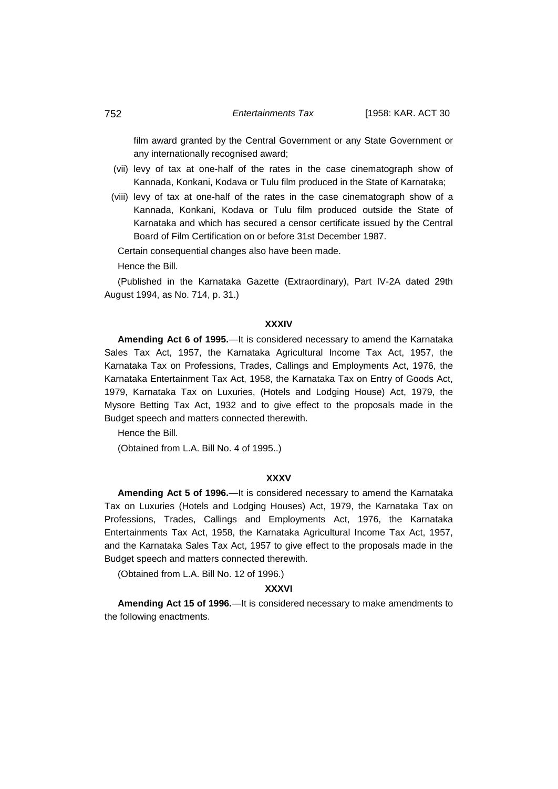film award granted by the Central Government or any State Government or any internationally recognised award;

- (vii) levy of tax at one-half of the rates in the case cinematograph show of Kannada, Konkani, Kodava or Tulu film produced in the State of Karnataka;
- (viii) levy of tax at one-half of the rates in the case cinematograph show of a Kannada, Konkani, Kodava or Tulu film produced outside the State of Karnataka and which has secured a censor certificate issued by the Central Board of Film Certification on or before 31st December 1987.

Certain consequential changes also have been made.

Hence the Bill.

(Published in the Karnataka Gazette (Extraordinary), Part IV-2A dated 29th August 1994, as No. 714, p. 31.)

# **XXXIV**

**Amending Act 6 of 1995.**—It is considered necessary to amend the Karnataka Sales Tax Act, 1957, the Karnataka Agricultural Income Tax Act, 1957, the Karnataka Tax on Professions, Trades, Callings and Employments Act, 1976, the Karnataka Entertainment Tax Act, 1958, the Karnataka Tax on Entry of Goods Act, 1979, Karnataka Tax on Luxuries, (Hotels and Lodging House) Act, 1979, the Mysore Betting Tax Act, 1932 and to give effect to the proposals made in the Budget speech and matters connected therewith.

Hence the Bill.

(Obtained from L.A. Bill No. 4 of 1995..)

# **XXXV**

**Amending Act 5 of 1996.**—It is considered necessary to amend the Karnataka Tax on Luxuries (Hotels and Lodging Houses) Act, 1979, the Karnataka Tax on Professions, Trades, Callings and Employments Act, 1976, the Karnataka Entertainments Tax Act, 1958, the Karnataka Agricultural Income Tax Act, 1957, and the Karnataka Sales Tax Act, 1957 to give effect to the proposals made in the Budget speech and matters connected therewith.

(Obtained from L.A. Bill No. 12 of 1996.)

# **XXXVI**

**Amending Act 15 of 1996.**—It is considered necessary to make amendments to the following enactments.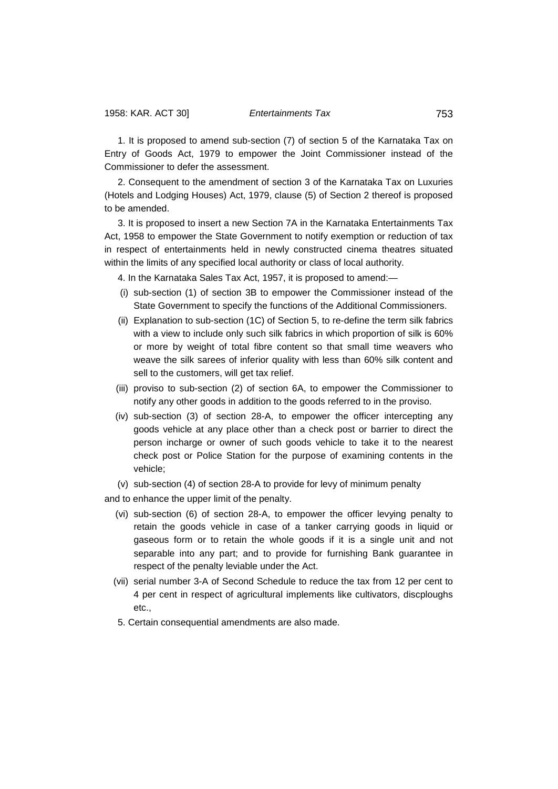1. It is proposed to amend sub-section (7) of section 5 of the Karnataka Tax on Entry of Goods Act, 1979 to empower the Joint Commissioner instead of the Commissioner to defer the assessment.

2. Consequent to the amendment of section 3 of the Karnataka Tax on Luxuries (Hotels and Lodging Houses) Act, 1979, clause (5) of Section 2 thereof is proposed to be amended.

3. It is proposed to insert a new Section 7A in the Karnataka Entertainments Tax Act, 1958 to empower the State Government to notify exemption or reduction of tax in respect of entertainments held in newly constructed cinema theatres situated within the limits of any specified local authority or class of local authority.

4. In the Karnataka Sales Tax Act, 1957, it is proposed to amend:—

- (i) sub-section (1) of section 3B to empower the Commissioner instead of the State Government to specify the functions of the Additional Commissioners.
- (ii) Explanation to sub-section (1C) of Section 5, to re-define the term silk fabrics with a view to include only such silk fabrics in which proportion of silk is 60% or more by weight of total fibre content so that small time weavers who weave the silk sarees of inferior quality with less than 60% silk content and sell to the customers, will get tax relief.
- (iii) proviso to sub-section (2) of section 6A, to empower the Commissioner to notify any other goods in addition to the goods referred to in the proviso.
- (iv) sub-section (3) of section 28-A, to empower the officer intercepting any goods vehicle at any place other than a check post or barrier to direct the person incharge or owner of such goods vehicle to take it to the nearest check post or Police Station for the purpose of examining contents in the vehicle;
- (v) sub-section (4) of section 28-A to provide for levy of minimum penalty

and to enhance the upper limit of the penalty.

- (vi) sub-section (6) of section 28-A, to empower the officer levying penalty to retain the goods vehicle in case of a tanker carrying goods in liquid or gaseous form or to retain the whole goods if it is a single unit and not separable into any part; and to provide for furnishing Bank guarantee in respect of the penalty leviable under the Act.
- (vii) serial number 3-A of Second Schedule to reduce the tax from 12 per cent to 4 per cent in respect of agricultural implements like cultivators, discploughs etc.,
- 5. Certain consequential amendments are also made.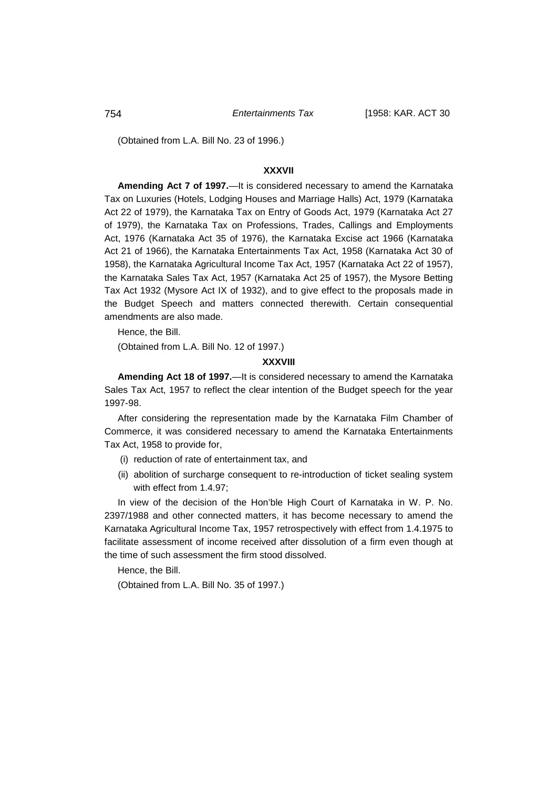(Obtained from L.A. Bill No. 23 of 1996.)

# **XXXVII**

**Amending Act 7 of 1997.**—It is considered necessary to amend the Karnataka Tax on Luxuries (Hotels, Lodging Houses and Marriage Halls) Act, 1979 (Karnataka Act 22 of 1979), the Karnataka Tax on Entry of Goods Act, 1979 (Karnataka Act 27 of 1979), the Karnataka Tax on Professions, Trades, Callings and Employments Act, 1976 (Karnataka Act 35 of 1976), the Karnataka Excise act 1966 (Karnataka Act 21 of 1966), the Karnataka Entertainments Tax Act, 1958 (Karnataka Act 30 of 1958), the Karnataka Agricultural Income Tax Act, 1957 (Karnataka Act 22 of 1957), the Karnataka Sales Tax Act, 1957 (Karnataka Act 25 of 1957), the Mysore Betting Tax Act 1932 (Mysore Act IX of 1932), and to give effect to the proposals made in the Budget Speech and matters connected therewith. Certain consequential amendments are also made.

Hence, the Bill.

(Obtained from L.A. Bill No. 12 of 1997.)

### **XXXVIII**

**Amending Act 18 of 1997.**—It is considered necessary to amend the Karnataka Sales Tax Act, 1957 to reflect the clear intention of the Budget speech for the year 1997-98.

After considering the representation made by the Karnataka Film Chamber of Commerce, it was considered necessary to amend the Karnataka Entertainments Tax Act, 1958 to provide for,

- (i) reduction of rate of entertainment tax, and
- (ii) abolition of surcharge consequent to re-introduction of ticket sealing system with effect from 1.4.97;

In view of the decision of the Hon'ble High Court of Karnataka in W. P. No. 2397/1988 and other connected matters, it has become necessary to amend the Karnataka Agricultural Income Tax, 1957 retrospectively with effect from 1.4.1975 to facilitate assessment of income received after dissolution of a firm even though at the time of such assessment the firm stood dissolved.

Hence, the Bill.

(Obtained from L.A. Bill No. 35 of 1997.)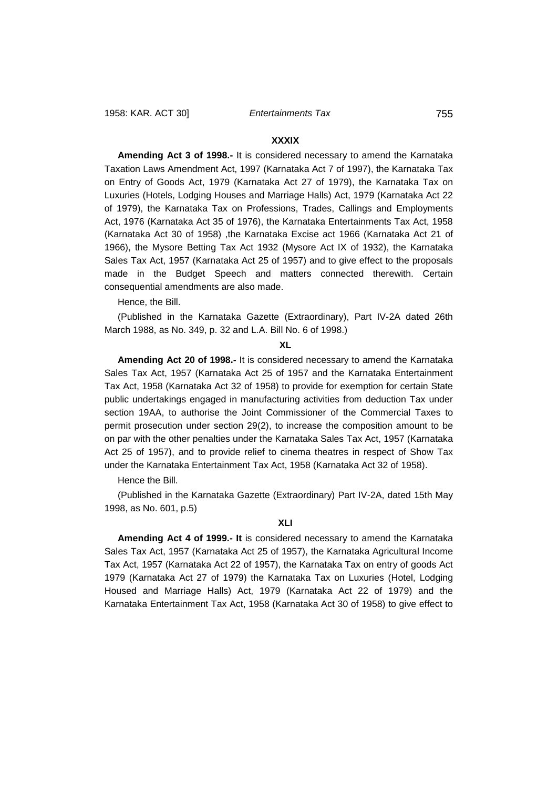# **XXXIX**

**Amending Act 3 of 1998.-** It is considered necessary to amend the Karnataka Taxation Laws Amendment Act, 1997 (Karnataka Act 7 of 1997), the Karnataka Tax on Entry of Goods Act, 1979 (Karnataka Act 27 of 1979), the Karnataka Tax on Luxuries (Hotels, Lodging Houses and Marriage Halls) Act, 1979 (Karnataka Act 22 of 1979), the Karnataka Tax on Professions, Trades, Callings and Employments Act, 1976 (Karnataka Act 35 of 1976), the Karnataka Entertainments Tax Act, 1958 (Karnataka Act 30 of 1958) ,the Karnataka Excise act 1966 (Karnataka Act 21 of 1966), the Mysore Betting Tax Act 1932 (Mysore Act IX of 1932), the Karnataka Sales Tax Act, 1957 (Karnataka Act 25 of 1957) and to give effect to the proposals made in the Budget Speech and matters connected therewith. Certain consequential amendments are also made.

Hence, the Bill.

(Published in the Karnataka Gazette (Extraordinary), Part IV-2A dated 26th March 1988, as No. 349, p. 32 and L.A. Bill No. 6 of 1998.)

### **XL**

**Amending Act 20 of 1998.-** It is considered necessary to amend the Karnataka Sales Tax Act, 1957 (Karnataka Act 25 of 1957 and the Karnataka Entertainment Tax Act, 1958 (Karnataka Act 32 of 1958) to provide for exemption for certain State public undertakings engaged in manufacturing activities from deduction Tax under section 19AA, to authorise the Joint Commissioner of the Commercial Taxes to permit prosecution under section 29(2), to increase the composition amount to be on par with the other penalties under the Karnataka Sales Tax Act, 1957 (Karnataka Act 25 of 1957), and to provide relief to cinema theatres in respect of Show Tax under the Karnataka Entertainment Tax Act, 1958 (Karnataka Act 32 of 1958).

Hence the Bill.

(Published in the Karnataka Gazette (Extraordinary) Part IV-2A, dated 15th May 1998, as No. 601, p.5)

## **XLI**

**Amending Act 4 of 1999.- It** is considered necessary to amend the Karnataka Sales Tax Act, 1957 (Karnataka Act 25 of 1957), the Karnataka Agricultural Income Tax Act, 1957 (Karnataka Act 22 of 1957), the Karnataka Tax on entry of goods Act 1979 (Karnataka Act 27 of 1979) the Karnataka Tax on Luxuries (Hotel, Lodging Housed and Marriage Halls) Act, 1979 (Karnataka Act 22 of 1979) and the Karnataka Entertainment Tax Act, 1958 (Karnataka Act 30 of 1958) to give effect to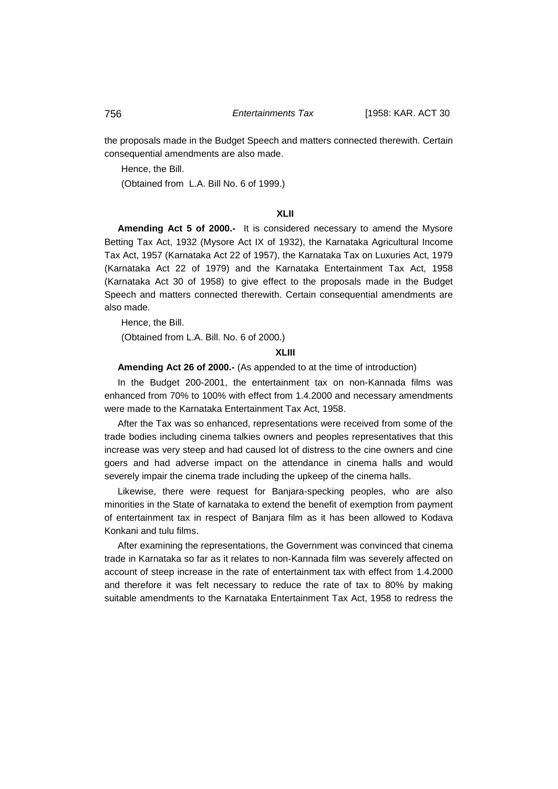the proposals made in the Budget Speech and matters connected therewith. Certain consequential amendments are also made.

Hence, the Bill.

(Obtained from L.A. Bill No. 6 of 1999.)

# **XLII**

**Amending Act 5 of 2000.-** It is considered necessary to amend the Mysore Betting Tax Act, 1932 (Mysore Act IX of 1932), the Karnataka Agricultural Income Tax Act, 1957 (Karnataka Act 22 of 1957), the Karnataka Tax on Luxuries Act, 1979 (Karnataka Act 22 of 1979) and the Karnataka Entertainment Tax Act, 1958 (Karnataka Act 30 of 1958) to give effect to the proposals made in the Budget Speech and matters connected therewith. Certain consequential amendments are also made.

Hence, the Bill.

(Obtained from L.A. Bill. No. 6 of 2000.)

# **XLIII**

**Amending Act 26 of 2000.-** (As appended to at the time of introduction)

In the Budget 200-2001, the entertainment tax on non-Kannada films was enhanced from 70% to 100% with effect from 1.4.2000 and necessary amendments were made to the Karnataka Entertainment Tax Act, 1958.

After the Tax was so enhanced, representations were received from some of the trade bodies including cinema talkies owners and peoples representatives that this increase was very steep and had caused lot of distress to the cine owners and cine goers and had adverse impact on the attendance in cinema halls and would severely impair the cinema trade including the upkeep of the cinema halls.

Likewise, there were request for Banjara-specking peoples, who are also minorities in the State of karnataka to extend the benefit of exemption from payment of entertainment tax in respect of Banjara film as it has been allowed to Kodava Konkani and tulu films.

After examining the representations, the Government was convinced that cinema trade in Karnataka so far as it relates to non-Kannada film was severely affected on account of steep increase in the rate of entertainment tax with effect from 1.4.2000 and therefore it was felt necessary to reduce the rate of tax to 80% by making suitable amendments to the Karnataka Entertainment Tax Act, 1958 to redress the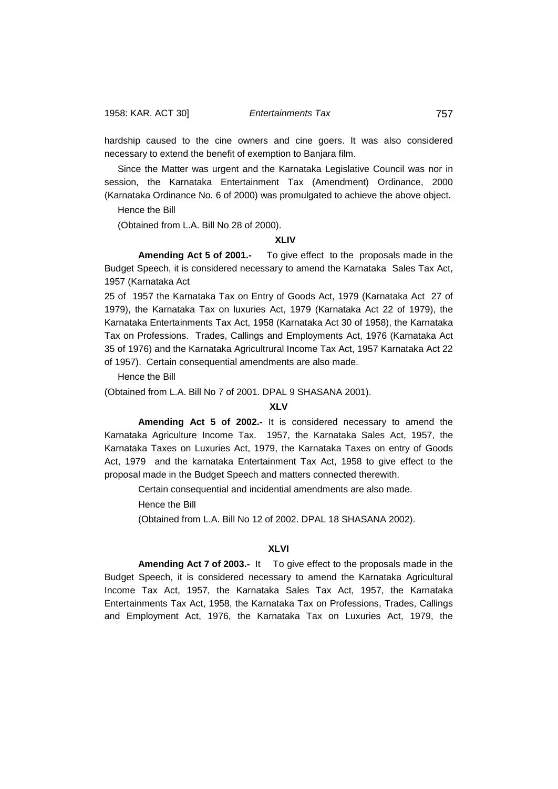hardship caused to the cine owners and cine goers. It was also considered necessary to extend the benefit of exemption to Banjara film.

Since the Matter was urgent and the Karnataka Legislative Council was nor in session, the Karnataka Entertainment Tax (Amendment) Ordinance, 2000 (Karnataka Ordinance No. 6 of 2000) was promulgated to achieve the above object.

Hence the Bill

(Obtained from L.A. Bill No 28 of 2000).

## **XLIV**

**Amending Act 5 of 2001.-** To give effect to the proposals made in the Budget Speech, it is considered necessary to amend the Karnataka Sales Tax Act, 1957 (Karnataka Act

25 of 1957 the Karnataka Tax on Entry of Goods Act, 1979 (Karnataka Act 27 of 1979), the Karnataka Tax on luxuries Act, 1979 (Karnataka Act 22 of 1979), the Karnataka Entertainments Tax Act, 1958 (Karnataka Act 30 of 1958), the Karnataka Tax on Professions. Trades, Callings and Employments Act, 1976 (Karnataka Act 35 of 1976) and the Karnataka Agricultrural Income Tax Act, 1957 Karnataka Act 22 of 1957). Certain consequential amendments are also made.

Hence the Bill

(Obtained from L.A. Bill No 7 of 2001. DPAL 9 SHASANA 2001).

# **XLV**

**Amending Act 5 of 2002.-** It is considered necessary to amend the Karnataka Agriculture Income Tax. 1957, the Karnataka Sales Act, 1957, the Karnataka Taxes on Luxuries Act, 1979, the Karnataka Taxes on entry of Goods Act, 1979 and the karnataka Entertainment Tax Act, 1958 to give effect to the proposal made in the Budget Speech and matters connected therewith.

Certain consequential and incidential amendments are also made.

Hence the Bill

(Obtained from L.A. Bill No 12 of 2002. DPAL 18 SHASANA 2002).

# **XLVI**

**Amending Act 7 of 2003.-** It To give effect to the proposals made in the Budget Speech, it is considered necessary to amend the Karnataka Agricultural Income Tax Act, 1957, the Karnataka Sales Tax Act, 1957, the Karnataka Entertainments Tax Act, 1958, the Karnataka Tax on Professions, Trades, Callings and Employment Act, 1976, the Karnataka Tax on Luxuries Act, 1979, the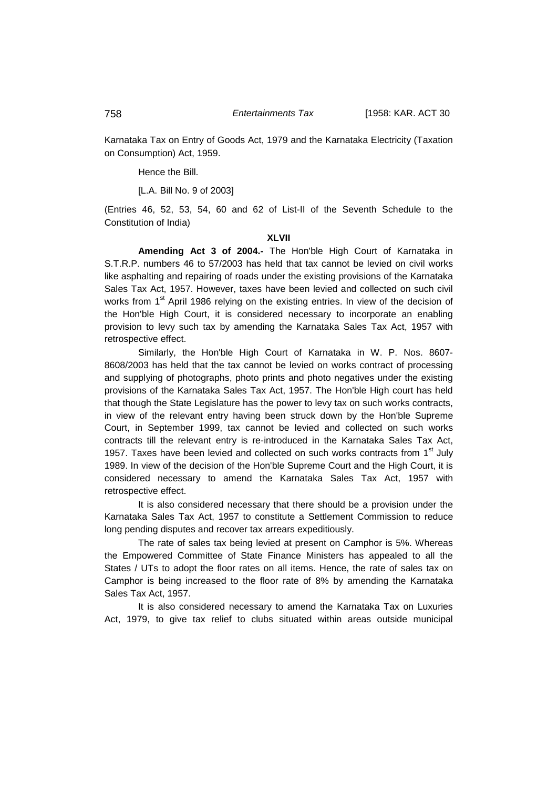Karnataka Tax on Entry of Goods Act, 1979 and the Karnataka Electricity (Taxation on Consumption) Act, 1959.

Hence the Bill.

[L.A. Bill No. 9 of 2003]

(Entries 46, 52, 53, 54, 60 and 62 of List-II of the Seventh Schedule to the Constitution of India)

# **XLVII**

**Amending Act 3 of 2004.-** The Hon'ble High Court of Karnataka in S.T.R.P. numbers 46 to 57/2003 has held that tax cannot be levied on civil works like asphalting and repairing of roads under the existing provisions of the Karnataka Sales Tax Act, 1957. However, taxes have been levied and collected on such civil works from 1<sup>st</sup> April 1986 relying on the existing entries. In view of the decision of the Hon'ble High Court, it is considered necessary to incorporate an enabling provision to levy such tax by amending the Karnataka Sales Tax Act, 1957 with retrospective effect.

Similarly, the Hon'ble High Court of Karnataka in W. P. Nos. 8607- 8608/2003 has held that the tax cannot be levied on works contract of processing and supplying of photographs, photo prints and photo negatives under the existing provisions of the Karnataka Sales Tax Act, 1957. The Hon'ble High court has held that though the State Legislature has the power to levy tax on such works contracts, in view of the relevant entry having been struck down by the Hon'ble Supreme Court, in September 1999, tax cannot be levied and collected on such works contracts till the relevant entry is re-introduced in the Karnataka Sales Tax Act, 1957. Taxes have been levied and collected on such works contracts from  $1<sup>st</sup>$  July 1989. In view of the decision of the Hon'ble Supreme Court and the High Court, it is considered necessary to amend the Karnataka Sales Tax Act, 1957 with retrospective effect.

It is also considered necessary that there should be a provision under the Karnataka Sales Tax Act, 1957 to constitute a Settlement Commission to reduce long pending disputes and recover tax arrears expeditiously.

The rate of sales tax being levied at present on Camphor is 5%. Whereas the Empowered Committee of State Finance Ministers has appealed to all the States / UTs to adopt the floor rates on all items. Hence, the rate of sales tax on Camphor is being increased to the floor rate of 8% by amending the Karnataka Sales Tax Act, 1957.

It is also considered necessary to amend the Karnataka Tax on Luxuries Act, 1979, to give tax relief to clubs situated within areas outside municipal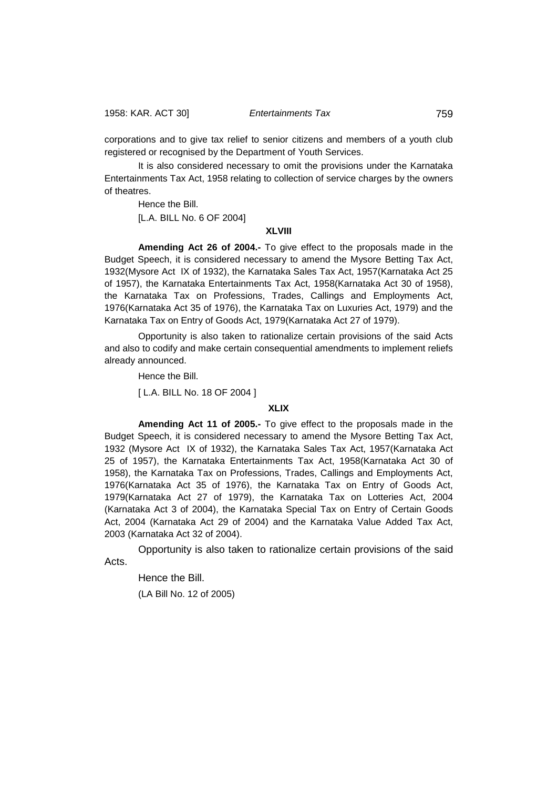1958: KAR. ACT 30] *Entertainments Tax* 759

corporations and to give tax relief to senior citizens and members of a youth club registered or recognised by the Department of Youth Services.

It is also considered necessary to omit the provisions under the Karnataka Entertainments Tax Act, 1958 relating to collection of service charges by the owners of theatres.

Hence the Bill. [L.A. BILL No. 6 OF 2004]

# **XLVIII**

**Amending Act 26 of 2004.-** To give effect to the proposals made in the Budget Speech, it is considered necessary to amend the Mysore Betting Tax Act, 1932(Mysore Act IX of 1932), the Karnataka Sales Tax Act, 1957(Karnataka Act 25 of 1957), the Karnataka Entertainments Tax Act, 1958(Karnataka Act 30 of 1958), the Karnataka Tax on Professions, Trades, Callings and Employments Act, 1976(Karnataka Act 35 of 1976), the Karnataka Tax on Luxuries Act, 1979) and the Karnataka Tax on Entry of Goods Act, 1979(Karnataka Act 27 of 1979).

Opportunity is also taken to rationalize certain provisions of the said Acts and also to codify and make certain consequential amendments to implement reliefs already announced.

Hence the Bill.

[ L.A. BILL No. 18 OF 2004 ]

# **XLIX**

**Amending Act 11 of 2005.-** To give effect to the proposals made in the Budget Speech, it is considered necessary to amend the Mysore Betting Tax Act, 1932 (Mysore Act IX of 1932), the Karnataka Sales Tax Act, 1957(Karnataka Act 25 of 1957), the Karnataka Entertainments Tax Act, 1958(Karnataka Act 30 of 1958), the Karnataka Tax on Professions, Trades, Callings and Employments Act, 1976(Karnataka Act 35 of 1976), the Karnataka Tax on Entry of Goods Act, 1979(Karnataka Act 27 of 1979), the Karnataka Tax on Lotteries Act, 2004 (Karnataka Act 3 of 2004), the Karnataka Special Tax on Entry of Certain Goods Act, 2004 (Karnataka Act 29 of 2004) and the Karnataka Value Added Tax Act, 2003 (Karnataka Act 32 of 2004).

Opportunity is also taken to rationalize certain provisions of the said Acts.

Hence the Bill. (LA Bill No. 12 of 2005)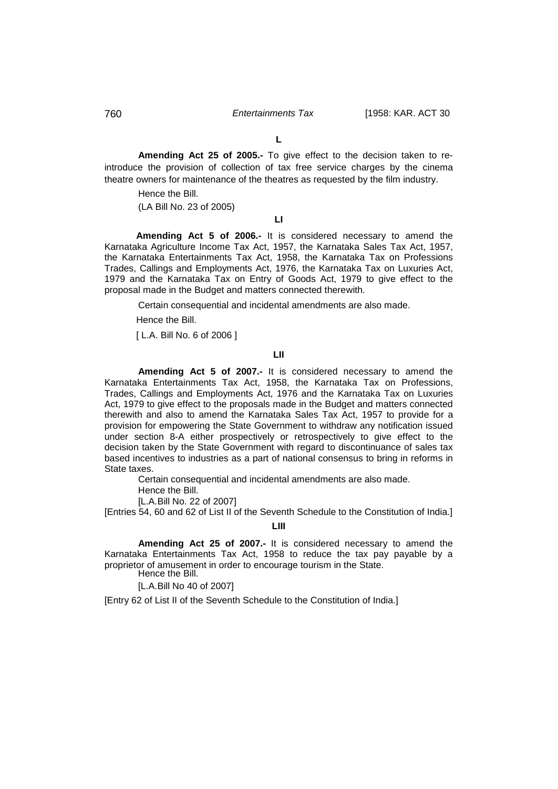# 760 *Entertainments Tax* [1958: KAR. ACT 30

**L**

**Amending Act 25 of 2005.-** To give effect to the decision taken to reintroduce the provision of collection of tax free service charges by the cinema theatre owners for maintenance of the theatres as requested by the film industry.

Hence the Bill.

(LA Bill No. 23 of 2005)

**LI**

**Amending Act 5 of 2006.-** It is considered necessary to amend the Karnataka Agriculture Income Tax Act, 1957, the Karnataka Sales Tax Act, 1957, the Karnataka Entertainments Tax Act, 1958, the Karnataka Tax on Professions Trades, Callings and Employments Act, 1976, the Karnataka Tax on Luxuries Act, 1979 and the Karnataka Tax on Entry of Goods Act, 1979 to give effect to the proposal made in the Budget and matters connected therewith.

Certain consequential and incidental amendments are also made.

Hence the Bill.

[ L.A. Bill No. 6 of 2006 ]

# **LII**

**Amending Act 5 of 2007.-** It is considered necessary to amend the Karnataka Entertainments Tax Act, 1958, the Karnataka Tax on Professions, Trades, Callings and Employments Act, 1976 and the Karnataka Tax on Luxuries Act, 1979 to give effect to the proposals made in the Budget and matters connected therewith and also to amend the Karnataka Sales Tax Act, 1957 to provide for a provision for empowering the State Government to withdraw any notification issued under section 8-A either prospectively or retrospectively to give effect to the decision taken by the State Government with regard to discontinuance of sales tax based incentives to industries as a part of national consensus to bring in reforms in State taxes.

Certain consequential and incidental amendments are also made.

Hence the Bill.

[L.A.Bill No. 22 of 2007]

[Entries 54, 60 and 62 of List II of the Seventh Schedule to the Constitution of India.]

# **LIII**

**Amending Act 25 of 2007.-** It is considered necessary to amend the Karnataka Entertainments Tax Act, 1958 to reduce the tax pay payable by a proprietor of amusement in order to encourage tourism in the State. Hence the Bill.

[L.A.Bill No 40 of 2007]

[Entry 62 of List II of the Seventh Schedule to the Constitution of India.]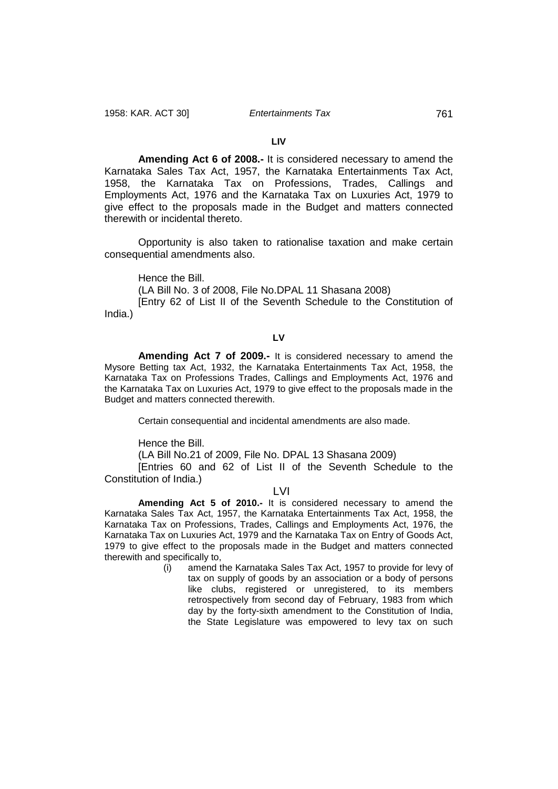## **LIV**

**Amending Act 6 of 2008.-** It is considered necessary to amend the Karnataka Sales Tax Act, 1957, the Karnataka Entertainments Tax Act, 1958, the Karnataka Tax on Professions, Trades, Callings and Employments Act, 1976 and the Karnataka Tax on Luxuries Act, 1979 to give effect to the proposals made in the Budget and matters connected therewith or incidental thereto.

Opportunity is also taken to rationalise taxation and make certain consequential amendments also.

Hence the Bill.

(LA Bill No. 3 of 2008, File No.DPAL 11 Shasana 2008)

[Entry 62 of List II of the Seventh Schedule to the Constitution of India.)

**LV**

**Amending Act 7 of 2009.-** It is considered necessary to amend the Mysore Betting tax Act, 1932, the Karnataka Entertainments Tax Act, 1958, the Karnataka Tax on Professions Trades, Callings and Employments Act, 1976 and the Karnataka Tax on Luxuries Act, 1979 to give effect to the proposals made in the Budget and matters connected therewith.

Certain consequential and incidental amendments are also made.

Hence the Bill.

(LA Bill No.21 of 2009, File No. DPAL 13 Shasana 2009)

[Entries 60 and 62 of List II of the Seventh Schedule to the Constitution of India.)

LVI

**Amending Act 5 of 2010.-** It is considered necessary to amend the Karnataka Sales Tax Act, 1957, the Karnataka Entertainments Tax Act, 1958, the Karnataka Tax on Professions, Trades, Callings and Employments Act, 1976, the Karnataka Tax on Luxuries Act, 1979 and the Karnataka Tax on Entry of Goods Act, 1979 to give effect to the proposals made in the Budget and matters connected therewith and specifically to,

> (i) amend the Karnataka Sales Tax Act, 1957 to provide for levy of tax on supply of goods by an association or a body of persons like clubs, registered or unregistered, to its members retrospectively from second day of February, 1983 from which day by the forty-sixth amendment to the Constitution of India, the State Legislature was empowered to levy tax on such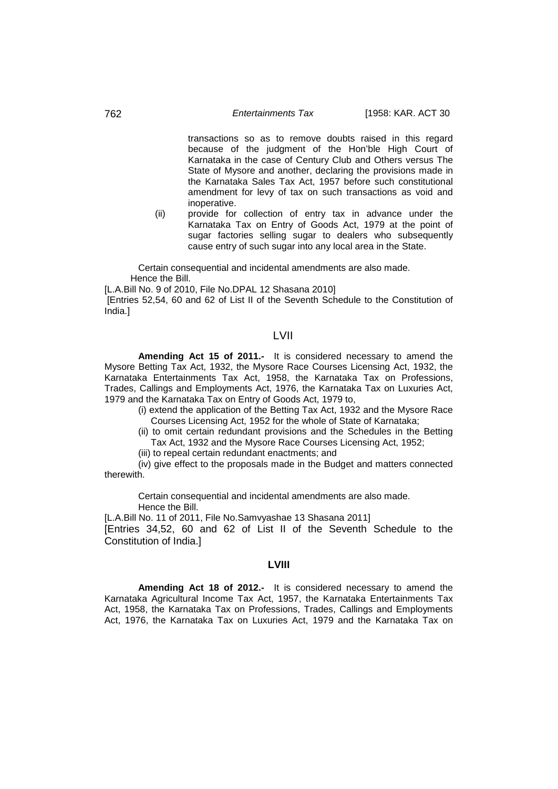## 762 *Entertainments Tax* [1958: KAR. ACT 30

transactions so as to remove doubts raised in this regard because of the judgment of the Hon'ble High Court of Karnataka in the case of Century Club and Others versus The State of Mysore and another, declaring the provisions made in the Karnataka Sales Tax Act, 1957 before such constitutional amendment for levy of tax on such transactions as void and inoperative.

(ii) provide for collection of entry tax in advance under the Karnataka Tax on Entry of Goods Act, 1979 at the point of sugar factories selling sugar to dealers who subsequently cause entry of such sugar into any local area in the State.

Certain consequential and incidental amendments are also made. Hence the Bill.

[L.A.Bill No. 9 of 2010, File No.DPAL 12 Shasana 2010]

[Entries 52,54, 60 and 62 of List II of the Seventh Schedule to the Constitution of India.]

# LVII

**Amending Act 15 of 2011.-** It is considered necessary to amend the Mysore Betting Tax Act, 1932, the Mysore Race Courses Licensing Act, 1932, the Karnataka Entertainments Tax Act, 1958, the Karnataka Tax on Professions, Trades, Callings and Employments Act, 1976, the Karnataka Tax on Luxuries Act, 1979 and the Karnataka Tax on Entry of Goods Act, 1979 to,

- (i) extend the application of the Betting Tax Act, 1932 and the Mysore Race Courses Licensing Act, 1952 for the whole of State of Karnataka;
- (ii) to omit certain redundant provisions and the Schedules in the Betting Tax Act, 1932 and the Mysore Race Courses Licensing Act, 1952;
- (iii) to repeal certain redundant enactments; and

(iv) give effect to the proposals made in the Budget and matters connected therewith.

Certain consequential and incidental amendments are also made. Hence the Bill.

[L.A.Bill No. 11 of 2011, File No.Samvyashae 13 Shasana 2011] [Entries 34,52, 60 and 62 of List II of the Seventh Schedule to the Constitution of India.]

# **LVIII**

**Amending Act 18 of 2012.-** It is considered necessary to amend the Karnataka Agricultural Income Tax Act, 1957, the Karnataka Entertainments Tax Act, 1958, the Karnataka Tax on Professions, Trades, Callings and Employments Act, 1976, the Karnataka Tax on Luxuries Act, 1979 and the Karnataka Tax on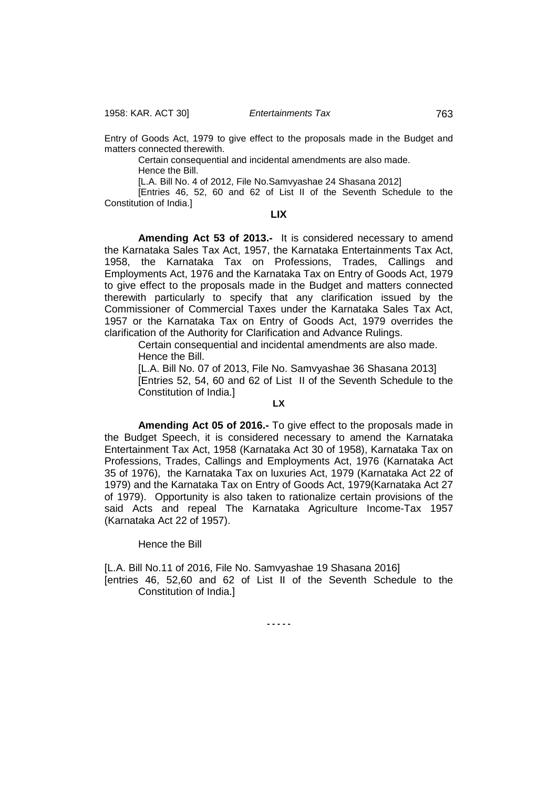1958: KAR. ACT 30] *Entertainments Tax* 763

Entry of Goods Act, 1979 to give effect to the proposals made in the Budget and matters connected therewith.

Certain consequential and incidental amendments are also made.

Hence the Bill.

[L.A. Bill No. 4 of 2012, File No.Samvyashae 24 Shasana 2012]

[Entries 46, 52, 60 and 62 of List II of the Seventh Schedule to the Constitution of India.]

# **LIX**

**Amending Act 53 of 2013.-** It is considered necessary to amend the Karnataka Sales Tax Act, 1957, the Karnataka Entertainments Tax Act, 1958, the Karnataka Tax on Professions, Trades, Callings and Employments Act, 1976 and the Karnataka Tax on Entry of Goods Act, 1979 to give effect to the proposals made in the Budget and matters connected therewith particularly to specify that any clarification issued by the Commissioner of Commercial Taxes under the Karnataka Sales Tax Act, 1957 or the Karnataka Tax on Entry of Goods Act, 1979 overrides the clarification of the Authority for Clarification and Advance Rulings.

Certain consequential and incidental amendments are also made. Hence the Bill.

[L.A. Bill No. 07 of 2013, File No. Samvyashae 36 Shasana 2013] [Entries 52, 54, 60 and 62 of List II of the Seventh Schedule to the Constitution of India.]

## **LX**

**Amending Act 05 of 2016.-** To give effect to the proposals made in the Budget Speech, it is considered necessary to amend the Karnataka Entertainment Tax Act, 1958 (Karnataka Act 30 of 1958), Karnataka Tax on Professions, Trades, Callings and Employments Act, 1976 (Karnataka Act 35 of 1976), the Karnataka Tax on luxuries Act, 1979 (Karnataka Act 22 of 1979) and the Karnataka Tax on Entry of Goods Act, 1979(Karnataka Act 27 of 1979). Opportunity is also taken to rationalize certain provisions of the said Acts and repeal The Karnataka Agriculture Income-Tax 1957 (Karnataka Act 22 of 1957).

### Hence the Bill

[L.A. Bill No.11 of 2016, File No. Samvyashae 19 Shasana 2016] [entries 46, 52,60 and 62 of List II of the Seventh Schedule to the Constitution of India.]

**- - - - -**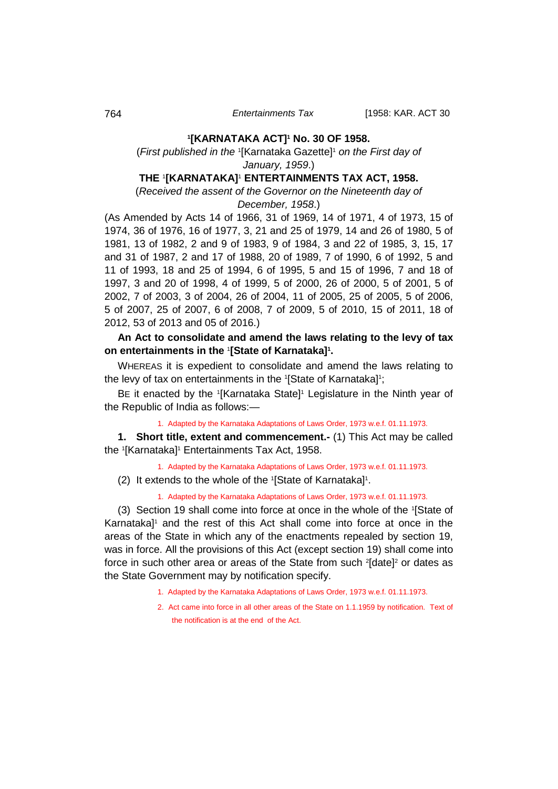# **1 [KARNATAKA ACT]1 No. 30 OF 1958.**

# (*First published in the* <sup>1</sup> [Karnataka Gazette]1 *on the First day of January, 1959*.)

# **THE** <sup>1</sup> **[KARNATAKA]**<sup>1</sup> **ENTERTAINMENTS TAX ACT, 1958.**

(*Received the assent of the Governor on the Nineteenth day of December, 1958*.)

(As Amended by Acts 14 of 1966, 31 of 1969, 14 of 1971, 4 of 1973, 15 of 1974, 36 of 1976, 16 of 1977, 3, 21 and 25 of 1979, 14 and 26 of 1980, 5 of 1981, 13 of 1982, 2 and 9 of 1983, 9 of 1984, 3 and 22 of 1985, 3, 15, 17 and 31 of 1987, 2 and 17 of 1988, 20 of 1989, 7 of 1990, 6 of 1992, 5 and 11 of 1993, 18 and 25 of 1994, 6 of 1995, 5 and 15 of 1996, 7 and 18 of 1997, 3 and 20 of 1998, 4 of 1999, 5 of 2000, 26 of 2000, 5 of 2001, 5 of 2002, 7 of 2003, 3 of 2004, 26 of 2004, 11 of 2005, 25 of 2005, 5 of 2006, 5 of 2007, 25 of 2007, 6 of 2008, 7 of 2009, 5 of 2010, 15 of 2011, 18 of 2012, 53 of 2013 and 05 of 2016.)

# **An Act to consolidate and amend the laws relating to the levy of tax**  on entertainments in the **'[State of Karnataka]**'.

WHEREAS it is expedient to consolidate and amend the laws relating to the levy of tax on entertainments in the 1[State of Karnataka]1;

BE it enacted by the <sup>1</sup>[Karnataka State]<sup>1</sup> Legislature in the Ninth year of the Republic of India as follows:—

<span id="page-26-0"></span>1. Adapted by the Karnataka Adaptations of Laws Order, 1973 w.e.f. 01.11.1973.

**1. Short title, extent and commencement.-** (1) This Act may be called the 1[Karnataka]1 Entertainments Tax Act, 1958.

1. Adapted by the Karnataka Adaptations of Laws Order, 1973 w.e.f. 01.11.1973.

(2) It extends to the whole of the 1 [State of Karnataka]1 .

1. Adapted by the Karnataka Adaptations of Laws Order, 1973 w.e.f. 01.11.1973.

(3) Section 19 shall come into force at once in the whole of the 1 [State of Karnataka]<sup>1</sup> and the rest of this Act shall come into force at once in the areas of the State in which any of the enactments repealed by section 19, was in force. All the provisions of this Act (except section 19) shall come into force in such other area or areas of the State from such <sup>2</sup>[date]<sup>2</sup> or dates as the State Government may by notification specify.

- 1. Adapted by the Karnataka Adaptations of Laws Order, 1973 w.e.f. 01.11.1973.
- 2. Act came into force in all other areas of the State on 1.1.1959 by notification. Text of the notification is at the end of the Act.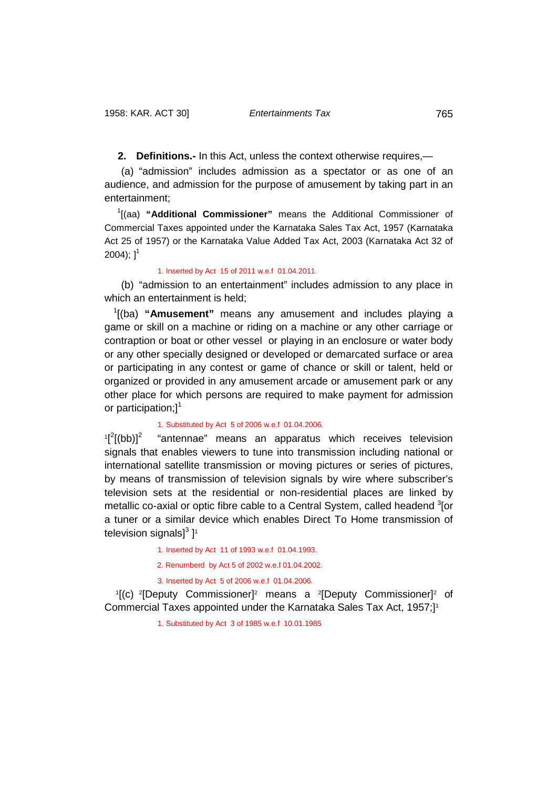<span id="page-27-0"></span>**2. Definitions.-** In this Act, unless the context otherwise requires,—

(a) "admission" includes admission as a spectator or as one of an audience, and admission for the purpose of amusement by taking part in an entertainment;

<sup>1</sup>[(aa) "Additional Commissioner" means the Additional Commissioner of Commercial Taxes appointed under the Karnataka Sales Tax Act, 1957 (Karnataka Act 25 of 1957) or the Karnataka Value Added Tax Act, 2003 (Karnataka Act 32 of  $2004$ );  $1^1$ 

# 1. Inserted by Act 15 of 2011 w.e.f 01.04.2011.

(b) "admission to an entertainment" includes admission to any place in which an entertainment is held;

<sup>1</sup>[(ba) "**Amusement**" means any amusement and includes playing a game or skill on a machine or riding on a machine or any other carriage or contraption or boat or other vessel or playing in an enclosure or water body or any other specially designed or developed or demarcated surface or area or participating in any contest or game of chance or skill or talent, held or organized or provided in any amusement arcade or amusement park or any other place for which persons are required to make payment for admission or participation;]<sup>1</sup>

# 1. Substituted by Act 5 of 2006 w.e.f 01.04.2006.

 $1^{2}$ "antennae" means an apparatus which receives television signals that enables viewers to tune into transmission including national or international satellite transmission or moving pictures or series of pictures, by means of transmission of television signals by wire where subscriber's television sets at the residential or non-residential places are linked by metallic co-axial or optic fibre cable to a Central System, called headend <sup>3</sup>[or a tuner or a similar device which enables Direct To Home transmission of television signals] $^3$  ] $^1$ 

1. Inserted by Act 11 of 1993 w.e.f 01.04.1993.

2. Renumberd by Act 5 of 2002 w.e.f 01.04.2002.

3. Inserted by Act 5 of 2006 w.e.f 01.04.2006.

<sup>1</sup>[(c) <sup>2</sup>[Deputy Commissioner]<sup>2</sup> means a <sup>2</sup>[Deputy Commissioner]<sup>2</sup> of Commercial Taxes appointed under the Karnataka Sales Tax Act, 1957;]1

1. Substituted by Act 3 of 1985 w.e.f 10.01.1985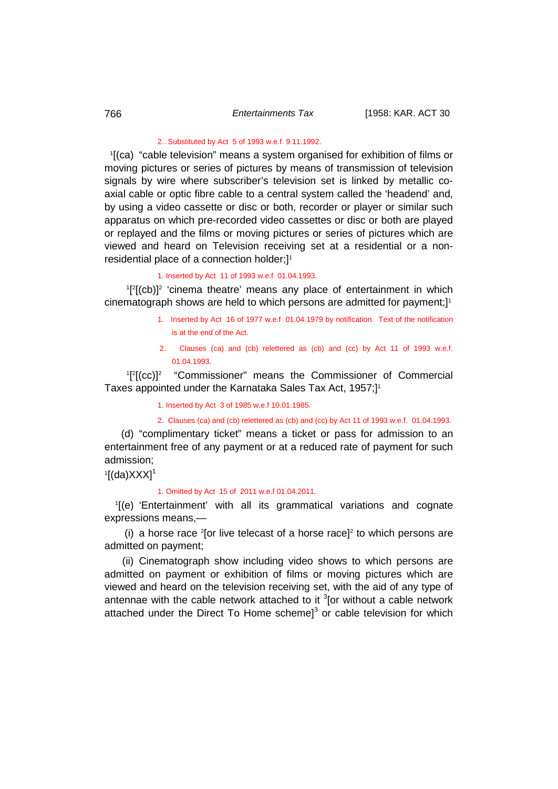## 2.. Substituted by Act 5 of 1993 w.e.f 9.11.1992.

1 [(ca) "cable television" means a system organised for exhibition of films or moving pictures or series of pictures by means of transmission of television signals by wire where subscriber's television set is linked by metallic coaxial cable or optic fibre cable to a central system called the 'headend' and, by using a video cassette or disc or both, recorder or player or similar such apparatus on which pre-recorded video cassettes or disc or both are played or replayed and the films or moving pictures or series of pictures which are viewed and heard on Television receiving set at a residential or a nonresidential place of a connection holder;]<sup>1</sup>

# 1. Inserted by Act 11 of 1993 w.e.f 01.04.1993.

<sup>1</sup>[<sup>2</sup>[(cb)]<sup>2</sup> 'cinema theatre' means any place of entertainment in which cinematograph shows are held to which persons are admitted for payment;]1

- 1. Inserted by Act 16 of 1977 w.e.f 01.04.1979 by notification. Text of the notification is at the end of the Act.
- 2. Clauses (ca) and (cb) relettered as (cb) and (cc) by Act 11 of 1993 w.e.f. 01.04.1993.

<sup>1</sup>[<sup>2</sup>[(cc)]<sup>2</sup> "Commissioner" means the Commissioner of Commercial Taxes appointed under the Karnataka Sales Tax Act, 1957;]1

1. Inserted by Act 3 of 1985 w.e.f 10.01.1985.

2. Clauses (ca) and (cb) relettered as (cb) and (cc) by Act 11 of 1993 w.e.f. 01.04.1993.

(d) "complimentary ticket" means a ticket or pass for admission to an entertainment free of any payment or at a reduced rate of payment for such admission;

 $\rm{1[(da)XXX]}$ 

#### 1. Omitted by Act 15 of 2011 w.e.f 01.04.2011.

1 [(e) 'Entertainment' with all its grammatical variations and cognate expressions means,—

(i) a horse race  $2$  [or live telecast of a horse race] $2$  to which persons are admitted on payment;

(ii) Cinematograph show including video shows to which persons are admitted on payment or exhibition of films or moving pictures which are viewed and heard on the television receiving set, with the aid of any type of antennae with the cable network attached to it  $3$ [or without a cable network attached under the Direct To Home scheme]<sup>3</sup> or cable television for which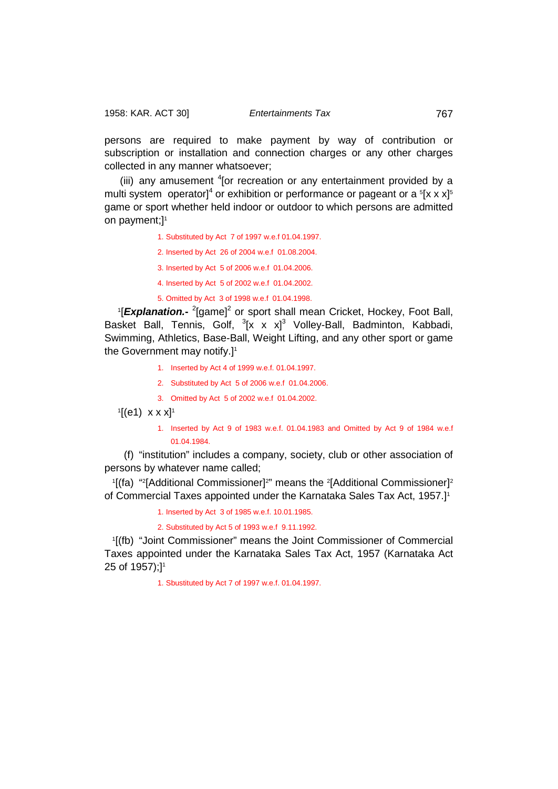persons are required to make payment by way of contribution or subscription or installation and connection charges or any other charges collected in any manner whatsoever;

(iii) any amusement <sup>4</sup> [or recreation or any entertainment provided by a multi system operator]<sup>4</sup> or exhibition or performance or pageant or a  $5$ [x x x]<sup>5</sup> game or sport whether held indoor or outdoor to which persons are admitted on payment;]<sup>1</sup>

- 1. Substituted by Act 7 of 1997 w.e.f 01.04.1997.
- 2. Inserted by Act 26 of 2004 w.e.f 01.08.2004.
- 3. Inserted by Act 5 of 2006 w.e.f 01.04.2006.
- 4. Inserted by Act 5 of 2002 w.e.f 01.04.2002.

5. Omitted by Act 3 of 1998 w.e.f 01.04.1998.

<sup>1</sup>[Explanation.<sup>2</sup> [game]<sup>2</sup> or sport shall mean Cricket, Hockey, Foot Ball, Basket Ball, Tennis, Golf, <sup>3</sup>[x x x]<sup>3</sup> Volley-Ball, Badminton, Kabbadi, Swimming, Athletics, Base-Ball, Weight Lifting, and any other sport or game the Government may notify.]<sup>1</sup>

- 1. Inserted by Act 4 of 1999 w.e.f. 01.04.1997.
- 2. Substituted by Act 5 of 2006 w.e.f 01.04.2006.
- 3. Omitted by Act 5 of 2002 w.e.f 01.04.2002.

'[(e1) x x x]'

1. Inserted by Act 9 of 1983 w.e.f. 01.04.1983 and Omitted by Act 9 of 1984 w.e.f 01.04.1984.

(f) "institution" includes a company, society, club or other association of persons by whatever name called;

<sup>1</sup>[(fa) "<sup>2</sup>[Additional Commissioner]<sup>2"</sup> means the <sup>2</sup>[Additional Commissioner]<sup>2</sup> of Commercial Taxes appointed under the Karnataka Sales Tax Act, 1957.]1

1. Inserted by Act 3 of 1985 w.e.f. 10.01.1985.

2. Substituted by Act 5 of 1993 w.e.f 9.11.1992.

1 [(fb) "Joint Commissioner" means the Joint Commissioner of Commercial Taxes appointed under the Karnataka Sales Tax Act, 1957 (Karnataka Act 25 of 1957);]<sup>1</sup>

1. Sbustituted by Act 7 of 1997 w.e.f. 01.04.1997.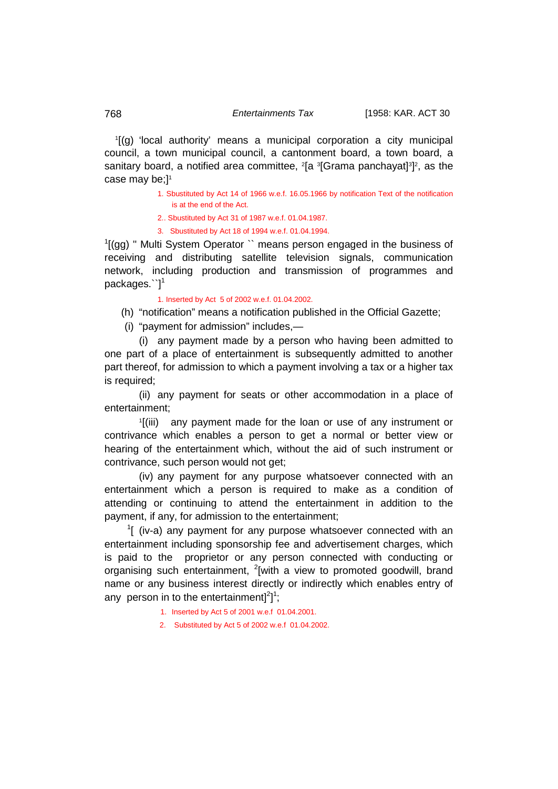1 [(g) 'local authority' means a municipal corporation a city municipal council, a town municipal council, a cantonment board, a town board, a sanitary board, a notified area committee, <sup>2</sup>[a <sup>3</sup>[Grama panchayat]<sup>3</sup>]<sup>2</sup>, as the case may be;]<sup>1</sup>

> 1. Sbustituted by Act 14 of 1966 w.e.f. 16.05.1966 by notification Text of the notification is at the end of the Act.

2.. Sbustituted by Act 31 of 1987 w.e.f. 01.04.1987.

3. Sbustituted by Act 18 of 1994 w.e.f. 01.04.1994.

<sup>1</sup>[(gg) " Multi System Operator `` means person engaged in the business of receiving and distributing satellite television signals, communication network, including production and transmission of programmes and packages. <sup>''</sup>]<sup>1</sup>

1. Inserted by Act 5 of 2002 w.e.f. 01.04.2002.

(h) "notification" means a notification published in the Official Gazette;

(i) "payment for admission" includes,—

(i) any payment made by a person who having been admitted to one part of a place of entertainment is subsequently admitted to another part thereof, for admission to which a payment involving a tax or a higher tax is required;

(ii) any payment for seats or other accommodation in a place of entertainment;

1 [(iii) any payment made for the loan or use of any instrument or contrivance which enables a person to get a normal or better view or hearing of the entertainment which, without the aid of such instrument or contrivance, such person would not get;

(iv) any payment for any purpose whatsoever connected with an entertainment which a person is required to make as a condition of attending or continuing to attend the entertainment in addition to the payment, if any, for admission to the entertainment;

 $1$ [ (iv-a) any payment for any purpose whatsoever connected with an entertainment including sponsorship fee and advertisement charges, which is paid to the proprietor or any person connected with conducting or organising such entertainment, <sup>2</sup>[with a view to promoted goodwill, brand name or any business interest directly or indirectly which enables entry of any person in to the entertainment] $^{2}$ ]<sup>1</sup>;

1. Inserted by Act 5 of 2001 w.e.f 01.04.2001.

2. Substituted by Act 5 of 2002 w.e.f 01.04.2002.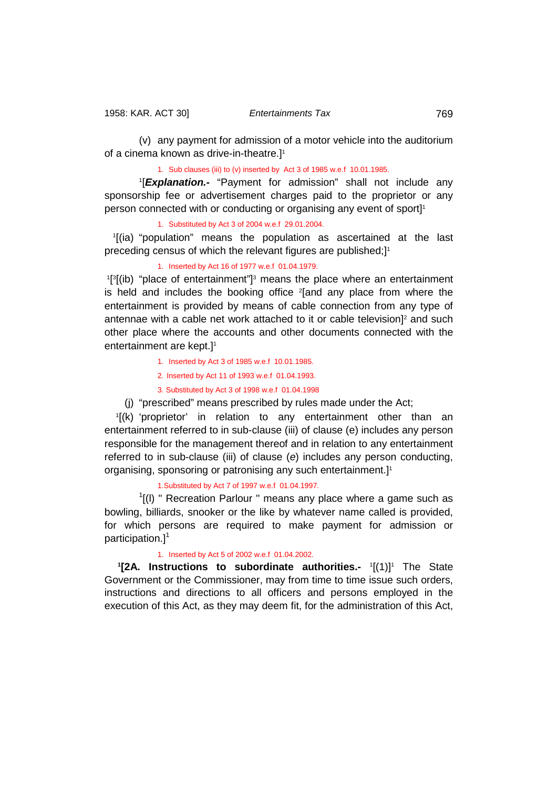(v) any payment for admission of a motor vehicle into the auditorium of a cinema known as drive-in-theatre.]1

1. Sub clauses (iii) to (v) inserted by Act 3 of 1985 w.e.f 10.01.1985.

1 [*Explanation.***-** "Payment for admission" shall not include any sponsorship fee or advertisement charges paid to the proprietor or any person connected with or conducting or organising any event of sport]<sup>1</sup>

1. Substituted by Act 3 of 2004 w.e.f 29.01.2004.

1 [(ia) "population" means the population as ascertained at the last preceding census of which the relevant figures are published;]<sup>1</sup>

1. Inserted by Act 16 of 1977 w.e.f 01.04.1979.

<sup>1[3</sup>[(ib) "place of entertainment"]<sup>3</sup> means the place where an entertainment is held and includes the booking office <sup>2</sup>[and any place from where the entertainment is provided by means of cable connection from any type of antennae with a cable net work attached to it or cable television<sup>12</sup> and such other place where the accounts and other documents connected with the entertainment are kept.]<sup>1</sup>

- 1. Inserted by Act 3 of 1985 w.e.f 10.01.1985.
- 2. Inserted by Act 11 of 1993 w.e.f 01.04.1993.
- 3. Substituted by Act 3 of 1998 w.e.f 01.04.1998
- (j) "prescribed" means prescribed by rules made under the Act;

1 [(k) 'proprietor' in relation to any entertainment other than an entertainment referred to in sub-clause (iii) of clause (e) includes any person responsible for the management thereof and in relation to any entertainment referred to in sub-clause (iii) of clause (*e*) includes any person conducting, organising, sponsoring or patronising any such entertainment.]1

1.Substituted by Act 7 of 1997 w.e.f 01.04.1997.

 $<sup>1</sup>$ [(I) " Recreation Parlour " means any place where a game such as</sup> bowling, billiards, snooker or the like by whatever name called is provided, for which persons are required to make payment for admission or participation.] $<sup>1</sup>$ </sup>

#### <span id="page-31-0"></span>1. Inserted by Act 5 of 2002 w.e.f 01.04.2002.

**1[2A. Instructions to subordinate authorities.-** 1[(1)]<sup>1</sup> The State Government or the Commissioner, may from time to time issue such orders, instructions and directions to all officers and persons employed in the execution of this Act, as they may deem fit, for the administration of this Act,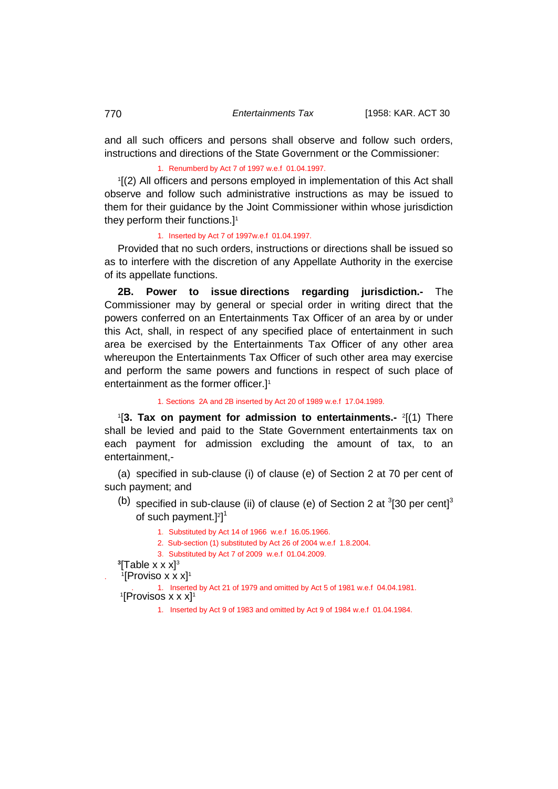and all such officers and persons shall observe and follow such orders, instructions and directions of the State Government or the Commissioner:

1. Renumberd by Act 7 of 1997 w.e.f 01.04.1997.

1 [(2) All officers and persons employed in implementation of this Act shall observe and follow such administrative instructions as may be issued to them for their guidance by the Joint Commissioner within whose jurisdiction they perform their functions.]1

# 1. Inserted by Act 7 of 1997w.e.f 01.04.1997.

Provided that no such orders, instructions or directions shall be issued so as to interfere with the discretion of any Appellate Authority in the exercise of its appellate functions.

<span id="page-32-0"></span>**2B. Power to issue directions regarding jurisdiction.-** The Commissioner may by general or special order in writing direct that the powers conferred on an Entertainments Tax Officer of an area by or under this Act, shall, in respect of any specified place of entertainment in such area be exercised by the Entertainments Tax Officer of any other area whereupon the Entertainments Tax Officer of such other area may exercise and perform the same powers and functions in respect of such place of entertainment as the former officer.]<sup>1</sup>

<span id="page-32-1"></span>1. Sections 2A and 2B inserted by Act 20 of 1989 w.e.f 17.04.1989.

1 [**3. Tax on payment for admission to entertainments.-** <sup>2</sup> [(1) There shall be levied and paid to the State Government entertainments tax on each payment for admission excluding the amount of tax, to an entertainment,-

(a) specified in sub-clause (i) of clause (e) of Section 2 at 70 per cent of such payment; and

- (b) specified in sub-clause (ii) of clause (e) of Section 2 at  $3$ [30 per cent]<sup>3</sup> of such payment.]<sup>2]1</sup>
	- 1. Substituted by Act 14 of 1966 w.e.f 16.05.1966.
	- 2. Sub-section (1) substituted by Act 26 of 2004 w.e.f 1.8.2004.
	- 3. Substituted by Act 7 of 2009 w.e.f 01.04.2009.
- <sup>3</sup>[Table x x x]<sup>3</sup>
- . '[Proviso x x x]'

. 1. Inserted by Act 21 of 1979 and omitted by Act 5 of 1981 w.e.f 04.04.1981. 1  $[1]$ Provisos x x x]<sup>1</sup>

1. Inserted by Act 9 of 1983 and omitted by Act 9 of 1984 w.e.f 01.04.1984.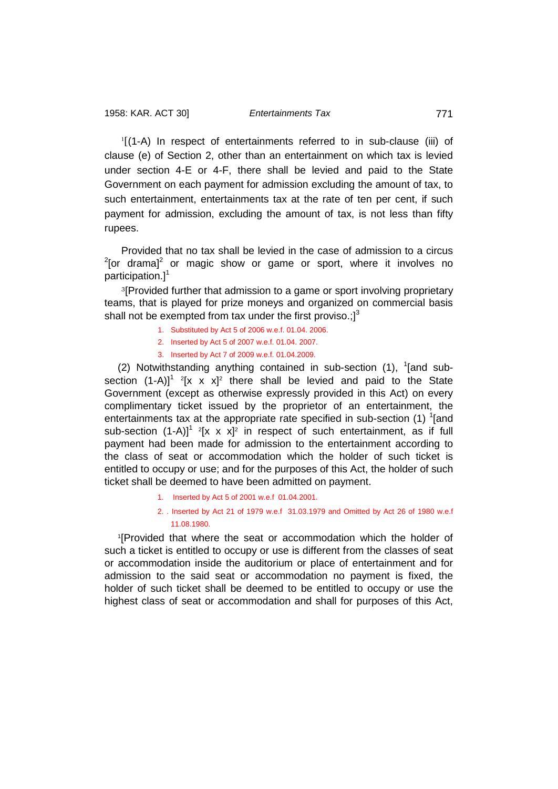1 [(1-A) In respect of entertainments referred to in sub-clause (iii) of clause (e) of Section 2, other than an entertainment on which tax is levied under section 4-E or 4-F, there shall be levied and paid to the State Government on each payment for admission excluding the amount of tax, to such entertainment, entertainments tax at the rate of ten per cent, if such payment for admission, excluding the amount of tax, is not less than fifty rupees.

Provided that no tax shall be levied in the case of admission to a circus  $2$ [or drama]<sup>2</sup> or magic show or game or sport, where it involves no participation.] $1$ 

<sup>3</sup>[Provided further that admission to a game or sport involving proprietary teams, that is played for prize moneys and organized on commercial basis shall not be exempted from tax under the first proviso.; $]^{3}$ 

- 1. Substituted by Act 5 of 2006 w.e.f. 01.04. 2006.
- 2. Inserted by Act 5 of 2007 w.e.f. 01.04. 2007.
- 3. Inserted by Act 7 of 2009 w.e.f. 01.04.2009.

(2) Notwithstanding anything contained in sub-section  $(1)$ ,  $(1)$  and subsection  $(1-A)$ <sup>1</sup> <sup>2</sup>[x x x]<sup>2</sup> there shall be levied and paid to the State Government (except as otherwise expressly provided in this Act) on every complimentary ticket issued by the proprietor of an entertainment, the entertainments tax at the appropriate rate specified in sub-section (1)  $\textsuperscript{1}$  [and sub-section  $(1-A)$ <sup>1</sup> <sup>2</sup>[x x x]<sup>2</sup> in respect of such entertainment, as if full payment had been made for admission to the entertainment according to the class of seat or accommodation which the holder of such ticket is entitled to occupy or use; and for the purposes of this Act, the holder of such ticket shall be deemed to have been admitted on payment.

- 1. Inserted by Act 5 of 2001 w.e.f 01.04.2001.
- 2. . Inserted by Act 21 of 1979 w.e.f 31.03.1979 and Omitted by Act 26 of 1980 w.e.f 11.08.1980.

1 [Provided that where the seat or accommodation which the holder of such a ticket is entitled to occupy or use is different from the classes of seat or accommodation inside the auditorium or place of entertainment and for admission to the said seat or accommodation no payment is fixed, the holder of such ticket shall be deemed to be entitled to occupy or use the highest class of seat or accommodation and shall for purposes of this Act,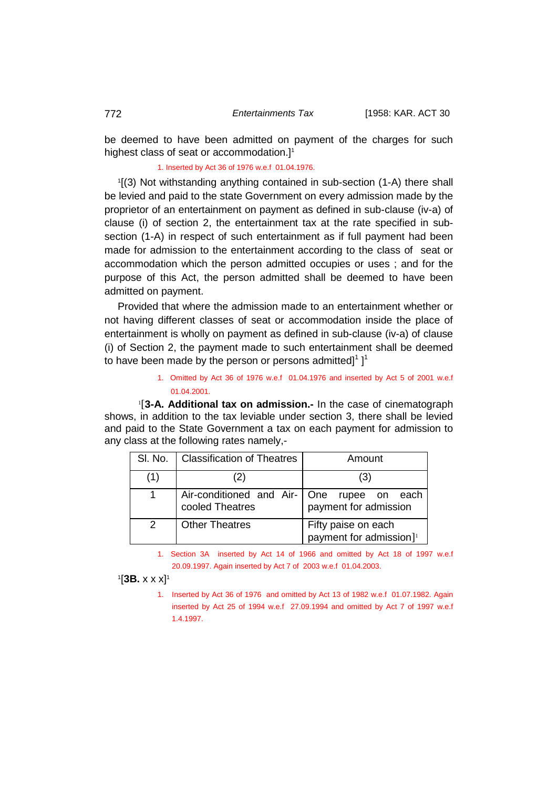be deemed to have been admitted on payment of the charges for such highest class of seat or accommodation.]<sup>1</sup>

1. Inserted by Act 36 of 1976 w.e.f 01.04.1976.

1 [(3) Not withstanding anything contained in sub-section (1-A) there shall be levied and paid to the state Government on every admission made by the proprietor of an entertainment on payment as defined in sub-clause (iv-a) of clause (i) of section 2, the entertainment tax at the rate specified in subsection (1-A) in respect of such entertainment as if full payment had been made for admission to the entertainment according to the class of seat or accommodation which the person admitted occupies or uses ; and for the purpose of this Act, the person admitted shall be deemed to have been admitted on payment.

Provided that where the admission made to an entertainment whether or not having different classes of seat or accommodation inside the place of entertainment is wholly on payment as defined in sub-clause (iv-a) of clause (i) of Section 2, the payment made to such entertainment shall be deemed to have been made by the person or persons admitted] $^1$  ] $^1$ 

> <span id="page-34-0"></span>1. Omitted by Act 36 of 1976 w.e.f 01.04.1976 and inserted by Act 5 of 2001 w.e.f 01.04.2001.

1 [**3-A. Additional tax on admission.-** In the case of cinematograph shows, in addition to the tax leviable under section 3, there shall be levied and paid to the State Government a tax on each payment for admission to any class at the following rates namely,-

| SI. No.       | <b>Classification of Theatres</b>                               | Amount                                                     |
|---------------|-----------------------------------------------------------------|------------------------------------------------------------|
| (1)           | 2)                                                              | (3)                                                        |
|               | Air-conditioned and Air-   One rupee on each<br>cooled Theatres | payment for admission                                      |
| $\mathcal{P}$ | <b>Other Theatres</b>                                           | Fifty paise on each<br>payment for admission] <sup>1</sup> |

1. Section 3A inserted by Act 14 of 1966 and omitted by Act 18 of 1997 w.e.f 20.09.1997. Again inserted by Act 7 of 2003 w.e.f 01.04.2003.

<span id="page-34-1"></span>1 [**3B.** x x x]1

1. Inserted by Act 36 of 1976 and omitted by Act 13 of 1982 w.e.f 01.07.1982. Again inserted by Act 25 of 1994 w.e.f 27.09.1994 and omitted by Act 7 of 1997 w.e.f 1.4.1997.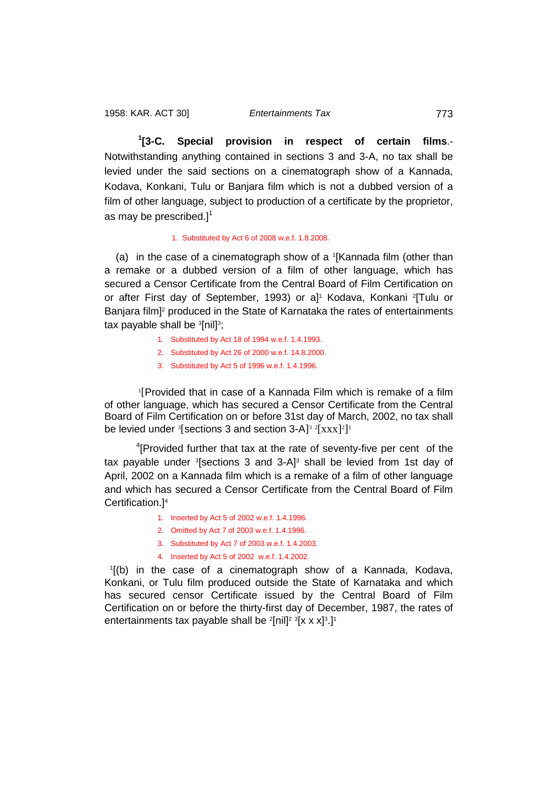<span id="page-35-0"></span>**1 [3-C. Special provision in respect of certain films**.- Notwithstanding anything contained in sections 3 and 3-A, no tax shall be levied under the said sections on a cinematograph show of a Kannada, Kodava, Konkani, Tulu or Banjara film which is not a dubbed version of a film of other language, subject to production of a certificate by the proprietor, as may be prescribed.] $1$ 

## 1. Substituted by Act 6 of 2008 w.e.f. 1.8.2008.

(a) in the case of a cinematograph show of a 1 [Kannada film (other than a remake or a dubbed version of a film of other language, which has secured a Censor Certificate from the Central Board of Film Certification on or after First day of September, 1993) or a]<sup>1</sup> Kodava, Konkani <sup>2</sup>[Tulu or Banjara film<sup>2</sup> produced in the State of Karnataka the rates of entertainments tax payable shall be  $^3$ [nil] $^3;$ 

- 1. Substituted by Act 18 of 1994 w.e.f. 1.4.1993.
- 2. Substituted by Act 26 of 2000 w.e.f. 14.8.2000.
- 3. Substituted by Act 5 of 1996 w.e.f. 1.4.1996.

1 [Provided that in case of a Kannada Film which is remake of a film of other language, which has secured a Censor Certificate from the Central Board of Film Certification on or before 31st day of March, 2002, no tax shall be levied under  ${}^{3}$ [sections 3 and section 3-A] ${}^{3}$   ${}^{2}$ [xxx] ${}^{2}$ ]<sup>1</sup>

<sup>4</sup>[Provided further that tax at the rate of seventy-five per cent of the tax payable under <sup>3</sup>[sections 3 and 3-A]<sup>3</sup> shall be levied from 1st day of April, 2002 on a Kannada film which is a remake of a film of other language and which has secured a Censor Certificate from the Central Board of Film Certification.] 4

- 1. Inserted by Act 5 of 2002 w.e.f. 1.4.1996.
- 2. Omitted by Act 7 of 2003 w.e.f. 1.4.1996.
- 3. Substituted by Act 7 of 2003 w.e.f. 1.4.2003.
- 4. Inserted by Act 5 of 2002 w.e.f. 1.4.2002.

1 [(b) in the case of a cinematograph show of a Kannada, Kodava, Konkani, or Tulu film produced outside the State of Karnataka and which has secured censor Certificate issued by the Central Board of Film Certification on or before the thirty-first day of December, 1987, the rates of entertainments tax payable shall be <sup>2</sup>[nil]<sup>2 3</sup>[x x x]<sup>3</sup>.]<sup>1</sup>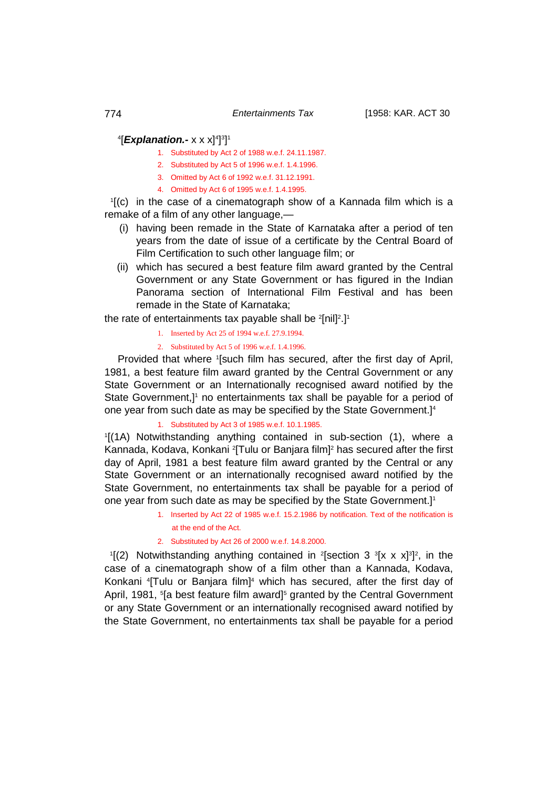## 4 [*Explanation.-* x x x]4 ] 3 ] 1

- 1. Substituted by Act 2 of 1988 w.e.f. 24.11.1987.
- 2. Substituted by Act 5 of 1996 w.e.f. 1.4.1996.
- 3. Omitted by Act 6 of 1992 w.e.f. 31.12.1991.
- 4. Omitted by Act 6 of 1995 w.e.f. 1.4.1995.

1 [(c) in the case of a cinematograph show of a Kannada film which is a remake of a film of any other language,—

- (i) having been remade in the State of Karnataka after a period of ten years from the date of issue of a certificate by the Central Board of Film Certification to such other language film; or
- (ii) which has secured a best feature film award granted by the Central Government or any State Government or has figured in the Indian Panorama section of International Film Festival and has been remade in the State of Karnataka;

the rate of entertainments tax payable shall be  $^{2}$ [nil] $^{2}.$ ]1

- 1. Inserted by Act 25 of 1994 w.e.f. 27.9.1994.
- 2. Substituted by Act 5 of 1996 w.e.f. 1.4.1996.

Provided that where <sup>1</sup>[such film has secured, after the first day of April, 1981, a best feature film award granted by the Central Government or any State Government or an Internationally recognised award notified by the State Government,]<sup>1</sup> no entertainments tax shall be payable for a period of one year from such date as may be specified by the State Government.]<sup>4</sup>

# 1. Substituted by Act 3 of 1985 w.e.f. 10.1.1985.

1 [(1A) Notwithstanding anything contained in sub-section (1), where a Kannada, Kodava, Konkani <sup>2</sup>[Tulu or Banjara film]<sup>2</sup> has secured after the first day of April, 1981 a best feature film award granted by the Central or any State Government or an internationally recognised award notified by the State Government, no entertainments tax shall be payable for a period of one year from such date as may be specified by the State Government.]<sup>1</sup>

> 1. Inserted by Act 22 of 1985 w.e.f. 15.2.1986 by notification. Text of the notification is at the end of the Act.

### 2. Substituted by Act 26 of 2000 w.e.f. 14.8.2000.

 $\frac{1}{2}$  Notwithstanding anything contained in <sup>2</sup>[section 3  $\frac{3}{2}$ [x x x]<sup>3</sup>]<sup>2</sup>, in the case of a cinematograph show of a film other than a Kannada, Kodava, Konkani <sup>4</sup> Tulu or Banjara film]<sup>4</sup> which has secured, after the first day of April, 1981, <sup>5</sup>[a best feature film award]<sup>5</sup> granted by the Central Government or any State Government or an internationally recognised award notified by the State Government, no entertainments tax shall be payable for a period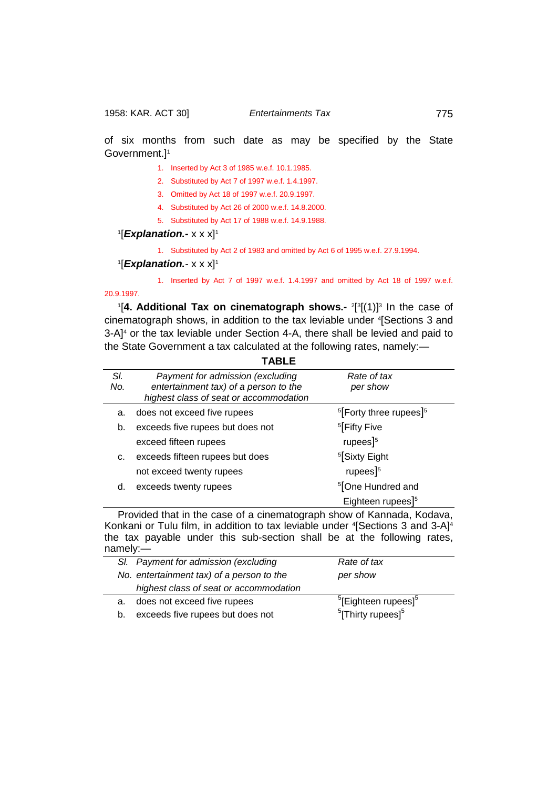of six months from such date as may be specified by the State Government.]1

- 1. Inserted by Act 3 of 1985 w.e.f. 10.1.1985.
- 2. Substituted by Act 7 of 1997 w.e.f. 1.4.1997.
- 3. Omitted by Act 18 of 1997 w.e.f. 20.9.1997.
- 4. Substituted by Act 26 of 2000 w.e.f. 14.8.2000.
- 5. Substituted by Act 17 of 1988 w.e.f. 14.9.1988.

## 1**[***Explanation.-* **x x x]**1

1. Substituted by Act 2 of 1983 and omitted by Act 6 of 1995 w.e.f. 27.9.1994.

## 1 [*Explanation.-* x x x]1

1. Inserted by Act 7 of 1997 w.e.f. 1.4.1997 and omitted by Act 18 of 1997 w.e.f.

# 20.9.1997.

<sup>1</sup>[4. Additional Tax on cinematograph shows.- <sup>2[3</sup>[(1)]<sup>3</sup> In the case of cinematograph shows, in addition to the tax leviable under 4 [Sections 3 and 3-A]4 or the tax leviable under Section 4-A, there shall be levied and paid to the State Government a tax calculated at the following rates, namely:—

**TABLE**

| SI. | Payment for admission (excluding       | Rate of tax                                    |  |
|-----|----------------------------------------|------------------------------------------------|--|
| No. | entertainment tax) of a person to the  | per show                                       |  |
|     | highest class of seat or accommodation |                                                |  |
| a.  | does not exceed five rupees            | <sup>5</sup> [Forty three rupees] <sup>5</sup> |  |
| b.  | exceeds five rupees but does not       | <sup>5</sup> Fifty Five                        |  |
|     | exceed fifteen rupees                  | rupees $]^{5}$                                 |  |
| c.  | exceeds fifteen rupees but does        | <sup>5</sup> [Sixty Eight                      |  |
|     | not exceed twenty rupees               | rupees $]^{5}$                                 |  |
| d.  | exceeds twenty rupees                  | <sup>5</sup> [One Hundred and                  |  |
|     |                                        | Eighteen rupees] <sup>5</sup>                  |  |

Provided that in the case of a cinematograph show of Kannada, Kodava, Konkani or Tulu film, in addition to tax leviable under <sup>4</sup>[Sections 3 and 3-A]<sup>4</sup> the tax payable under this sub-section shall be at the following rates, namely:—

|    | SI. Payment for admission (excluding      | Rate of tax                                 |
|----|-------------------------------------------|---------------------------------------------|
|    | No. entertainment tax) of a person to the | per show                                    |
|    | highest class of seat or accommodation    |                                             |
| a. | does not exceed five rupees               | <sup>5</sup> [Eighteen rupees] <sup>5</sup> |
| b. | exceeds five rupees but does not          | $5$ [Thirty rupees] $5$                     |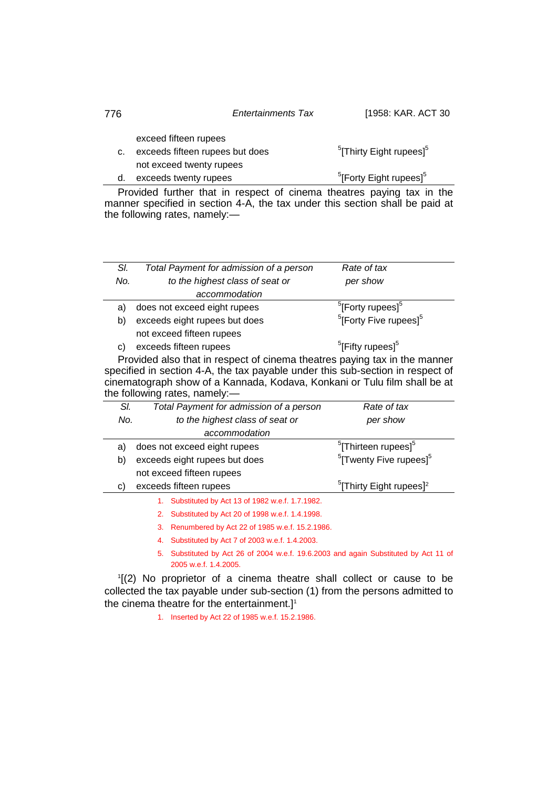| [1958: KAR. ACT 30 |
|--------------------|
|                    |

exceed fifteen rupees

c. exceeds fifteen rupees but does  $5$ [Thirty Eight rupees] $5$ not exceed twenty rupees d. exceeds twenty rupees  $<sup>5</sup>[Forty Eight rupees]<sup>5</sup>$ </sup>

Provided further that in respect of cinema theatres paying tax in the manner specified in section 4-A, the tax under this section shall be paid at the following rates, namely:—

| SI. | Total Payment for admission of a person                                                                                                                                                                                                                                   | Rate of tax                                     |  |  |
|-----|---------------------------------------------------------------------------------------------------------------------------------------------------------------------------------------------------------------------------------------------------------------------------|-------------------------------------------------|--|--|
| No. | to the highest class of seat or                                                                                                                                                                                                                                           | per show                                        |  |  |
|     | accommodation                                                                                                                                                                                                                                                             |                                                 |  |  |
| a)  | does not exceed eight rupees                                                                                                                                                                                                                                              | <sup>5</sup> [Forty rupees] <sup>5</sup>        |  |  |
| b)  | exceeds eight rupees but does                                                                                                                                                                                                                                             | <sup>5</sup> [Forty Five rupees] <sup>5</sup>   |  |  |
|     | not exceed fifteen rupees                                                                                                                                                                                                                                                 |                                                 |  |  |
| C)  | exceeds fifteen rupees                                                                                                                                                                                                                                                    | <sup>5</sup> [Fifty rupees] <sup>5</sup>        |  |  |
|     | Provided also that in respect of cinema theatres paying tax in the manner<br>specified in section 4-A, the tax payable under this sub-section in respect of<br>cinematograph show of a Kannada, Kodava, Konkani or Tulu film shall be at<br>the following rates, namely:- |                                                 |  |  |
| SI. | Total Payment for admission of a person                                                                                                                                                                                                                                   | Rate of tax                                     |  |  |
| No. | to the highest class of seat or                                                                                                                                                                                                                                           | per show                                        |  |  |
|     | accommodation                                                                                                                                                                                                                                                             |                                                 |  |  |
| a)  | does not exceed eight rupees                                                                                                                                                                                                                                              | <sup>5</sup> [Thirteen rupees] <sup>5</sup>     |  |  |
| b)  | exceeds eight rupees but does                                                                                                                                                                                                                                             | <sup>5</sup> [Twenty Five rupees] <sup>5</sup>  |  |  |
|     | not exceed fifteen rupees                                                                                                                                                                                                                                                 |                                                 |  |  |
| C)  | exceeds fifteen rupees                                                                                                                                                                                                                                                    | <sup>5</sup> [Thirty Eight rupees] <sup>2</sup> |  |  |
|     | 1. Substituted by Act 13 of 1982 w.e.f. 1.7.1982.                                                                                                                                                                                                                         |                                                 |  |  |
|     | Substituted by Act 20 of 1998 w.e.f. 1.4.1998.<br>2.                                                                                                                                                                                                                      |                                                 |  |  |
|     | Renumbered by Act 22 of 1985 w.e.f. 15.2.1986.<br>3.                                                                                                                                                                                                                      |                                                 |  |  |
|     | 4. Substituted by Act 7 of 2003 w.e.f. 1.4.2003.                                                                                                                                                                                                                          |                                                 |  |  |

5. Substituted by Act 26 of 2004 w.e.f. 19.6.2003 and again Substituted by Act 11 of 2005 w.e.f. 1.4.2005.

1 [(2) No proprietor of a cinema theatre shall collect or cause to be collected the tax payable under sub-section (1) from the persons admitted to the cinema theatre for the entertainment.]<sup>1</sup>

1. Inserted by Act 22 of 1985 w.e.f. 15.2.1986.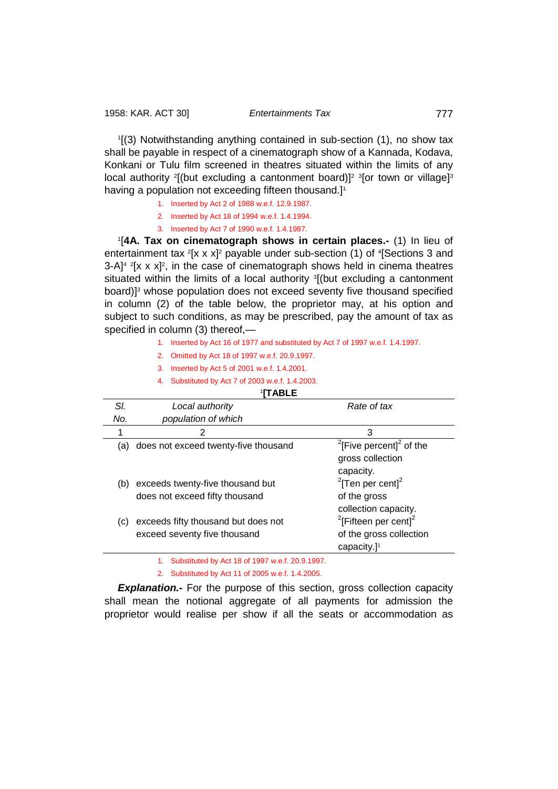1 [(3) Notwithstanding anything contained in sub-section (1), no show tax shall be payable in respect of a cinematograph show of a Kannada, Kodava, Konkani or Tulu film screened in theatres situated within the limits of any local authority <sup>2</sup>[(but excluding a cantonment board)]<sup>2</sup> <sup>3</sup>[or town or village]<sup>3</sup> having a population not exceeding fifteen thousand.]<sup>1</sup>

- 1. Inserted by Act 2 of 1988 w.e.f. 12.9.1987.
- 2. Inserted by Act 18 of 1994 w.e.f. 1.4.1994.
- 3. Inserted by Act 7 of 1990 w.e.f. 1.4.1987.

1 [**4A. Tax on cinematograph shows in certain places.-** (1) In lieu of entertainment tax <sup>2</sup>[x x x]<sup>2</sup> payable under sub-section (1) of <sup>4</sup>[Sections 3 and  $3$ -A]<sup>4 2</sup>[x x x]<sup>2</sup>, in the case of cinematograph shows held in cinema theatres situated within the limits of a local authority <sup>3</sup>[(but excluding a cantonment board)]<sup>3</sup> whose population does not exceed seventy five thousand specified in column (2) of the table below, the proprietor may, at his option and subject to such conditions, as may be prescribed, pay the amount of tax as specified in column (3) thereof,—

- 1. Inserted by Act 16 of 1977 and substituted by Act 7 of 1997 w.e.f. 1.4.1997.
- 2. Omitted by Act 18 of 1997 w.e.f. 20.9.1997.
- 3. Inserted by Act 5 of 2001 w.e.f. 1.4.2001.
- 4. Substituted by Act 7 of 2003 w.e.f. 1.4.2003.

## <sup>1</sup>**[TABLE** *Sl. Local authority Rate of tax No. population of which* 1  $2$  3 (a) does not exceed twenty-five thousand <sup>2</sup>  $2$ [Five percent] $2$  of the gross collection capacity. (b) exceeds twenty-five thousand but  $2$ [Ten per cent] $2$ does not exceed fifty thousand of the gross collection capacity. (c) exceeds fifty thousand but does not  $\mathrm{^{2}[F}$ ifteen per cent $\mathrm{]^{2}}$ exceed seventy five thousand of the gross collection capacity.]1

1. Substituted by Act 18 of 1997 w.e.f. 20.9.1997.

2. Substituted by Act 11 of 2005 w.e.f. 1.4.2005.

**Explanation.** For the purpose of this section, gross collection capacity shall mean the notional aggregate of all payments for admission the proprietor would realise per show if all the seats or accommodation as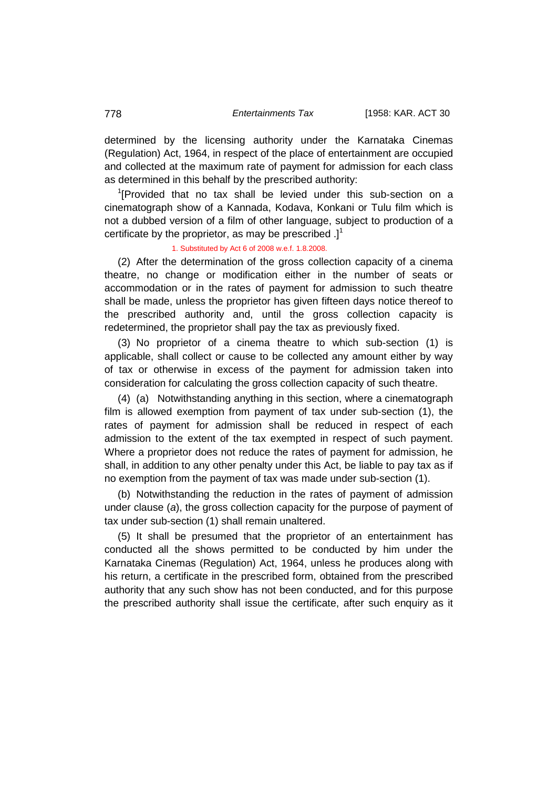determined by the licensing authority under the Karnataka Cinemas (Regulation) Act, 1964, in respect of the place of entertainment are occupied and collected at the maximum rate of payment for admission for each class as determined in this behalf by the prescribed authority:

<sup>1</sup>[Provided that no tax shall be levied under this sub-section on a cinematograph show of a Kannada, Kodava, Konkani or Tulu film which is not a dubbed version of a film of other language, subject to production of a certificate by the proprietor, as may be prescribed  $.1<sup>1</sup>$ 

## 1. Substituted by Act 6 of 2008 w.e.f. 1.8.2008.

(2) After the determination of the gross collection capacity of a cinema theatre, no change or modification either in the number of seats or accommodation or in the rates of payment for admission to such theatre shall be made, unless the proprietor has given fifteen days notice thereof to the prescribed authority and, until the gross collection capacity is redetermined, the proprietor shall pay the tax as previously fixed.

(3) No proprietor of a cinema theatre to which sub-section (1) is applicable, shall collect or cause to be collected any amount either by way of tax or otherwise in excess of the payment for admission taken into consideration for calculating the gross collection capacity of such theatre.

(4) (a) Notwithstanding anything in this section, where a cinematograph film is allowed exemption from payment of tax under sub-section (1), the rates of payment for admission shall be reduced in respect of each admission to the extent of the tax exempted in respect of such payment. Where a proprietor does not reduce the rates of payment for admission, he shall, in addition to any other penalty under this Act, be liable to pay tax as if no exemption from the payment of tax was made under sub-section (1).

(b) Notwithstanding the reduction in the rates of payment of admission under clause (*a*), the gross collection capacity for the purpose of payment of tax under sub-section (1) shall remain unaltered.

(5) It shall be presumed that the proprietor of an entertainment has conducted all the shows permitted to be conducted by him under the Karnataka Cinemas (Regulation) Act, 1964, unless he produces along with his return, a certificate in the prescribed form, obtained from the prescribed authority that any such show has not been conducted, and for this purpose the prescribed authority shall issue the certificate, after such enquiry as it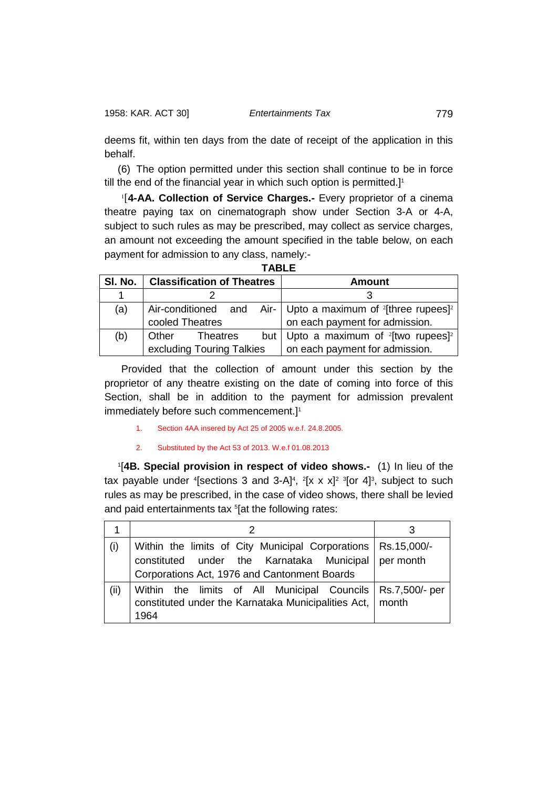deems fit, within ten days from the date of receipt of the application in this behalf.

(6) The option permitted under this section shall continue to be in force till the end of the financial year in which such option is permitted.]<sup>1</sup>

1 [**4-AA. Collection of Service Charges.-** Every proprietor of a cinema theatre paying tax on cinematograph show under Section 3-A or 4-A, subject to such rules as may be prescribed, may collect as service charges, an amount not exceeding the amount specified in the table below, on each payment for admission to any class, namely:-

**TABLE**

| SI. No. | <b>Classification of Theatres</b> | <b>Amount</b>                                                                       |  |
|---------|-----------------------------------|-------------------------------------------------------------------------------------|--|
|         |                                   |                                                                                     |  |
| (a)     |                                   | Air-conditioned and Air- Upto a maximum of <sup>2</sup> [three rupees] <sup>2</sup> |  |
|         | cooled Theatres                   | on each payment for admission.                                                      |  |
| (b)     | Other Theatres                    | but   Upto a maximum of $2$ [two rupees] <sup>2</sup>                               |  |
|         | excluding Touring Talkies         | on each payment for admission.                                                      |  |

Provided that the collection of amount under this section by the proprietor of any theatre existing on the date of coming into force of this Section, shall be in addition to the payment for admission prevalent immediately before such commencement.] 1

1. Section 4AA insered by Act 25 of 2005 w.e.f. 24.8.2005.

## 2. Substituted by the Act 53 of 2013. W.e.f 01.08.2013

1 [**4B. Special provision in respect of video shows.-** (1) In lieu of the tax payable under  $^{4}$ [sections 3 and 3-A]<sup>4</sup>,  $^{2}$ [x x x]<sup>2</sup>  $^{3}$ [or 4]<sup>3</sup>, subject to such rules as may be prescribed, in the case of video shows, there shall be levied and paid entertainments tax <sup>5</sup>[at the following rates:

| (i)  | Within the limits of City Municipal Corporations   Rs.15,000/- |  |  |
|------|----------------------------------------------------------------|--|--|
|      | constituted under the Karnataka Municipal per month            |  |  |
|      | Corporations Act, 1976 and Cantonment Boards                   |  |  |
| (ii) | Within the limits of All Municipal Councils   Rs.7,500/- per   |  |  |
|      | constituted under the Karnataka Municipalities Act,   month    |  |  |
|      | 1964                                                           |  |  |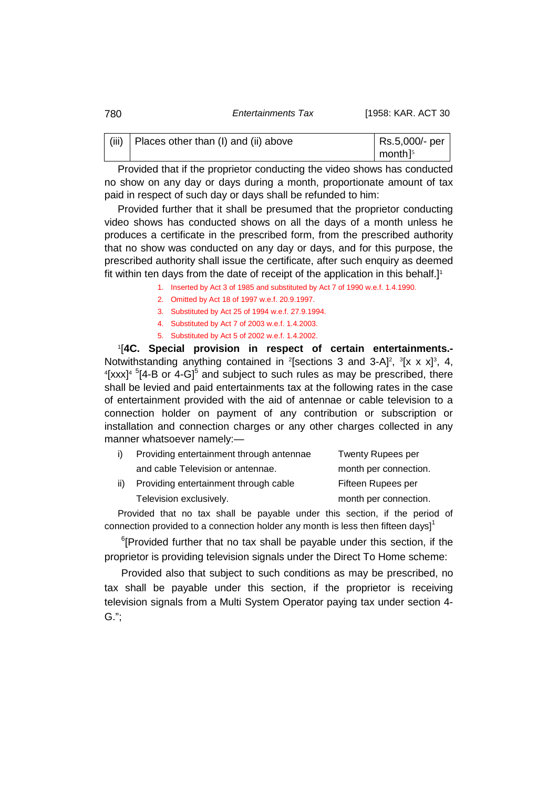| 780 | Entertainments Tax | [1958: KAR. ACT 30 |
|-----|--------------------|--------------------|
|-----|--------------------|--------------------|

| (iii)   Places other than (I) and (ii) above | Rs.5,000/- per             |
|----------------------------------------------|----------------------------|
|                                              | $\mid$ month] <sup>5</sup> |

Provided that if the proprietor conducting the video shows has conducted no show on any day or days during a month, proportionate amount of tax paid in respect of such day or days shall be refunded to him:

Provided further that it shall be presumed that the proprietor conducting video shows has conducted shows on all the days of a month unless he produces a certificate in the prescribed form, from the prescribed authority that no show was conducted on any day or days, and for this purpose, the prescribed authority shall issue the certificate, after such enquiry as deemed fit within ten days from the date of receipt of the application in this behalf.]<sup>1</sup>

- 1. Inserted by Act 3 of 1985 and substituted by Act 7 of 1990 w.e.f. 1.4.1990.
- 2. Omitted by Act 18 of 1997 w.e.f. 20.9.1997.
- 3. Substituted by Act 25 of 1994 w.e.f. 27.9.1994.
- 4. Substituted by Act 7 of 2003 w.e.f. 1.4.2003.
- 5. Substituted by Act 5 of 2002 w.e.f. 1.4.2002.

1 [**4C. Special provision in respect of certain entertainments.-** Notwithstanding anything contained in <sup>2</sup>[sections 3 and 3-A]<sup>2</sup>, <sup>3</sup>[x x x]<sup>3</sup>, 4,<br><sup>4[</sup>xxx<sup>14 5</sup>[4-B or 4-G]<sup>5</sup> and subject to such rules as may be prescribed, there [xxx]<sup>4  $5$ </sup>[4-B or 4-G]<sup>5</sup> and subject to such rules as may be prescribed, there shall be levied and paid entertainments tax at the following rates in the case of entertainment provided with the aid of antennae or cable television to a connection holder on payment of any contribution or subscription or installation and connection charges or any other charges collected in any manner whatsoever namely:—

|     | Providing entertainment through antennae | <b>Twenty Rupees per</b> |
|-----|------------------------------------------|--------------------------|
|     | and cable Television or antennae.        | month per connection.    |
| ii) | Providing entertainment through cable    | Fifteen Rupees per       |
|     | Television exclusively.                  | month per connection.    |

Provided that no tax shall be payable under this section, if the period of connection provided to a connection holder any month is less then fifteen days]<sup>1</sup>

<sup>6</sup>[Provided further that no tax shall be payable under this section, if the proprietor is providing television signals under the Direct To Home scheme:

Provided also that subject to such conditions as may be prescribed, no tax shall be payable under this section, if the proprietor is receiving television signals from a Multi System Operator paying tax under section 4- G.";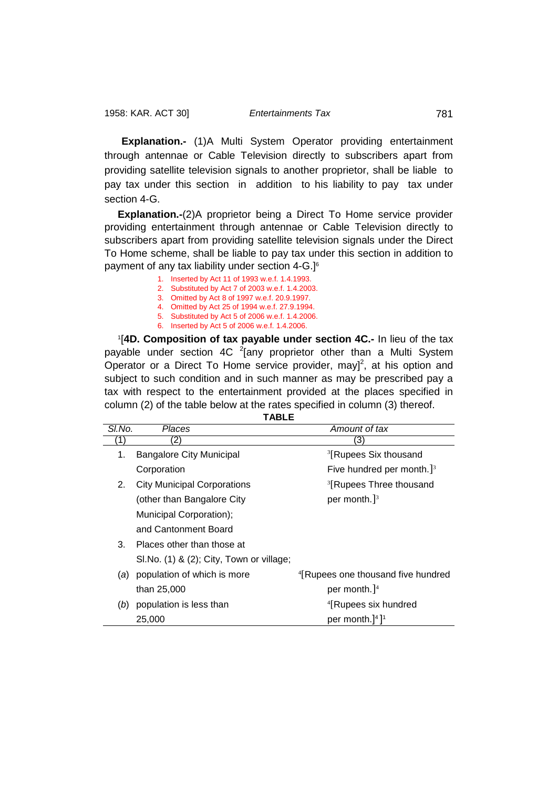**Explanation.-** (1)A Multi System Operator providing entertainment through antennae or Cable Television directly to subscribers apart from providing satellite television signals to another proprietor, shall be liable to pay tax under this section in addition to his liability to pay tax under section 4-G.

**Explanation.-**(2)A proprietor being a Direct To Home service provider providing entertainment through antennae or Cable Television directly to subscribers apart from providing satellite television signals under the Direct To Home scheme, shall be liable to pay tax under this section in addition to payment of any tax liability under section 4-G.] 6

- 1. Inserted by Act 11 of 1993 w.e.f. 1.4.1993.
- 2. Substituted by Act 7 of 2003 w.e.f. 1.4.2003.
- 3. Omitted by Act 8 of 1997 w.e.f. 20.9.1997.
- 4. Omitted by Act 25 of 1994 w.e.f. 27.9.1994. 5. Substituted by Act 5 of 2006 w.e.f. 1.4.2006.
- 6. Inserted by Act 5 of 2006 w.e.f. 1.4.2006.

1 [**4D. Composition of tax payable under section 4C.-** In lieu of the tax payable under section 4C <sup>2</sup>[any proprietor other than a Multi System Operator or a Direct To Home service provider, may]<sup>2</sup>, at his option and subject to such condition and in such manner as may be prescribed pay a tax with respect to the entertainment provided at the places specified in column (2) of the table below at the rates specified in column (3) thereof.

**TABLE**

| SI.No. | Places                                    | Amount of tax                                  |
|--------|-------------------------------------------|------------------------------------------------|
|        |                                           | 3                                              |
| 1.     | <b>Bangalore City Municipal</b>           | <sup>3</sup> [Rupees Six thousand              |
|        | Corporation                               | Five hundred per month. $J^3$                  |
| 2.     | <b>City Municipal Corporations</b>        | <sup>3</sup> [Rupees Three thousand            |
|        | (other than Bangalore City                | per month.] $3$                                |
|        | Municipal Corporation);                   |                                                |
|        | and Cantonment Board                      |                                                |
| 3.     | Places other than those at                |                                                |
|        | SI. No. (1) & (2); City, Town or village; |                                                |
| (a)    | population of which is more               | <sup>4</sup> [Rupees one thousand five hundred |
|        | than 25,000                               | per month. $]$ <sup>4</sup>                    |
| (b)    | population is less than                   | <sup>4</sup> [Rupees six hundred               |
|        | 25,000                                    | per month.] <sup>4</sup> ] <sup>1</sup>        |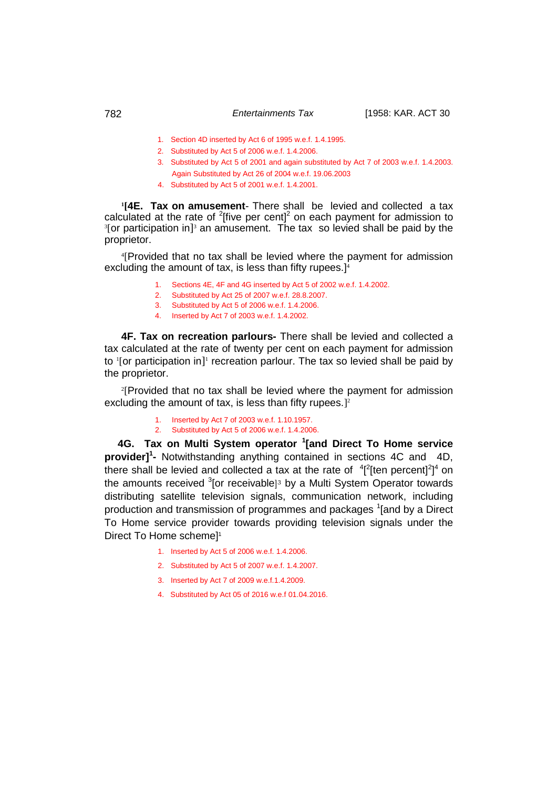- 1. Section 4D inserted by Act 6 of 1995 w.e.f. 1.4.1995.
- 2. Substituted by Act 5 of 2006 w.e.f. 1.4.2006.
- 3. Substituted by Act 5 of 2001 and again substituted by Act 7 of 2003 w.e.f. 1.4.2003. Again Substituted by Act 26 of 2004 w.e.f. 19.06.2003
- 4. Substituted by Act 5 of 2001 w.e.f. 1.4.2001.

**1 [4E. Tax on amusement**- There shall be levied and collected a tax calculated at the rate of  $2$ [five per cent] $2$  on each payment for admission to <sup>3</sup>[or participation in]<sup>3</sup> an amusement. The tax so levied shall be paid by the proprietor.

4 [Provided that no tax shall be levied where the payment for admission excluding the amount of tax, is less than fifty rupees.<sup>14</sup>

- 1. Sections 4E, 4F and 4G inserted by Act 5 of 2002 w.e.f. 1.4.2002.
- 2. Substituted by Act 25 of 2007 w.e.f. 28.8.2007.
- 3. Substituted by Act 5 of 2006 w.e.f. 1.4.2006.
- 4. Inserted by Act 7 of 2003 w.e.f. 1.4.2002.

**4F. Tax on recreation parlours-** There shall be levied and collected a tax calculated at the rate of twenty per cent on each payment for admission to <sup>1</sup>[or participation in]<sup>1</sup> recreation parlour. The tax so levied shall be paid by the proprietor.

2 [Provided that no tax shall be levied where the payment for admission excluding the amount of tax, is less than fifty rupees.] $2$ 

> 1. Inserted by Act 7 of 2003 w.e.f. 1.10.1957. 2. Substituted by Act 5 of 2006 w.e.f. 1.4.2006.

 **4G. Tax on Multi System operator <sup>1</sup> [and Direct To Home service provider] 1 -** Notwithstanding anything contained in sections 4C and 4D, there shall be levied and collected a tax at the rate of  $4^{2}$ [ten percent]<sup>2</sup>]<sup>4</sup> on the amounts received <sup>3</sup>[or receivable]<sup>3</sup> by a Multi System Operator towards distributing satellite television signals, communication network, including production and transmission of programmes and packages <sup>1</sup>[and by a Direct To Home service provider towards providing television signals under the Direct To Home scheme] 1

- 1. Inserted by Act 5 of 2006 w.e.f. 1.4.2006.
- 2. Substituted by Act 5 of 2007 w.e.f. 1.4.2007.
- 3. Inserted by Act 7 of 2009 w.e.f.1.4.2009.
- 4. Substituted by Act 05 of 2016 w.e.f 01.04.2016.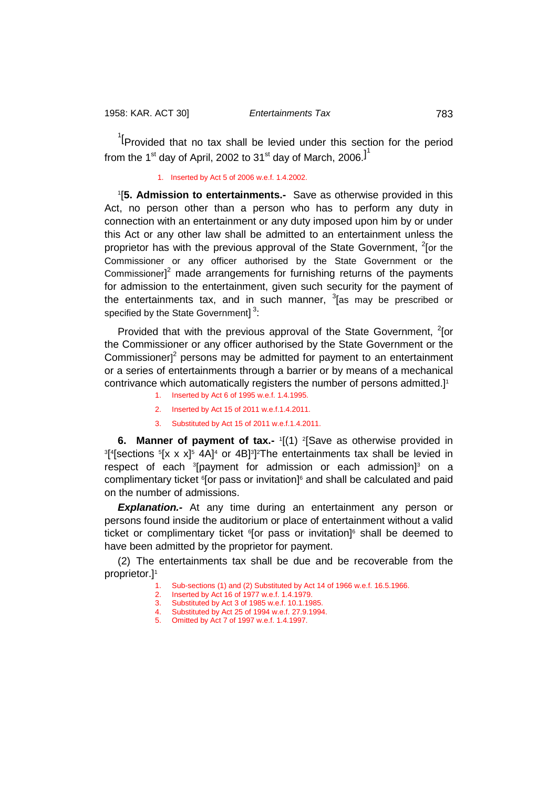<sup>1</sup><sup>[</sup>Provided that no tax shall be levied under this section for the period from the 1 $^{\rm st}$  day of April, 2002 to 31 $^{\rm st}$  day of March, 2006. ${\rm l}^{\rm 1}$ 

1. Inserted by Act 5 of 2006 w.e.f. 1.4.2002.

1 [**5. Admission to entertainments.-** Save as otherwise provided in this Act, no person other than a person who has to perform any duty in connection with an entertainment or any duty imposed upon him by or under this Act or any other law shall be admitted to an entertainment unless the proprietor has with the previous approval of the State Government, <sup>2</sup>[or the Commissioner or any officer authorised by the State Government or the Commissioner] $<sup>2</sup>$  made arrangements for furnishing returns of the payments</sup> for admission to the entertainment, given such security for the payment of the entertainments tax, and in such manner, <sup>3</sup> [as may be prescribed or specified by the State Government]<sup>3</sup>:

Provided that with the previous approval of the State Government,  $2$ [or the Commissioner or any officer authorised by the State Government or the Commissioner $l^2$  persons may be admitted for payment to an entertainment or a series of entertainments through a barrier or by means of a mechanical contrivance which automatically registers the number of persons admitted.]<sup>1</sup>

- 1. Inserted by Act 6 of 1995 w.e.f. 1.4.1995. 2. Inserted by Act 15 of 2011 w.e.f.1.4.2011.
- 3. Substituted by Act 15 of 2011 w.e.f.1.4.2011.

**6. Manner of payment of tax.-** '[(1) <sup>2</sup>[Save as otherwise provided in<br><sup>3[4</sup>[sections <sup>5[</sup>x x x]<sup>5</sup> 4A]<sup>4</sup> or 4R]<sup>3]2</sup>The entertainments tax shall be levied in [ $\frac{4}{5}$  sections  $\frac{5}{2}$  x x]<sup>5</sup> 4A]<sup>4</sup> or 4B]<sup>3</sup>]<sup>2</sup>The entertainments tax shall be levied in respect of each 3 [payment for admission or each admission]3 on a complimentary ticket <sup>6</sup>[or pass or invitation]<sup>6</sup> and shall be calculated and paid on the number of admissions.

*Explanation.-* At any time during an entertainment any person or persons found inside the auditorium or place of entertainment without a valid ticket or complimentary ticket <sup>6</sup>[or pass or invitation]<sup>6</sup> shall be deemed to have been admitted by the proprietor for payment.

(2) The entertainments tax shall be due and be recoverable from the proprietor.]1

- Sub-sections (1) and (2) Substituted by Act 14 of 1966 w.e.f. 16.5.1966.
- 2. Inserted by Act 16 of 1977 w.e.f. 1.4.1979.
- 3. Substituted by Act 3 of 1985 w.e.f. 10.1.1985.
- 4. Substituted by Act 25 of 1994 w.e.f. 27.9.1994.
- 5. Omitted by Act 7 of 1997 w.e.f. 1.4.1997.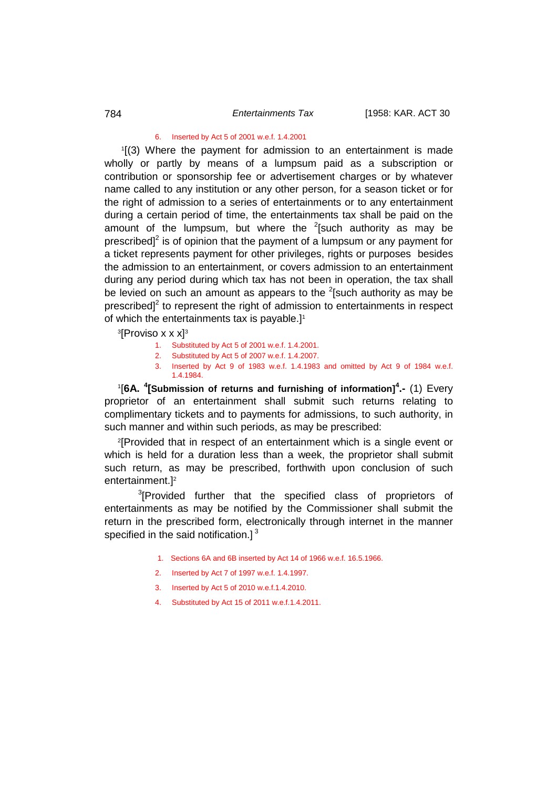#### 6. Inserted by Act 5 of 2001 w.e.f. 1.4.2001

1 [(3) Where the payment for admission to an entertainment is made wholly or partly by means of a lumpsum paid as a subscription or contribution or sponsorship fee or advertisement charges or by whatever name called to any institution or any other person, for a season ticket or for the right of admission to a series of entertainments or to any entertainment during a certain period of time, the entertainments tax shall be paid on the amount of the lumpsum, but where the  $2$ [such authority as may be prescribed] $2$  is of opinion that the payment of a lumpsum or any payment for a ticket represents payment for other privileges, rights or purposes besides the admission to an entertainment, or covers admission to an entertainment during any period during which tax has not been in operation, the tax shall be levied on such an amount as appears to the  $2$ [such authority as may be prescribed $\mathsf{I}^2$  to represent the right of admission to entertainments in respect of which the entertainments tax is payable.]<sup>1</sup>

 $^3$ [Proviso x x x] $^3$ 

- 1. Substituted by Act 5 of 2001 w.e.f. 1.4.2001.
- 2. Substituted by Act 5 of 2007 w.e.f. 1.4.2007.
- 3. Inserted by Act 9 of 1983 w.e.f. 1.4.1983 and omitted by Act 9 of 1984 w.e.f. 1.4.1984.

1 [**6A. <sup>4</sup> [Submission of returns and furnishing of information]<sup>4</sup> .-** (1) Every proprietor of an entertainment shall submit such returns relating to complimentary tickets and to payments for admissions, to such authority, in such manner and within such periods, as may be prescribed:

2 [Provided that in respect of an entertainment which is a single event or which is held for a duration less than a week, the proprietor shall submit such return, as may be prescribed, forthwith upon conclusion of such entertainment.]2

<sup>3</sup>[Provided further that the specified class of proprietors of entertainments as may be notified by the Commissioner shall submit the return in the prescribed form, electronically through internet in the manner specified in the said notification.] $<sup>3</sup>$ </sup>

- 1. Sections 6A and 6B inserted by Act 14 of 1966 w.e.f. 16.5.1966.
- 2. Inserted by Act 7 of 1997 w.e.f. 1.4.1997.
- 3. Inserted by Act 5 of 2010 w.e.f.1.4.2010.
- 4. Substituted by Act 15 of 2011 w.e.f.1.4.2011.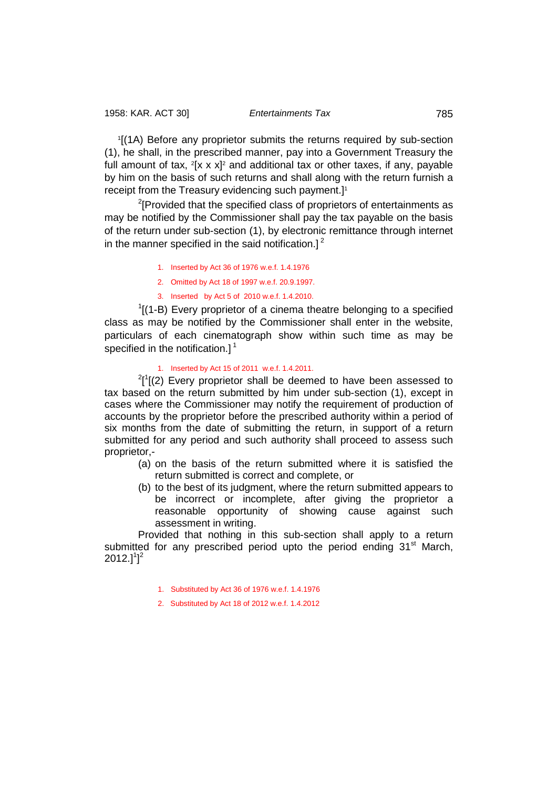1 [(1A) Before any proprietor submits the returns required by sub-section (1), he shall, in the prescribed manner, pay into a Government Treasury the full amount of tax,  $2[x \times x]^2$  and additional tax or other taxes, if any, payable by him on the basis of such returns and shall along with the return furnish a receipt from the Treasury evidencing such payment.]<sup>1</sup>

<sup>2</sup>[Provided that the specified class of proprietors of entertainments as may be notified by the Commissioner shall pay the tax payable on the basis of the return under sub-section (1), by electronic remittance through internet in the manner specified in the said notification.]<sup>2</sup>

- 1. Inserted by Act 36 of 1976 w.e.f. 1.4.1976
- 2. Omitted by Act 18 of 1997 w.e.f. 20.9.1997.
- 3. Inserted by Act 5 of 2010 w.e.f. 1.4.2010.

 $1$ [(1-B) Every proprietor of a cinema theatre belonging to a specified class as may be notified by the Commissioner shall enter in the website, particulars of each cinematograph show within such time as may be specified in the notification. $l^1$ 

## 1. Inserted by Act 15 of 2011 w.e.f. 1.4.2011.

 $^{2}$ [1 $[$ (2) Every proprietor shall be deemed to have been assessed to tax based on the return submitted by him under sub-section (1), except in cases where the Commissioner may notify the requirement of production of accounts by the proprietor before the prescribed authority within a period of six months from the date of submitting the return, in support of a return submitted for any period and such authority shall proceed to assess such proprietor,-

- (a) on the basis of the return submitted where it is satisfied the return submitted is correct and complete, or
- (b) to the best of its judgment, where the return submitted appears to be incorrect or incomplete, after giving the proprietor a reasonable opportunity of showing cause against such assessment in writing.

Provided that nothing in this sub-section shall apply to a return submitted for any prescribed period upto the period ending  $31<sup>st</sup>$  March,  $2012.]^1]^2$ 

- 1. Substituted by Act 36 of 1976 w.e.f. 1.4.1976
- 2. Substituted by Act 18 of 2012 w.e.f. 1.4.2012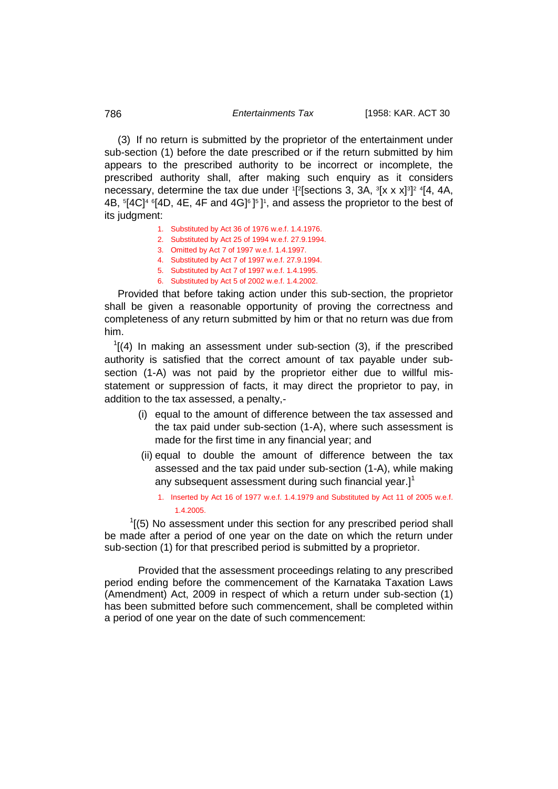## 786 *Entertainments Tax* [1958: KAR. ACT 30

(3) If no return is submitted by the proprietor of the entertainment under sub-section (1) before the date prescribed or if the return submitted by him appears to the prescribed authority to be incorrect or incomplete, the prescribed authority shall, after making such enquiry as it considers necessary, determine the tax due under <sup>1</sup>[<sup>2</sup>[sections 3, 3A, <sup>3</sup>[x x x]<sup>3</sup>]<sup>2</sup> <sup>4</sup>[4, 4A, 4B,  $5[4C]^4$   $6[4D, 4E, 4F$  and  $4G]$  $6[5]$ , and assess the proprietor to the best of its judgment:

- 1. Substituted by Act 36 of 1976 w.e.f. 1.4.1976.
- 2. Substituted by Act 25 of 1994 w.e.f. 27.9.1994.
- 3. Omitted by Act 7 of 1997 w.e.f. 1.4.1997.
- 4. Substituted by Act 7 of 1997 w.e.f. 27.9.1994.
- 5. Substituted by Act 7 of 1997 w.e.f. 1.4.1995.
- 6. Substituted by Act 5 of 2002 w.e.f. 1.4.2002.

Provided that before taking action under this sub-section, the proprietor shall be given a reasonable opportunity of proving the correctness and completeness of any return submitted by him or that no return was due from him.

 $1$ [(4) In making an assessment under sub-section (3), if the prescribed authority is satisfied that the correct amount of tax payable under subsection (1-A) was not paid by the proprietor either due to willful misstatement or suppression of facts, it may direct the proprietor to pay, in addition to the tax assessed, a penalty,-

- (i) equal to the amount of difference between the tax assessed and the tax paid under sub-section (1-A), where such assessment is made for the first time in any financial year; and
- (ii) equal to double the amount of difference between the tax assessed and the tax paid under sub-section (1-A), while making any subsequent assessment during such financial year.] $<sup>1</sup>$ </sup>
	- 1. Inserted by Act 16 of 1977 w.e.f. 1.4.1979 and Substituted by Act 11 of 2005 w.e.f. 1.4.2005.

 $1(5)$  No assessment under this section for any prescribed period shall be made after a period of one year on the date on which the return under sub-section (1) for that prescribed period is submitted by a proprietor.

Provided that the assessment proceedings relating to any prescribed period ending before the commencement of the Karnataka Taxation Laws (Amendment) Act, 2009 in respect of which a return under sub-section (1) has been submitted before such commencement, shall be completed within a period of one year on the date of such commencement: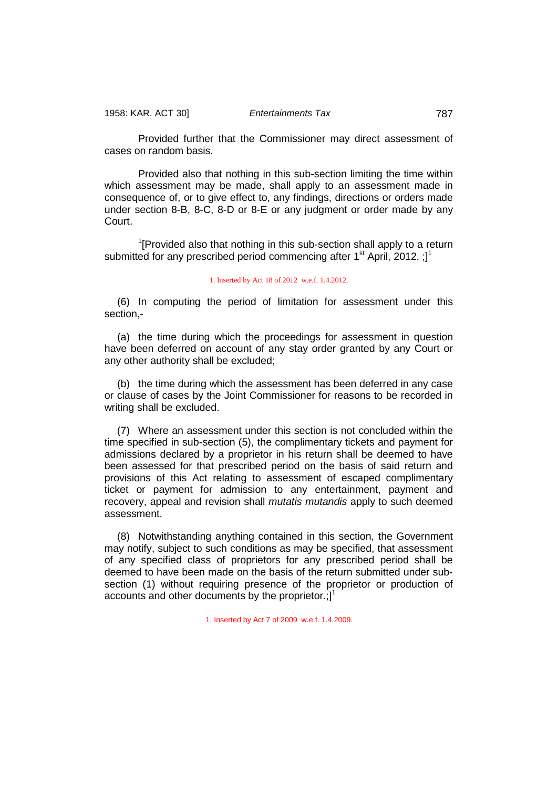Provided further that the Commissioner may direct assessment of cases on random basis.

Provided also that nothing in this sub-section limiting the time within which assessment may be made, shall apply to an assessment made in consequence of, or to give effect to, any findings, directions or orders made under section 8-B, 8-C, 8-D or 8-E or any judgment or order made by any Court.

<sup>1</sup>[Provided also that nothing in this sub-section shall apply to a return submitted for any prescribed period commencing after  $1<sup>st</sup>$  April, 2012. ; ]<sup>1</sup>

#### 1. Inserted by Act 18 of 2012 w.e.f. 1.4.2012.

(6) In computing the period of limitation for assessment under this section,-

(a) the time during which the proceedings for assessment in question have been deferred on account of any stay order granted by any Court or any other authority shall be excluded;

(b) the time during which the assessment has been deferred in any case or clause of cases by the Joint Commissioner for reasons to be recorded in writing shall be excluded.

(7) Where an assessment under this section is not concluded within the time specified in sub-section (5), the complimentary tickets and payment for admissions declared by a proprietor in his return shall be deemed to have been assessed for that prescribed period on the basis of said return and provisions of this Act relating to assessment of escaped complimentary ticket or payment for admission to any entertainment, payment and recovery, appeal and revision shall *mutatis mutandis* apply to such deemed assessment.

(8) Notwithstanding anything contained in this section, the Government may notify, subject to such conditions as may be specified, that assessment of any specified class of proprietors for any prescribed period shall be deemed to have been made on the basis of the return submitted under subsection (1) without requiring presence of the proprietor or production of accounts and other documents by the proprietor.; $]$ <sup>1</sup>

1. Inserted by Act 7 of 2009 w.e.f. 1.4.2009.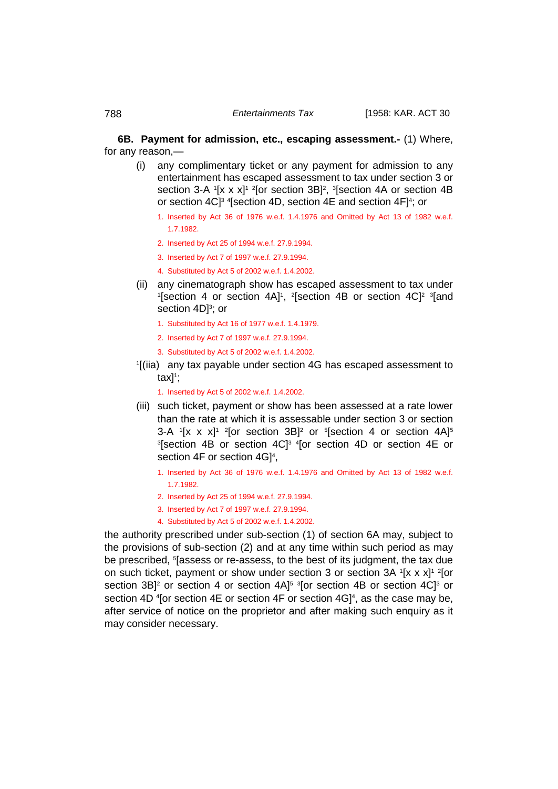**6B. Payment for admission, etc., escaping assessment.-** (1) Where, for any reason,—

- (i) any complimentary ticket or any payment for admission to any entertainment has escaped assessment to tax under section 3 or section 3-A  $[$ x x x] $]$ <sup>2</sup> [or section 3B]<sup>2</sup>, <sup>3</sup>[section 4A or section 4B or section 4C]3 <sup>4</sup> [section 4D, section 4E and section 4F]4 ; or
	- 1. Inserted by Act 36 of 1976 w.e.f. 1.4.1976 and Omitted by Act 13 of 1982 w.e.f. 1.7.1982.
	- 2. Inserted by Act 25 of 1994 w.e.f. 27.9.1994.
	- 3. Inserted by Act 7 of 1997 w.e.f. 27.9.1994.
	- 4. Substituted by Act 5 of 2002 w.e.f. 1.4.2002.
- (ii) any cinematograph show has escaped assessment to tax under [section 4 or section 4A]<sup>1</sup>, <sup>2</sup>[section 4B or section 4C]<sup>2</sup> <sup>3</sup>[and section 4D]<sup>3</sup>; or
	- 1. Substituted by Act 16 of 1977 w.e.f. 1.4.1979.
	- 2. Inserted by Act 7 of 1997 w.e.f. 27.9.1994.
	- 3. Substituted by Act 5 of 2002 w.e.f. 1.4.2002.
- 1 [(iia) any tax payable under section 4G has escaped assessment to tax]1;

1. Inserted by Act 5 of 2002 w.e.f. 1.4.2002.

- (iii) such ticket, payment or show has been assessed at a rate lower than the rate at which it is assessable under section 3 or section 3-A  $[$ [x x x]<sup>1</sup> <sup>2</sup>[or section 3B]<sup>2</sup> or  $5$ [section 4 or section 4A]<sup>5</sup> 3 [section 4B or section 4C]3 4[or section 4D or section 4E or section 4F or section  $4G]^4$ ,
	- 1. Inserted by Act 36 of 1976 w.e.f. 1.4.1976 and Omitted by Act 13 of 1982 w.e.f. 1.7.1982.
	- 2. Inserted by Act 25 of 1994 w.e.f. 27.9.1994.
	- 3. Inserted by Act 7 of 1997 w.e.f. 27.9.1994.
	- 4. Substituted by Act 5 of 2002 w.e.f. 1.4.2002.

the authority prescribed under sub-section (1) of section 6A may, subject to the provisions of sub-section (2) and at any time within such period as may be prescribed, <sup>s</sup>[assess or re-assess, to the best of its judgment, the tax due on such ticket, payment or show under section 3 or section 3A <sup>1</sup>[x x x]<sup>1 2</sup>[or section 3B]<sup>2</sup> or section 4 or section 4A]<sup>5 3</sup>[or section 4B or section 4C]<sup>3</sup> or section 4D 4 [or section 4E or section 4F or section 4G] 4 , as the case may be, after service of notice on the proprietor and after making such enquiry as it may consider necessary.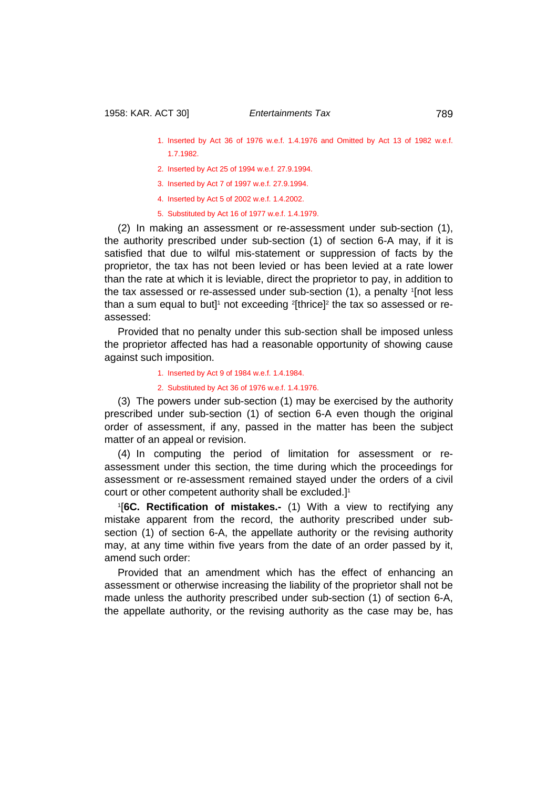- 1. Inserted by Act 36 of 1976 w.e.f. 1.4.1976 and Omitted by Act 13 of 1982 w.e.f. 1.7.1982.
- 2. Inserted by Act 25 of 1994 w.e.f. 27.9.1994.
- 3. Inserted by Act 7 of 1997 w.e.f. 27.9.1994.
- 4. Inserted by Act 5 of 2002 w.e.f. 1.4.2002.
- 5. Substituted by Act 16 of 1977 w.e.f. 1.4.1979.

(2) In making an assessment or re-assessment under sub-section (1), the authority prescribed under sub-section (1) of section 6-A may, if it is satisfied that due to wilful mis-statement or suppression of facts by the proprietor, the tax has not been levied or has been levied at a rate lower than the rate at which it is leviable, direct the proprietor to pay, in addition to the tax assessed or re-assessed under sub-section (1), a penalty 1 [not less than a sum equal to but]1 not exceeding  $^{\textrm{2}}$ [thrice] $^{\textrm{2}}$  the tax so assessed or reassessed:

Provided that no penalty under this sub-section shall be imposed unless the proprietor affected has had a reasonable opportunity of showing cause against such imposition.

1. Inserted by Act 9 of 1984 w.e.f. 1.4.1984.

2. Substituted by Act 36 of 1976 w.e.f. 1.4.1976.

(3) The powers under sub-section (1) may be exercised by the authority prescribed under sub-section (1) of section 6-A even though the original order of assessment, if any, passed in the matter has been the subject matter of an appeal or revision.

(4) In computing the period of limitation for assessment or reassessment under this section, the time during which the proceedings for assessment or re-assessment remained stayed under the orders of a civil court or other competent authority shall be excluded.]<sup>1</sup>

1 [**6C. Rectification of mistakes.-** (1) With a view to rectifying any mistake apparent from the record, the authority prescribed under subsection (1) of section 6-A, the appellate authority or the revising authority may, at any time within five years from the date of an order passed by it, amend such order:

Provided that an amendment which has the effect of enhancing an assessment or otherwise increasing the liability of the proprietor shall not be made unless the authority prescribed under sub-section (1) of section 6-A, the appellate authority, or the revising authority as the case may be, has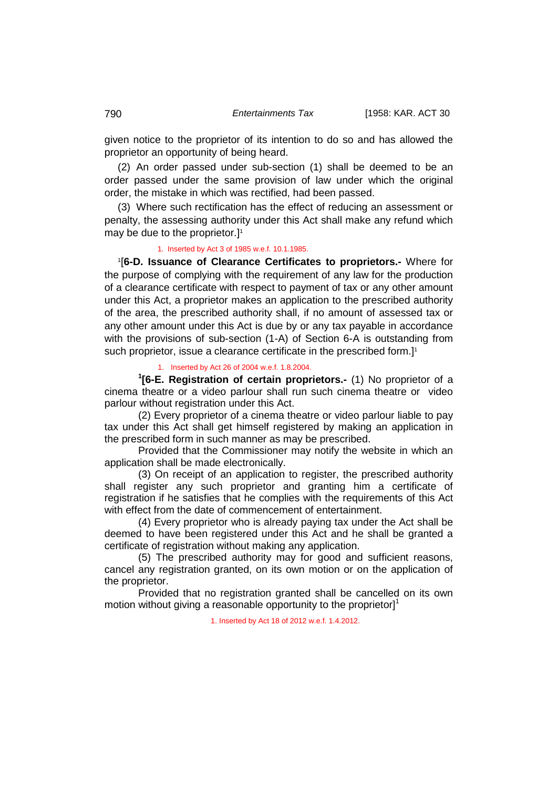given notice to the proprietor of its intention to do so and has allowed the proprietor an opportunity of being heard.

(2) An order passed under sub-section (1) shall be deemed to be an order passed under the same provision of law under which the original order, the mistake in which was rectified, had been passed.

(3) Where such rectification has the effect of reducing an assessment or penalty, the assessing authority under this Act shall make any refund which may be due to the proprietor.]<sup>1</sup>

## 1. Inserted by Act 3 of 1985 w.e.f. 10.1.1985.

1 [**6-D. Issuance of Clearance Certificates to proprietors.-** Where for the purpose of complying with the requirement of any law for the production of a clearance certificate with respect to payment of tax or any other amount under this Act, a proprietor makes an application to the prescribed authority of the area, the prescribed authority shall, if no amount of assessed tax or any other amount under this Act is due by or any tax payable in accordance with the provisions of sub-section (1-A) of Section 6-A is outstanding from such proprietor, issue a clearance certificate in the prescribed form.<sup>11</sup>

#### 1. Inserted by Act 26 of 2004 w.e.f. 1.8.2004.

**1 [6-E. Registration of certain proprietors.-** (1) No proprietor of a cinema theatre or a video parlour shall run such cinema theatre or video parlour without registration under this Act.

(2) Every proprietor of a cinema theatre or video parlour liable to pay tax under this Act shall get himself registered by making an application in the prescribed form in such manner as may be prescribed.

Provided that the Commissioner may notify the website in which an application shall be made electronically.

(3) On receipt of an application to register, the prescribed authority shall register any such proprietor and granting him a certificate of registration if he satisfies that he complies with the requirements of this Act with effect from the date of commencement of entertainment.

(4) Every proprietor who is already paying tax under the Act shall be deemed to have been registered under this Act and he shall be granted a certificate of registration without making any application.

(5) The prescribed authority may for good and sufficient reasons, cancel any registration granted, on its own motion or on the application of the proprietor.

Provided that no registration granted shall be cancelled on its own motion without giving a reasonable opportunity to the proprietor]<sup>1</sup>

1. Inserted by Act 18 of 2012 w.e.f. 1.4.2012.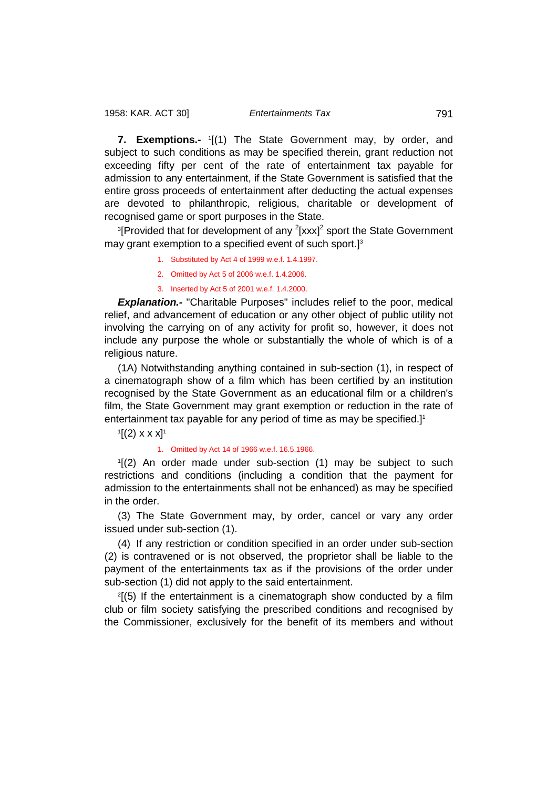**7. Exemptions.-** <sup>1</sup> [(1) The State Government may, by order, and subject to such conditions as may be specified therein, grant reduction not exceeding fifty per cent of the rate of entertainment tax payable for admission to any entertainment, if the State Government is satisfied that the entire gross proceeds of entertainment after deducting the actual expenses are devoted to philanthropic, religious, charitable or development of recognised game or sport purposes in the State.

<sup>3</sup>[Provided that for development of any <sup>2</sup>[xxx]<sup>2</sup> sport the State Government may grant exemption to a specified event of such sport.]<sup>3</sup>

- 1. Substituted by Act 4 of 1999 w.e.f. 1.4.1997.
- 2. Omitted by Act 5 of 2006 w.e.f. 1.4.2006.
- 3. Inserted by Act 5 of 2001 w.e.f. 1.4.2000.

**Explanation.-** "Charitable Purposes" includes relief to the poor, medical relief, and advancement of education or any other object of public utility not involving the carrying on of any activity for profit so, however, it does not include any purpose the whole or substantially the whole of which is of a religious nature.

(1A) Notwithstanding anything contained in sub-section (1), in respect of a cinematograph show of a film which has been certified by an institution recognised by the State Government as an educational film or a children's film, the State Government may grant exemption or reduction in the rate of entertainment tax payable for any period of time as may be specified.]<sup>1</sup>

 $\rm ^1[(2)$  x x x]<sup>1</sup>

#### 1. Omitted by Act 14 of 1966 w.e.f. 16.5.1966.

1 [(2) An order made under sub-section (1) may be subject to such restrictions and conditions (including a condition that the payment for admission to the entertainments shall not be enhanced) as may be specified in the order.

(3) The State Government may, by order, cancel or vary any order issued under sub-section (1).

(4) If any restriction or condition specified in an order under sub-section (2) is contravened or is not observed, the proprietor shall be liable to the payment of the entertainments tax as if the provisions of the order under sub-section (1) did not apply to the said entertainment.

2 [(5) If the entertainment is a cinematograph show conducted by a film club or film society satisfying the prescribed conditions and recognised by the Commissioner, exclusively for the benefit of its members and without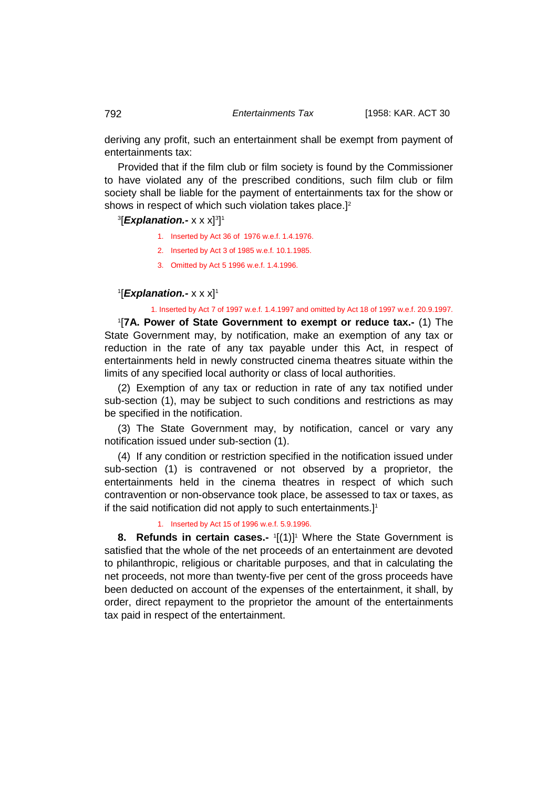deriving any profit, such an entertainment shall be exempt from payment of entertainments tax:

Provided that if the film club or film society is found by the Commissioner to have violated any of the prescribed conditions, such film club or film society shall be liable for the payment of entertainments tax for the show or shows in respect of which such violation takes place.]<sup>2</sup>

# 3 [*Explanation.-* x x x]3 ] 1

- 1. Inserted by Act 36 of 1976 w.e.f. 1.4.1976.
- 2. Inserted by Act 3 of 1985 w.e.f. 10.1.1985.
- 3. Omitted by Act 5 1996 w.e.f. 1.4.1996.

# 1**[***Explanation.-* **x x x]**1

1. Inserted by Act 7 of 1997 w.e.f. 1.4.1997 and omitted by Act 18 of 1997 w.e.f. 20.9.1997.

1 [**7A. Power of State Government to exempt or reduce tax.-** (1) The State Government may, by notification, make an exemption of any tax or reduction in the rate of any tax payable under this Act, in respect of entertainments held in newly constructed cinema theatres situate within the limits of any specified local authority or class of local authorities.

(2) Exemption of any tax or reduction in rate of any tax notified under sub-section (1), may be subject to such conditions and restrictions as may be specified in the notification.

(3) The State Government may, by notification, cancel or vary any notification issued under sub-section (1).

(4) If any condition or restriction specified in the notification issued under sub-section (1) is contravened or not observed by a proprietor, the entertainments held in the cinema theatres in respect of which such contravention or non-observance took place, be assessed to tax or taxes, as if the said notification did not apply to such entertainments.]<sup>1</sup>

# 1. Inserted by Act 15 of 1996 w.e.f. 5.9.1996.

**8. Refunds in certain cases.-**  $1[(1)]$ <sup>1</sup> Where the State Government is satisfied that the whole of the net proceeds of an entertainment are devoted to philanthropic, religious or charitable purposes, and that in calculating the net proceeds, not more than twenty-five per cent of the gross proceeds have been deducted on account of the expenses of the entertainment, it shall, by order, direct repayment to the proprietor the amount of the entertainments tax paid in respect of the entertainment.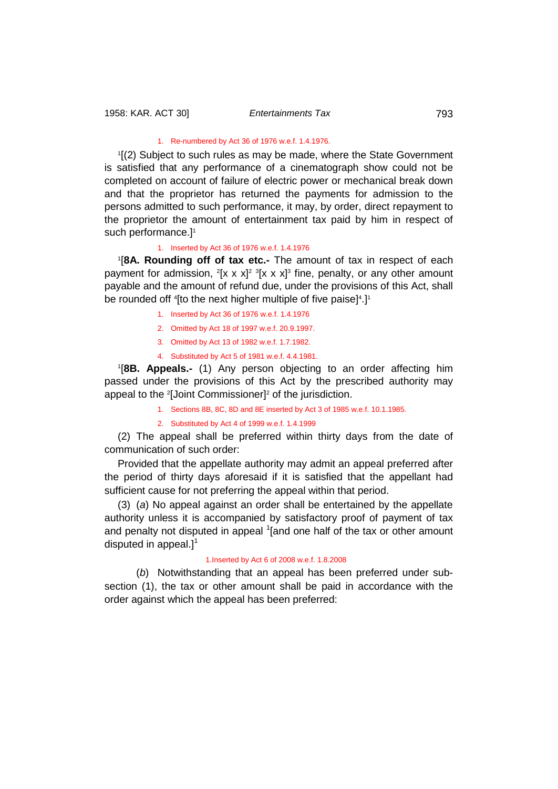#### 1. Re-numbered by Act 36 of 1976 w.e.f. 1.4.1976.

1 [(2) Subject to such rules as may be made, where the State Government is satisfied that any performance of a cinematograph show could not be completed on account of failure of electric power or mechanical break down and that the proprietor has returned the payments for admission to the persons admitted to such performance, it may, by order, direct repayment to the proprietor the amount of entertainment tax paid by him in respect of such performance.]<sup>1</sup>

### 1. Inserted by Act 36 of 1976 w.e.f. 1.4.1976

1 [**8A. Rounding off of tax etc.-** The amount of tax in respect of each payment for admission, <sup>2</sup>[x x x]<sup>2 3</sup>[x x x]<sup>3</sup> fine, penalty, or any other amount payable and the amount of refund due, under the provisions of this Act, shall be rounded off <sup>4</sup>[to the next higher multiple of five paise]<sup>4</sup>.]<sup>1</sup>

- 1. Inserted by Act 36 of 1976 w.e.f. 1.4.1976
- 2. Omitted by Act 18 of 1997 w.e.f. 20.9.1997.
- 3. Omitted by Act 13 of 1982 w.e.f. 1.7.1982.
- 4. Substituted by Act 5 of 1981 w.e.f. 4.4.1981.

1 [**8B. Appeals.-** (1) Any person objecting to an order affecting him passed under the provisions of this Act by the prescribed authority may appeal to the 2 [Joint Commissioner]2 of the jurisdiction.

- 1. Sections 8B, 8C, 8D and 8E inserted by Act 3 of 1985 w.e.f. 10.1.1985.
- 2. Substituted by Act 4 of 1999 w.e.f. 1.4.1999

(2) The appeal shall be preferred within thirty days from the date of communication of such order:

Provided that the appellate authority may admit an appeal preferred after the period of thirty days aforesaid if it is satisfied that the appellant had sufficient cause for not preferring the appeal within that period.

(3) (*a*) No appeal against an order shall be entertained by the appellate authority unless it is accompanied by satisfactory proof of payment of tax and penalty not disputed in appeal <sup>1</sup>[and one half of the tax or other amount disputed in appeal.]<sup>1</sup>

## 1.Inserted by Act 6 of 2008 w.e.f. 1.8.2008

(*b*) Notwithstanding that an appeal has been preferred under subsection (1), the tax or other amount shall be paid in accordance with the order against which the appeal has been preferred: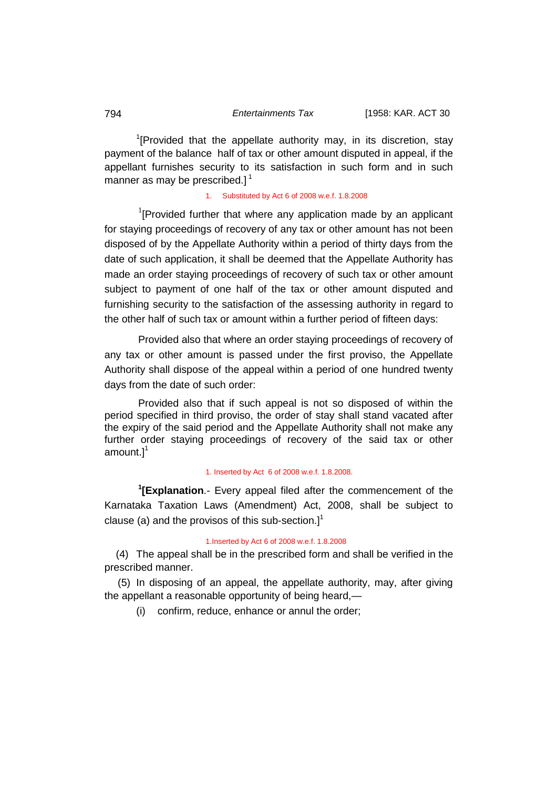<sup>1</sup>[Provided that the appellate authority may, in its discretion, stay payment of the balance half of tax or other amount disputed in appeal, if the appellant furnishes security to its satisfaction in such form and in such manner as may be prescribed.] $<sup>1</sup>$ </sup>

## 1. Substituted by Act 6 of 2008 w.e.f. 1.8.2008

 $1$ [Provided further that where any application made by an applicant for staying proceedings of recovery of any tax or other amount has not been disposed of by the Appellate Authority within a period of thirty days from the date of such application, it shall be deemed that the Appellate Authority has made an order staying proceedings of recovery of such tax or other amount subject to payment of one half of the tax or other amount disputed and furnishing security to the satisfaction of the assessing authority in regard to the other half of such tax or amount within a further period of fifteen days:

Provided also that where an order staying proceedings of recovery of any tax or other amount is passed under the first proviso, the Appellate Authority shall dispose of the appeal within a period of one hundred twenty days from the date of such order:

Provided also that if such appeal is not so disposed of within the period specified in third proviso, the order of stay shall stand vacated after the expiry of the said period and the Appellate Authority shall not make any further order staying proceedings of recovery of the said tax or other amount. $]^{1}$ 

### 1. Inserted by Act 6 of 2008 w.e.f. 1.8.2008.

**1 [Explanation**.- Every appeal filed after the commencement of the Karnataka Taxation Laws (Amendment) Act, 2008, shall be subject to clause (a) and the provisos of this sub-section.] $<sup>1</sup>$ </sup>

## 1.Inserted by Act 6 of 2008 w.e.f. 1.8.2008

 (4) The appeal shall be in the prescribed form and shall be verified in the prescribed manner.

(5) In disposing of an appeal, the appellate authority, may, after giving the appellant a reasonable opportunity of being heard,—

(i) confirm, reduce, enhance or annul the order;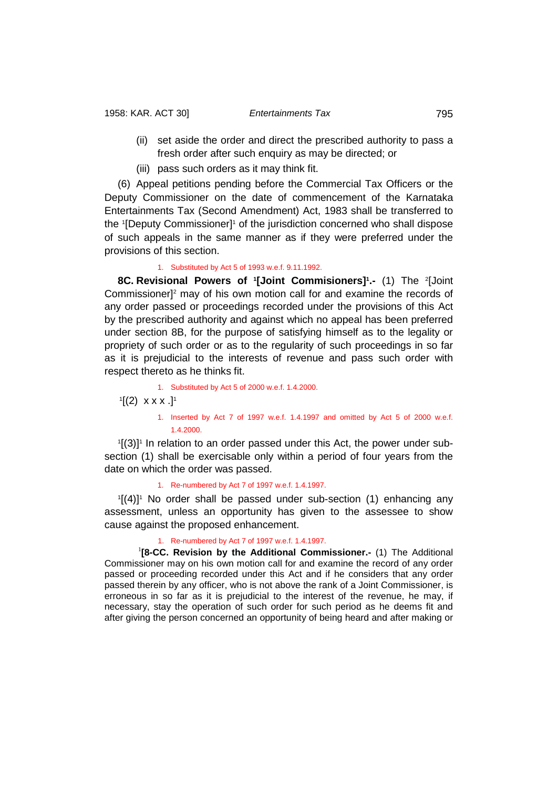- (ii) set aside the order and direct the prescribed authority to pass a fresh order after such enquiry as may be directed; or
- (iii) pass such orders as it may think fit.

(6) Appeal petitions pending before the Commercial Tax Officers or the Deputy Commissioner on the date of commencement of the Karnataka Entertainments Tax (Second Amendment) Act, 1983 shall be transferred to the '[Deputy Commissioner]' of the jurisdiction concerned who shall dispose of such appeals in the same manner as if they were preferred under the provisions of this section.

1. Substituted by Act 5 of 1993 w.e.f. 9.11.1992.

**8C. Revisional Powers of '[Joint Commisioners]'.- (1) The <sup>2</sup>[Joint** Commissioner]2 may of his own motion call for and examine the records of any order passed or proceedings recorded under the provisions of this Act by the prescribed authority and against which no appeal has been preferred under section 8B, for the purpose of satisfying himself as to the legality or propriety of such order or as to the regularity of such proceedings in so far as it is prejudicial to the interests of revenue and pass such order with respect thereto as he thinks fit.

1. Substituted by Act 5 of 2000 w.e.f. 1.4.2000.

 $\lbrack 1 \rbrack (2) \; \; x \; x \; x \; . \rbrack^1$ 

1. Inserted by Act 7 of 1997 w.e.f. 1.4.1997 and omitted by Act 5 of 2000 w.e.f. 1.4.2000.

<sup>1</sup>[(3)]<sup>1</sup> In relation to an order passed under this Act, the power under subsection (1) shall be exercisable only within a period of four years from the date on which the order was passed.

1. Re-numbered by Act 7 of 1997 w.e.f. 1.4.1997.

 $1[(4)]$ <sup>1</sup> No order shall be passed under sub-section (1) enhancing any assessment, unless an opportunity has given to the assessee to show cause against the proposed enhancement.

#### 1. Re-numbered by Act 7 of 1997 w.e.f. 1.4.1997.

<sup>1</sup>[8-CC. Revision by the Additional Commissioner.- (1) The Additional Commissioner may on his own motion call for and examine the record of any order passed or proceeding recorded under this Act and if he considers that any order passed therein by any officer, who is not above the rank of a Joint Commissioner, is erroneous in so far as it is prejudicial to the interest of the revenue, he may, if necessary, stay the operation of such order for such period as he deems fit and after giving the person concerned an opportunity of being heard and after making or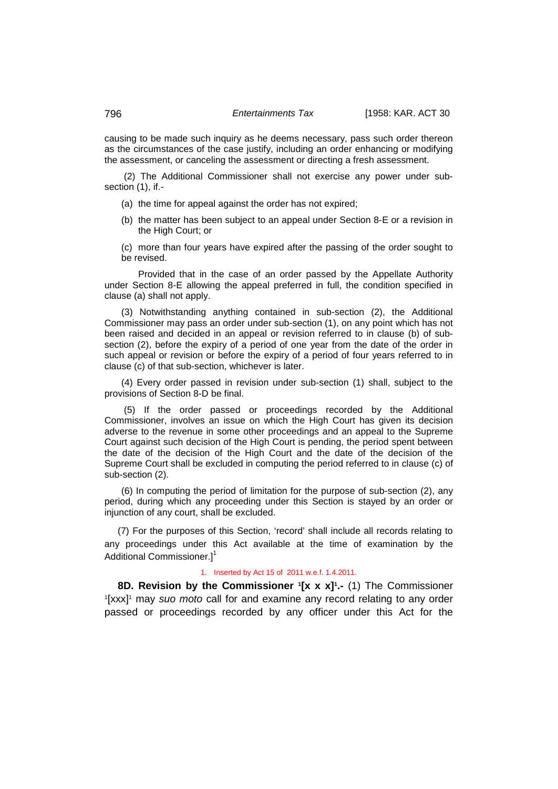causing to be made such inquiry as he deems necessary, pass such order thereon as the circumstances of the case justify, including an order enhancing or modifying the assessment, or canceling the assessment or directing a fresh assessment.

(2) The Additional Commissioner shall not exercise any power under subsection (1), if.-

- (a) the time for appeal against the order has not expired;
- (b) the matter has been subject to an appeal under Section 8-E or a revision in the High Court; or

(c) more than four years have expired after the passing of the order sought to be revised.

Provided that in the case of an order passed by the Appellate Authority under Section 8-E allowing the appeal preferred in full, the condition specified in clause (a) shall not apply.

(3) Notwithstanding anything contained in sub-section (2), the Additional Commissioner may pass an order under sub-section (1), on any point which has not been raised and decided in an appeal or revision referred to in clause (b) of subsection (2), before the expiry of a period of one year from the date of the order in such appeal or revision or before the expiry of a period of four years referred to in clause (c) of that sub-section, whichever is later.

(4) Every order passed in revision under sub-section (1) shall, subject to the provisions of Section 8-D be final.

(5) If the order passed or proceedings recorded by the Additional Commissioner, involves an issue on which the High Court has given its decision adverse to the revenue in some other proceedings and an appeal to the Supreme Court against such decision of the High Court is pending, the period spent between the date of the decision of the High Court and the date of the decision of the Supreme Court shall be excluded in computing the period referred to in clause (c) of sub-section (2).

(6) In computing the period of limitation for the purpose of sub-section (2), any period, during which any proceeding under this Section is stayed by an order or injunction of any court, shall be excluded.

(7) For the purposes of this Section, 'record' shall include all records relating to any proceedings under this Act available at the time of examination by the Additional Commissioner.1<sup>1</sup>

#### 1. Inserted by Act 15 of 2011 w.e.f. 1.4.2011.

**8D. Revision by the Commissioner '[x x x]'.- (1) The Commissioner<br><sup>1</sup>[xxx]<sup>1</sup> may** *suo moto* **call for and examine any record relating to any order** <sup>1</sup>[xxx]<sup>1</sup> may *suo moto* call for and examine any record relating to any order passed or proceedings recorded by any officer under this Act for the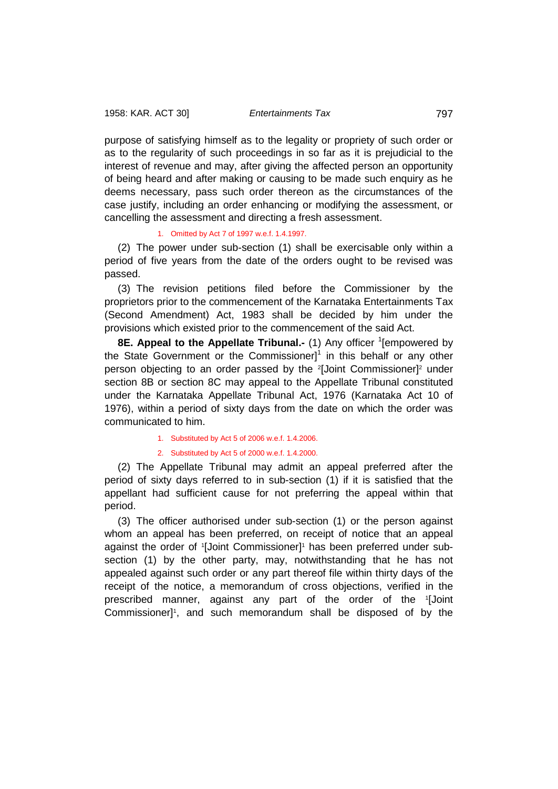purpose of satisfying himself as to the legality or propriety of such order or as to the regularity of such proceedings in so far as it is prejudicial to the interest of revenue and may, after giving the affected person an opportunity of being heard and after making or causing to be made such enquiry as he deems necessary, pass such order thereon as the circumstances of the case justify, including an order enhancing or modifying the assessment, or cancelling the assessment and directing a fresh assessment.

## 1. Omitted by Act 7 of 1997 w.e.f. 1.4.1997.

(2) The power under sub-section (1) shall be exercisable only within a period of five years from the date of the orders ought to be revised was passed.

(3) The revision petitions filed before the Commissioner by the proprietors prior to the commencement of the Karnataka Entertainments Tax (Second Amendment) Act, 1983 shall be decided by him under the provisions which existed prior to the commencement of the said Act.

**8E. Appeal to the Appellate Tribunal.-** (1) Any officer <sup>1</sup>[empowered by the State Government or the Commissioner $l^1$  in this behalf or any other person objecting to an order passed by the <sup>2</sup>[Joint Commissioner]<sup>2</sup> under section 8B or section 8C may appeal to the Appellate Tribunal constituted under the Karnataka Appellate Tribunal Act, 1976 (Karnataka Act 10 of 1976), within a period of sixty days from the date on which the order was communicated to him.

1. Substituted by Act 5 of 2006 w.e.f. 1.4.2006.

2. Substituted by Act 5 of 2000 w.e.f. 1.4.2000.

(2) The Appellate Tribunal may admit an appeal preferred after the period of sixty days referred to in sub-section (1) if it is satisfied that the appellant had sufficient cause for not preferring the appeal within that period.

(3) The officer authorised under sub-section (1) or the person against whom an appeal has been preferred, on receipt of notice that an appeal against the order of '[Joint Commissioner]<sup>1</sup> has been preferred under subsection (1) by the other party, may, notwithstanding that he has not appealed against such order or any part thereof file within thirty days of the receipt of the notice, a memorandum of cross objections, verified in the prescribed manner, against any part of the order of the 1 [Joint Commissioner]<sup>1</sup>, and such memorandum shall be disposed of by the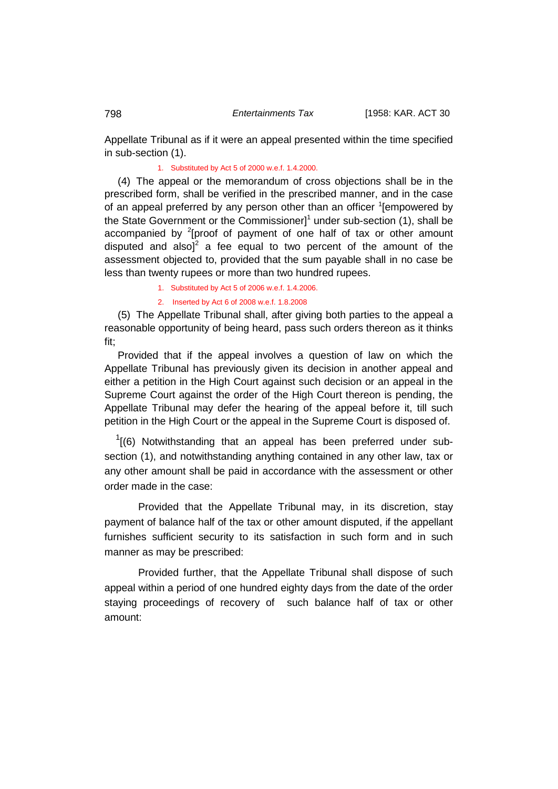Appellate Tribunal as if it were an appeal presented within the time specified in sub-section (1).

## 1. Substituted by Act 5 of 2000 w.e.f. 1.4.2000.

(4) The appeal or the memorandum of cross objections shall be in the prescribed form, shall be verified in the prescribed manner, and in the case of an appeal preferred by any person other than an officer <sup>1</sup>[empowered by the State Government or the Commissioner] $1$  under sub-section (1), shall be accompanied by  $2$ [proof of payment of one half of tax or other amount disputed and also]<sup>2</sup> a fee equal to two percent of the amount of the assessment objected to, provided that the sum payable shall in no case be less than twenty rupees or more than two hundred rupees.

1. Substituted by Act 5 of 2006 w.e.f. 1.4.2006.

2. Inserted by Act 6 of 2008 w.e.f. 1.8.2008

(5) The Appellate Tribunal shall, after giving both parties to the appeal a reasonable opportunity of being heard, pass such orders thereon as it thinks fit;

Provided that if the appeal involves a question of law on which the Appellate Tribunal has previously given its decision in another appeal and either a petition in the High Court against such decision or an appeal in the Supreme Court against the order of the High Court thereon is pending, the Appellate Tribunal may defer the hearing of the appeal before it, till such petition in the High Court or the appeal in the Supreme Court is disposed of.

 $1$ [(6) Notwithstanding that an appeal has been preferred under subsection (1), and notwithstanding anything contained in any other law, tax or any other amount shall be paid in accordance with the assessment or other order made in the case:

 Provided that the Appellate Tribunal may, in its discretion, stay payment of balance half of the tax or other amount disputed, if the appellant furnishes sufficient security to its satisfaction in such form and in such manner as may be prescribed:

 Provided further, that the Appellate Tribunal shall dispose of such appeal within a period of one hundred eighty days from the date of the order staying proceedings of recovery of such balance half of tax or other amount: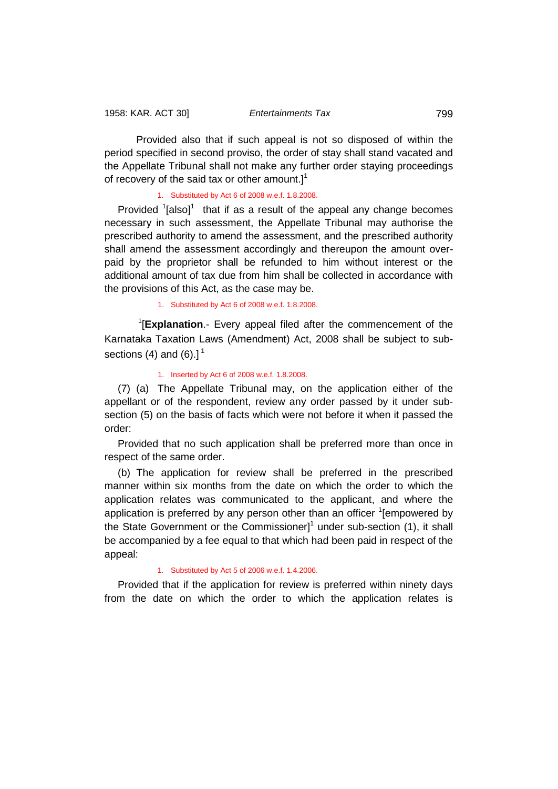Provided also that if such appeal is not so disposed of within the period specified in second proviso, the order of stay shall stand vacated and the Appellate Tribunal shall not make any further order staying proceedings of recovery of the said tax or other amount. $l^1$ 

### 1. Substituted by Act 6 of 2008 w.e.f. 1.8.2008.

Provided  $\textsuperscript{1}$  that if as a result of the appeal any change becomes necessary in such assessment, the Appellate Tribunal may authorise the prescribed authority to amend the assessment, and the prescribed authority shall amend the assessment accordingly and thereupon the amount overpaid by the proprietor shall be refunded to him without interest or the additional amount of tax due from him shall be collected in accordance with the provisions of this Act, as the case may be.

1. Substituted by Act 6 of 2008 w.e.f. 1.8.2008.

1 [**Explanation**.- Every appeal filed after the commencement of the Karnataka Taxation Laws (Amendment) Act, 2008 shall be subject to subsections (4) and (6). $]$ <sup>1</sup>

### 1. Inserted by Act 6 of 2008 w.e.f. 1.8.2008.

(7) (a) The Appellate Tribunal may, on the application either of the appellant or of the respondent, review any order passed by it under subsection (5) on the basis of facts which were not before it when it passed the order:

Provided that no such application shall be preferred more than once in respect of the same order.

(b) The application for review shall be preferred in the prescribed manner within six months from the date on which the order to which the application relates was communicated to the applicant, and where the application is preferred by any person other than an officer <sup>1</sup>[empowered by the State Government or the Commissioner]<sup>1</sup> under sub-section (1), it shall be accompanied by a fee equal to that which had been paid in respect of the appeal:

## 1. Substituted by Act 5 of 2006 w.e.f. 1.4.2006.

Provided that if the application for review is preferred within ninety days from the date on which the order to which the application relates is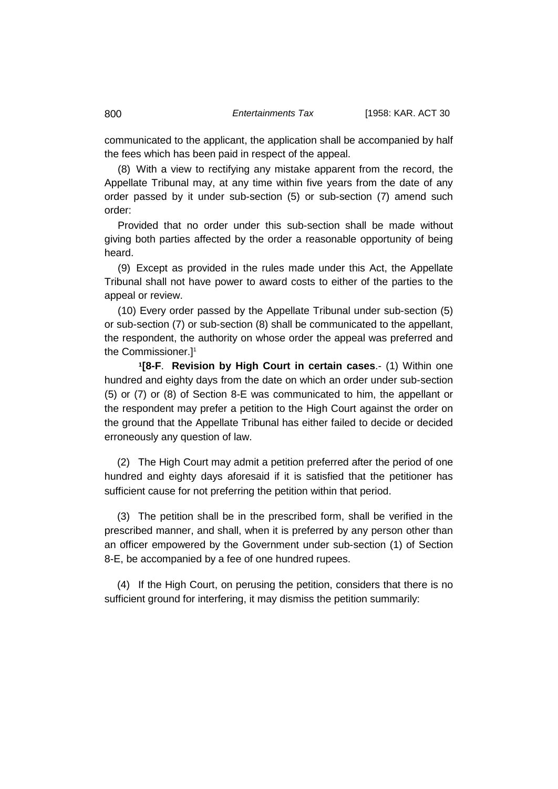communicated to the applicant, the application shall be accompanied by half the fees which has been paid in respect of the appeal.

(8) With a view to rectifying any mistake apparent from the record, the Appellate Tribunal may, at any time within five years from the date of any order passed by it under sub-section (5) or sub-section (7) amend such order:

Provided that no order under this sub-section shall be made without giving both parties affected by the order a reasonable opportunity of being heard.

(9) Except as provided in the rules made under this Act, the Appellate Tribunal shall not have power to award costs to either of the parties to the appeal or review.

(10) Every order passed by the Appellate Tribunal under sub-section (5) or sub-section (7) or sub-section (8) shall be communicated to the appellant, the respondent, the authority on whose order the appeal was preferred and the Commissioner.]1

**<sup>1</sup>[8-F**. **Revision by High Court in certain cases**.- (1) Within one hundred and eighty days from the date on which an order under sub-section (5) or (7) or (8) of Section 8-E was communicated to him, the appellant or the respondent may prefer a petition to the High Court against the order on the ground that the Appellate Tribunal has either failed to decide or decided erroneously any question of law.

(2) The High Court may admit a petition preferred after the period of one hundred and eighty days aforesaid if it is satisfied that the petitioner has sufficient cause for not preferring the petition within that period.

(3) The petition shall be in the prescribed form, shall be verified in the prescribed manner, and shall, when it is preferred by any person other than an officer empowered by the Government under sub-section (1) of Section 8-E, be accompanied by a fee of one hundred rupees.

(4) If the High Court, on perusing the petition, considers that there is no sufficient ground for interfering, it may dismiss the petition summarily: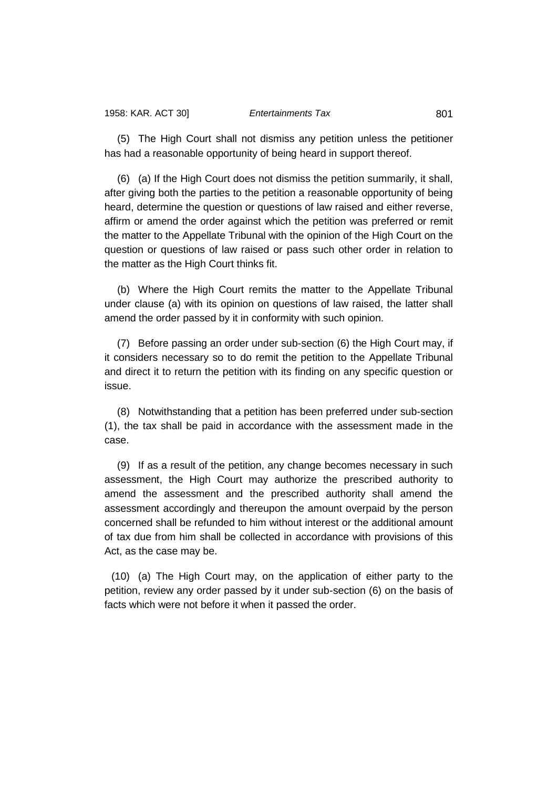(5) The High Court shall not dismiss any petition unless the petitioner has had a reasonable opportunity of being heard in support thereof.

(6) (a) If the High Court does not dismiss the petition summarily, it shall, after giving both the parties to the petition a reasonable opportunity of being heard, determine the question or questions of law raised and either reverse, affirm or amend the order against which the petition was preferred or remit the matter to the Appellate Tribunal with the opinion of the High Court on the question or questions of law raised or pass such other order in relation to the matter as the High Court thinks fit.

(b) Where the High Court remits the matter to the Appellate Tribunal under clause (a) with its opinion on questions of law raised, the latter shall amend the order passed by it in conformity with such opinion.

(7) Before passing an order under sub-section (6) the High Court may, if it considers necessary so to do remit the petition to the Appellate Tribunal and direct it to return the petition with its finding on any specific question or issue.

(8) Notwithstanding that a petition has been preferred under sub-section (1), the tax shall be paid in accordance with the assessment made in the case.

(9) If as a result of the petition, any change becomes necessary in such assessment, the High Court may authorize the prescribed authority to amend the assessment and the prescribed authority shall amend the assessment accordingly and thereupon the amount overpaid by the person concerned shall be refunded to him without interest or the additional amount of tax due from him shall be collected in accordance with provisions of this Act, as the case may be.

(10) (a) The High Court may, on the application of either party to the petition, review any order passed by it under sub-section (6) on the basis of facts which were not before it when it passed the order.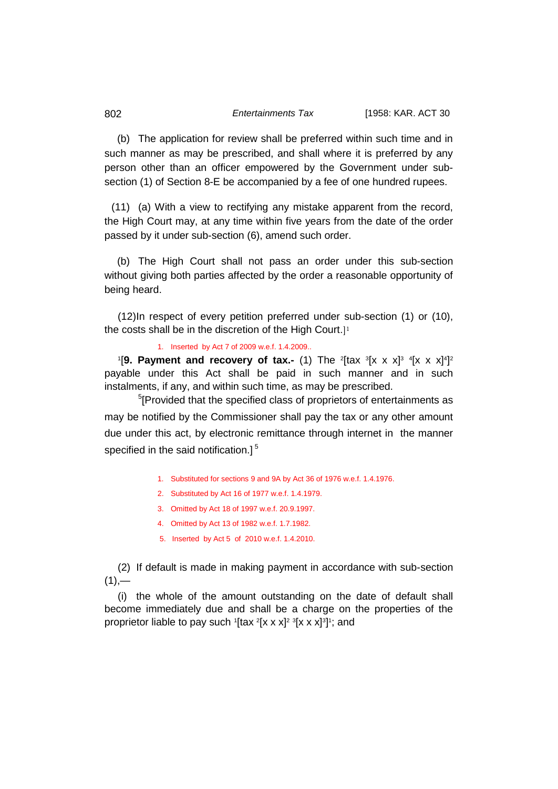(b) The application for review shall be preferred within such time and in such manner as may be prescribed, and shall where it is preferred by any person other than an officer empowered by the Government under subsection (1) of Section 8-E be accompanied by a fee of one hundred rupees.

(11) (a) With a view to rectifying any mistake apparent from the record, the High Court may, at any time within five years from the date of the order passed by it under sub-section (6), amend such order.

(b) The High Court shall not pass an order under this sub-section without giving both parties affected by the order a reasonable opportunity of being heard.

(12)In respect of every petition preferred under sub-section (1) or (10), the costs shall be in the discretion of the High Court.]<sup>1</sup>

1. Inserted by Act 7 of 2009 w.e.f. 1.4.2009..

<sup>1</sup>[9. Payment and recovery of tax.- (1) The <sup>2</sup>[tax <sup>3</sup>[x x x]<sup>3</sup> <sup>4</sup>[x x x]<sup>4</sup>]<sup>2</sup> payable under this Act shall be paid in such manner and in such instalments, if any, and within such time, as may be prescribed.

<sup>5</sup>[Provided that the specified class of proprietors of entertainments as may be notified by the Commissioner shall pay the tax or any other amount due under this act, by electronic remittance through internet in the manner specified in the said notification.]<sup>5</sup>

- 1. Substituted for sections 9 and 9A by Act 36 of 1976 w.e.f. 1.4.1976.
- 2. Substituted by Act 16 of 1977 w.e.f. 1.4.1979.
- 3. Omitted by Act 18 of 1997 w.e.f. 20.9.1997.
- 4. Omitted by Act 13 of 1982 w.e.f. 1.7.1982.
- 5. Inserted by Act 5 of 2010 w.e.f. 1.4.2010.

(2) If default is made in making payment in accordance with sub-section  $(1)$ ,—

(i) the whole of the amount outstanding on the date of default shall become immediately due and shall be a charge on the properties of the proprietor liable to pay such 1[tax 2[x x x]<sup>2 3</sup>[x x x]<sup>3</sup>]1; and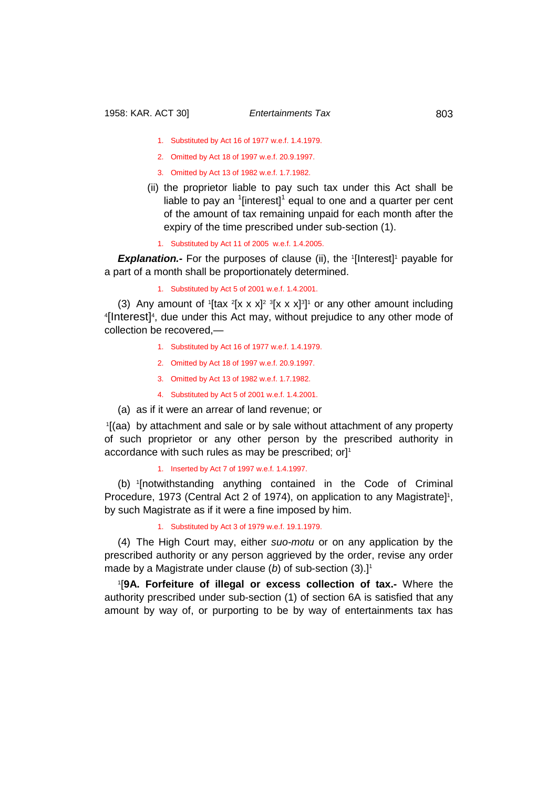- 1. Substituted by Act 16 of 1977 w.e.f. 1.4.1979.
- 2. Omitted by Act 18 of 1997 w.e.f. 20.9.1997.
- 3. Omitted by Act 13 of 1982 w.e.f. 1.7.1982.
- (ii) the proprietor liable to pay such tax under this Act shall be liable to pay an  $1$ [interest]<sup>1</sup> equal to one and a quarter per cent of the amount of tax remaining unpaid for each month after the expiry of the time prescribed under sub-section (1).
	- 1. Substituted by Act 11 of 2005 w.e.f. 1.4.2005.

**Explanation.-** For the purposes of clause (ii), the <sup>1</sup>[Interest]<sup>1</sup> payable for a part of a month shall be proportionately determined.

1. Substituted by Act 5 of 2001 w.e.f. 1.4.2001.

(3) Any amount of  $[$ tax  $^2$ [x x x]<sup>2</sup>  $^3$ [x x x]<sup>3</sup>]<sup>1</sup> or any other amount including (1)  $\frac{1}{2}$  or any other amount including  $\frac{1}{2}$ [Interest]<sup>4</sup>, due under this Act may, without prejudice to any other mode of collection be recovered,—

- 1. Substituted by Act 16 of 1977 w.e.f. 1.4.1979.
- 2. Omitted by Act 18 of 1997 w.e.f. 20.9.1997.
- 3. Omitted by Act 13 of 1982 w.e.f. 1.7.1982.
- 4. Substituted by Act 5 of 2001 w.e.f. 1.4.2001.
- (a) as if it were an arrear of land revenue; or

1 [(aa) by attachment and sale or by sale without attachment of any property of such proprietor or any other person by the prescribed authority in accordance with such rules as may be prescribed; orl<sup>1</sup>

1. Inserted by Act 7 of 1997 w.e.f. 1.4.1997.

(b) <sup>1</sup> [notwithstanding anything contained in the Code of Criminal Procedure, 1973 (Central Act 2 of 1974), on application to any Magistrate]<sup>1</sup>, by such Magistrate as if it were a fine imposed by him.

## 1. Substituted by Act 3 of 1979 w.e.f. 19.1.1979.

(4) The High Court may, either *suo-motu* or on any application by the prescribed authority or any person aggrieved by the order, revise any order made by a Magistrate under clause (b) of sub-section (3).]<sup>1</sup>

1 [**9A. Forfeiture of illegal or excess collection of tax.-** Where the authority prescribed under sub-section (1) of section 6A is satisfied that any amount by way of, or purporting to be by way of entertainments tax has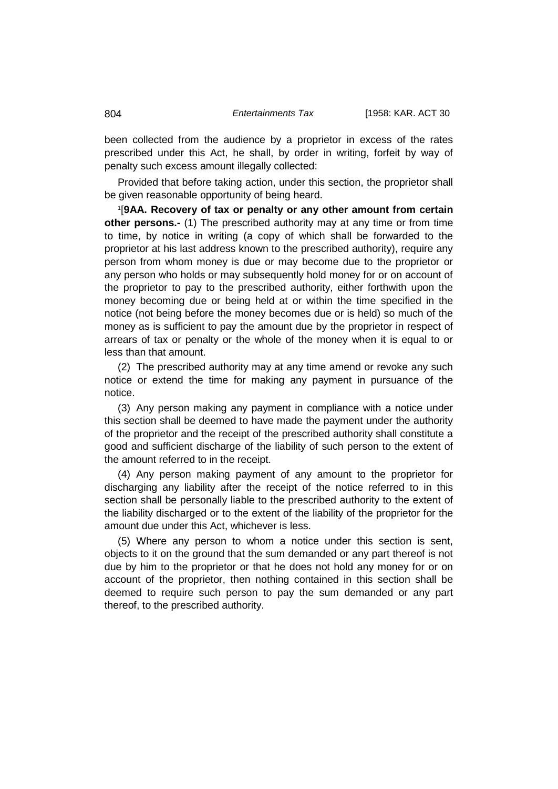been collected from the audience by a proprietor in excess of the rates prescribed under this Act, he shall, by order in writing, forfeit by way of penalty such excess amount illegally collected:

Provided that before taking action, under this section, the proprietor shall be given reasonable opportunity of being heard.

1 [**9AA. Recovery of tax or penalty or any other amount from certain other persons.-** (1) The prescribed authority may at any time or from time to time, by notice in writing (a copy of which shall be forwarded to the proprietor at his last address known to the prescribed authority), require any person from whom money is due or may become due to the proprietor or any person who holds or may subsequently hold money for or on account of the proprietor to pay to the prescribed authority, either forthwith upon the money becoming due or being held at or within the time specified in the notice (not being before the money becomes due or is held) so much of the money as is sufficient to pay the amount due by the proprietor in respect of arrears of tax or penalty or the whole of the money when it is equal to or less than that amount.

(2) The prescribed authority may at any time amend or revoke any such notice or extend the time for making any payment in pursuance of the notice.

(3) Any person making any payment in compliance with a notice under this section shall be deemed to have made the payment under the authority of the proprietor and the receipt of the prescribed authority shall constitute a good and sufficient discharge of the liability of such person to the extent of the amount referred to in the receipt.

(4) Any person making payment of any amount to the proprietor for discharging any liability after the receipt of the notice referred to in this section shall be personally liable to the prescribed authority to the extent of the liability discharged or to the extent of the liability of the proprietor for the amount due under this Act, whichever is less.

(5) Where any person to whom a notice under this section is sent, objects to it on the ground that the sum demanded or any part thereof is not due by him to the proprietor or that he does not hold any money for or on account of the proprietor, then nothing contained in this section shall be deemed to require such person to pay the sum demanded or any part thereof, to the prescribed authority.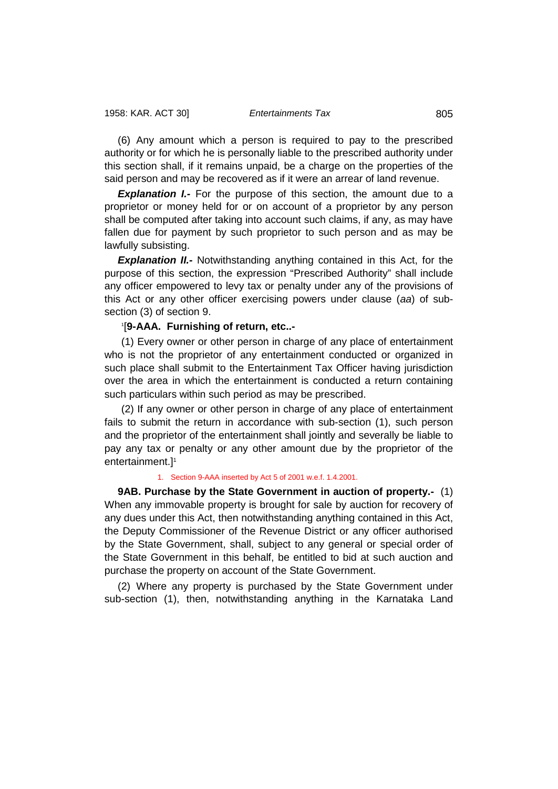(6) Any amount which a person is required to pay to the prescribed authority or for which he is personally liable to the prescribed authority under this section shall, if it remains unpaid, be a charge on the properties of the said person and may be recovered as if it were an arrear of land revenue.

**Explanation I.-** For the purpose of this section, the amount due to a proprietor or money held for or on account of a proprietor by any person shall be computed after taking into account such claims, if any, as may have fallen due for payment by such proprietor to such person and as may be lawfully subsisting.

**Explanation II.**- Notwithstanding anything contained in this Act, for the purpose of this section, the expression "Prescribed Authority" shall include any officer empowered to levy tax or penalty under any of the provisions of this Act or any other officer exercising powers under clause (*aa*) of subsection (3) of section 9.

## 1 [**9-AAA. Furnishing of return, etc..-**

(1) Every owner or other person in charge of any place of entertainment who is not the proprietor of any entertainment conducted or organized in such place shall submit to the Entertainment Tax Officer having jurisdiction over the area in which the entertainment is conducted a return containing such particulars within such period as may be prescribed.

(2) If any owner or other person in charge of any place of entertainment fails to submit the return in accordance with sub-section (1), such person and the proprietor of the entertainment shall jointly and severally be liable to pay any tax or penalty or any other amount due by the proprietor of the entertainment.<sup>11</sup>

### 1. Section 9-AAA inserted by Act 5 of 2001 w.e.f. 1.4.2001.

**9AB. Purchase by the State Government in auction of property.-** (1) When any immovable property is brought for sale by auction for recovery of any dues under this Act, then notwithstanding anything contained in this Act, the Deputy Commissioner of the Revenue District or any officer authorised by the State Government, shall, subject to any general or special order of the State Government in this behalf, be entitled to bid at such auction and purchase the property on account of the State Government.

(2) Where any property is purchased by the State Government under sub-section (1), then, notwithstanding anything in the Karnataka Land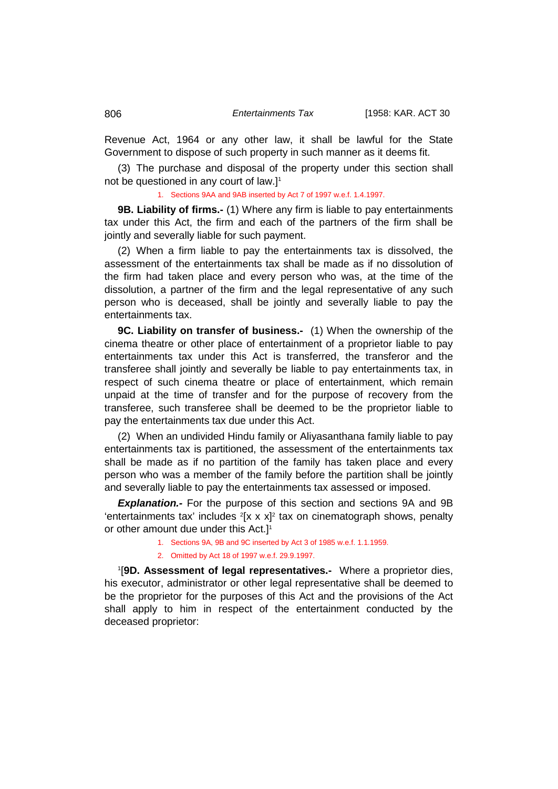Revenue Act, 1964 or any other law, it shall be lawful for the State Government to dispose of such property in such manner as it deems fit.

(3) The purchase and disposal of the property under this section shall not be questioned in any court of law.]1

1. Sections 9AA and 9AB inserted by Act 7 of 1997 w.e.f. 1.4.1997.

**9B. Liability of firms.-** (1) Where any firm is liable to pay entertainments tax under this Act, the firm and each of the partners of the firm shall be jointly and severally liable for such payment.

(2) When a firm liable to pay the entertainments tax is dissolved, the assessment of the entertainments tax shall be made as if no dissolution of the firm had taken place and every person who was, at the time of the dissolution, a partner of the firm and the legal representative of any such person who is deceased, shall be jointly and severally liable to pay the entertainments tax.

**9C. Liability on transfer of business.-** (1) When the ownership of the cinema theatre or other place of entertainment of a proprietor liable to pay entertainments tax under this Act is transferred, the transferor and the transferee shall jointly and severally be liable to pay entertainments tax, in respect of such cinema theatre or place of entertainment, which remain unpaid at the time of transfer and for the purpose of recovery from the transferee, such transferee shall be deemed to be the proprietor liable to pay the entertainments tax due under this Act.

(2) When an undivided Hindu family or Aliyasanthana family liable to pay entertainments tax is partitioned, the assessment of the entertainments tax shall be made as if no partition of the family has taken place and every person who was a member of the family before the partition shall be jointly and severally liable to pay the entertainments tax assessed or imposed.

*Explanation.-* For the purpose of this section and sections 9A and 9B 'entertainments tax' includes  $2[x \times x]^2$  tax on cinematograph shows, penalty or other amount due under this Act.<sup>11</sup>

- 1. Sections 9A, 9B and 9C inserted by Act 3 of 1985 w.e.f. 1.1.1959.
- 2. Omitted by Act 18 of 1997 w.e.f. 29.9.1997.

1 [**9D. Assessment of legal representatives.-** Where a proprietor dies, his executor, administrator or other legal representative shall be deemed to be the proprietor for the purposes of this Act and the provisions of the Act shall apply to him in respect of the entertainment conducted by the deceased proprietor: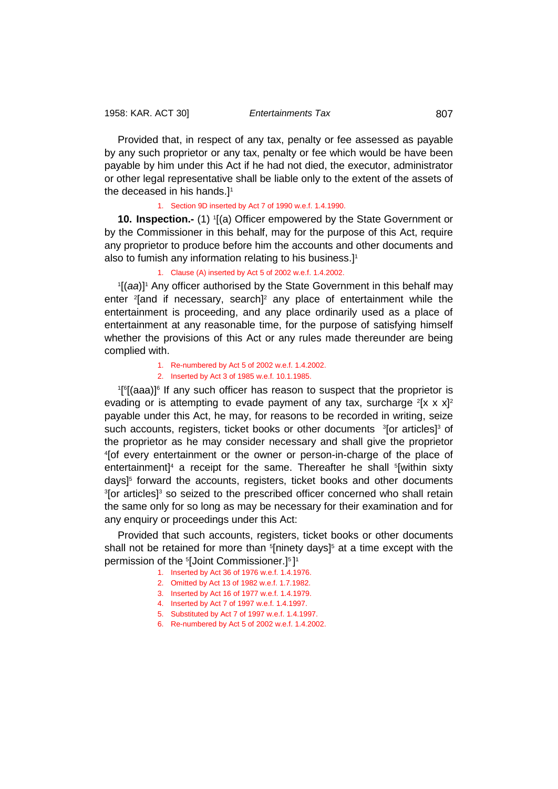Provided that, in respect of any tax, penalty or fee assessed as payable by any such proprietor or any tax, penalty or fee which would be have been payable by him under this Act if he had not died, the executor, administrator or other legal representative shall be liable only to the extent of the assets of the deceased in his hands.<sup>11</sup>

1. Section 9D inserted by Act 7 of 1990 w.e.f. 1.4.1990.

**10. Inspection.-** (1) 1 [(a) Officer empowered by the State Government or by the Commissioner in this behalf, may for the purpose of this Act, require any proprietor to produce before him the accounts and other documents and also to fumish any information relating to his business.]<sup>1</sup>

1. Clause (A) inserted by Act 5 of 2002 w.e.f. 1.4.2002.

<sup>1</sup>[(aa)]<sup>1</sup> Any officer authorised by the State Government in this behalf may enter 2 [and if necessary, search]2 any place of entertainment while the entertainment is proceeding, and any place ordinarily used as a place of entertainment at any reasonable time, for the purpose of satisfying himself whether the provisions of this Act or any rules made thereunder are being complied with.

1. Re-numbered by Act 5 of 2002 w.e.f. 1.4.2002.

2. Inserted by Act 3 of 1985 w.e.f. 10.1.1985.

<sup>1</sup>[<sup>6</sup>[(aaa)]<sup>6</sup> If any such officer has reason to suspect that the proprietor is evading or is attempting to evade payment of any tax, surcharge  $2[x \times x]^2$ payable under this Act, he may, for reasons to be recorded in writing, seize such accounts, registers, ticket books or other documents 3[or articles]3 of the proprietor as he may consider necessary and shall give the proprietor 4 <sup>4</sup>[of every entertainment or the owner or person-in-charge of the place of entertainment]<sup>4</sup> a receipt for the same. Thereafter he shall <sup>5</sup>[within sixty days<sup> $5$ </sup> forward the accounts, registers, ticket books and other documents <sup>3</sup>[or articles]<sup>3</sup> so seized to the prescribed officer concerned who shall retain the same only for so long as may be necessary for their examination and for any enquiry or proceedings under this Act:

Provided that such accounts, registers, ticket books or other documents shall not be retained for more than <sup>s</sup>[ninety days]<sup>5</sup> at a time except with the permission of the 5 [Joint Commissioner.]5 ] 1

- 1. Inserted by Act 36 of 1976 w.e.f. 1.4.1976.
- 2. Omitted by Act 13 of 1982 w.e.f. 1.7.1982.
- 3. Inserted by Act 16 of 1977 w.e.f. 1.4.1979.
- 4. Inserted by Act 7 of 1997 w.e.f. 1.4.1997.
- 5. Substituted by Act 7 of 1997 w.e.f. 1.4.1997.
- 6. Re-numbered by Act 5 of 2002 w.e.f. 1.4.2002.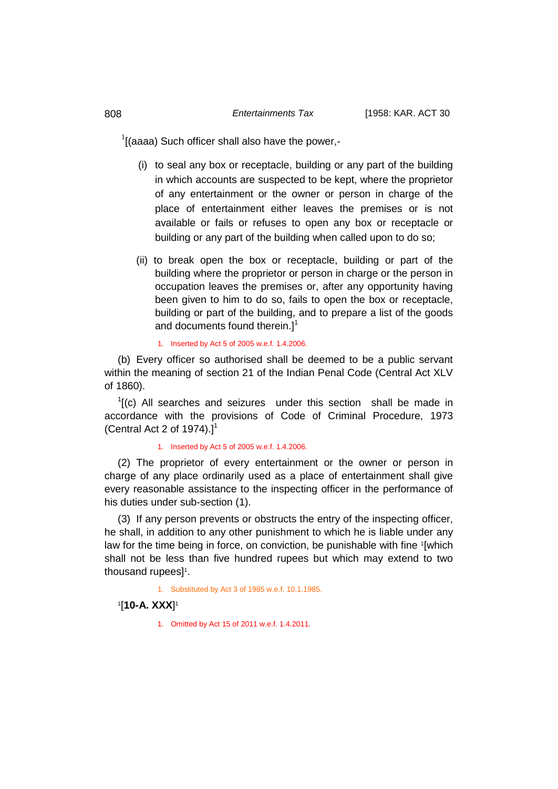$1$ [(aaaa) Such officer shall also have the power,-

- (i) to seal any box or receptacle, building or any part of the building in which accounts are suspected to be kept, where the proprietor of any entertainment or the owner or person in charge of the place of entertainment either leaves the premises or is not available or fails or refuses to open any box or receptacle or building or any part of the building when called upon to do so;
- (ii) to break open the box or receptacle, building or part of the building where the proprietor or person in charge or the person in occupation leaves the premises or, after any opportunity having been given to him to do so, fails to open the box or receptacle, building or part of the building, and to prepare a list of the goods and documents found therein.]<sup>1</sup>

1. Inserted by Act 5 of 2005 w.e.f. 1.4.2006.

(b) Every officer so authorised shall be deemed to be a public servant within the meaning of section 21 of the Indian Penal Code (Central Act XLV of 1860).

 $<sup>1</sup>$ [(c) All searches and seizures under this section shall be made in</sup> accordance with the provisions of Code of Criminal Procedure, 1973 (Central Act 2 of 1974). $]$ <sup>1</sup>

#### 1. Inserted by Act 5 of 2005 w.e.f. 1.4.2006.

(2) The proprietor of every entertainment or the owner or person in charge of any place ordinarily used as a place of entertainment shall give every reasonable assistance to the inspecting officer in the performance of his duties under sub-section (1).

(3) If any person prevents or obstructs the entry of the inspecting officer, he shall, in addition to any other punishment to which he is liable under any law for the time being in force, on conviction, be punishable with fine '[which shall not be less than five hundred rupees but which may extend to two thousand rupees]<sup>1</sup>.

1. Substituted by Act 3 of 1985 w.e.f. 10.1.1985.

## 1 [**10-A. XXX**] 1

1. Omitted by Act 15 of 2011 w.e.f. 1.4.2011.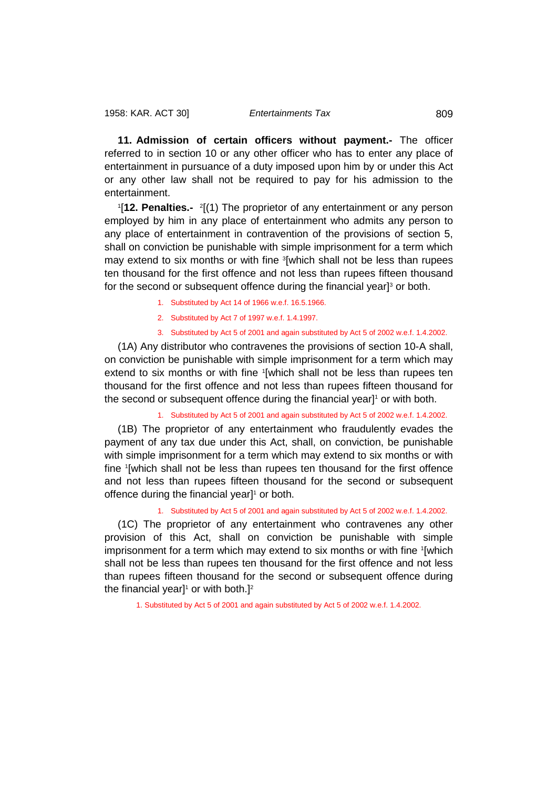**11. Admission of certain officers without payment.-** The officer referred to in section 10 or any other officer who has to enter any place of entertainment in pursuance of a duty imposed upon him by or under this Act or any other law shall not be required to pay for his admission to the entertainment.

<sup>1</sup>[12. Penalties.- <sup>2</sup>[(1) The proprietor of any entertainment or any person employed by him in any place of entertainment who admits any person to any place of entertainment in contravention of the provisions of section 5, shall on conviction be punishable with simple imprisonment for a term which may extend to six months or with fine <sup>3</sup>[which shall not be less than rupees ten thousand for the first offence and not less than rupees fifteen thousand for the second or subsequent offence during the financial year $l<sup>3</sup>$  or both.

- 1. Substituted by Act 14 of 1966 w.e.f. 16.5.1966.
- 2. Substituted by Act 7 of 1997 w.e.f. 1.4.1997.
- 3. Substituted by Act 5 of 2001 and again substituted by Act 5 of 2002 w.e.f. 1.4.2002.

(1A) Any distributor who contravenes the provisions of section 10-A shall, on conviction be punishable with simple imprisonment for a term which may extend to six months or with fine 1[which shall not be less than rupees ten thousand for the first offence and not less than rupees fifteen thousand for the second or subsequent offence during the financial year]1 or with both.

1. Substituted by Act 5 of 2001 and again substituted by Act 5 of 2002 w.e.f. 1.4.2002.

(1B) The proprietor of any entertainment who fraudulently evades the payment of any tax due under this Act, shall, on conviction, be punishable with simple imprisonment for a term which may extend to six months or with fine 1 [which shall not be less than rupees ten thousand for the first offence and not less than rupees fifteen thousand for the second or subsequent offence during the financial year]<sup>1</sup> or both.

1. Substituted by Act 5 of 2001 and again substituted by Act 5 of 2002 w.e.f. 1.4.2002.

(1C) The proprietor of any entertainment who contravenes any other provision of this Act, shall on conviction be punishable with simple imprisonment for a term which may extend to six months or with fine '[which shall not be less than rupees ten thousand for the first offence and not less than rupees fifteen thousand for the second or subsequent offence during the financial year]<sup>1</sup> or with both.]<sup>2</sup>

1. Substituted by Act 5 of 2001 and again substituted by Act 5 of 2002 w.e.f. 1.4.2002.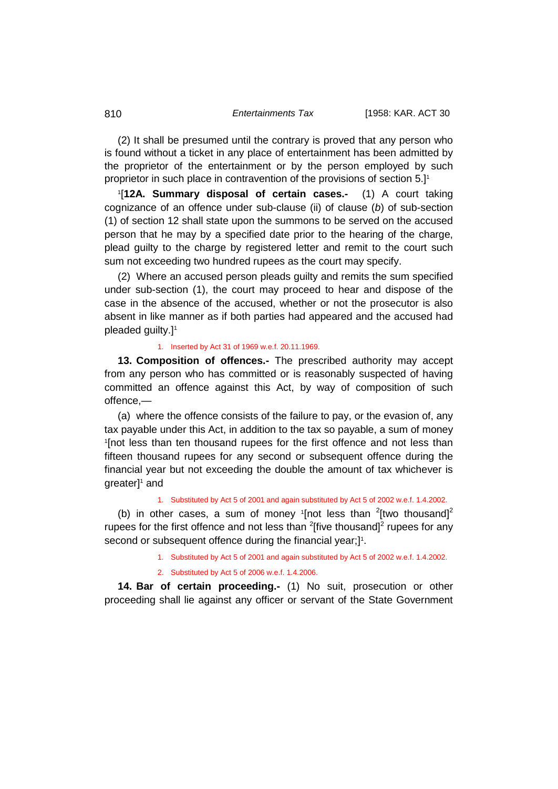(2) It shall be presumed until the contrary is proved that any person who is found without a ticket in any place of entertainment has been admitted by the proprietor of the entertainment or by the person employed by such proprietor in such place in contravention of the provisions of section 5.]<sup>1</sup>

1 [**12A. Summary disposal of certain cases.-** (1) A court taking cognizance of an offence under sub-clause (ii) of clause (*b*) of sub-section (1) of section 12 shall state upon the summons to be served on the accused person that he may by a specified date prior to the hearing of the charge, plead guilty to the charge by registered letter and remit to the court such sum not exceeding two hundred rupees as the court may specify.

(2) Where an accused person pleads guilty and remits the sum specified under sub-section (1), the court may proceed to hear and dispose of the case in the absence of the accused, whether or not the prosecutor is also absent in like manner as if both parties had appeared and the accused had pleaded guilty.]<sup>1</sup>

#### 1. Inserted by Act 31 of 1969 w.e.f. 20.11.1969.

**13. Composition of offences.-** The prescribed authority may accept from any person who has committed or is reasonably suspected of having committed an offence against this Act, by way of composition of such offence,—

(a) where the offence consists of the failure to pay, or the evasion of, any tax payable under this Act, in addition to the tax so payable, a sum of money 1 [not less than ten thousand rupees for the first offence and not less than fifteen thousand rupees for any second or subsequent offence during the financial year but not exceeding the double the amount of tax whichever is  $greatest]$ <sup>1</sup> and

## 1. Substituted by Act 5 of 2001 and again substituted by Act 5 of 2002 w.e.f. 1.4.2002.

(b) in other cases, a sum of money  $1$ [not less than  $2$ [two thousand] $2$ rupees for the first offence and not less than  $2$ [five thousand] $2$  rupees for any second or subsequent offence during the financial year;]<sup>1</sup>.

1. Substituted by Act 5 of 2001 and again substituted by Act 5 of 2002 w.e.f. 1.4.2002.

#### 2. Substituted by Act 5 of 2006 w.e.f. 1.4.2006.

**14. Bar of certain proceeding.-** (1) No suit, prosecution or other proceeding shall lie against any officer or servant of the State Government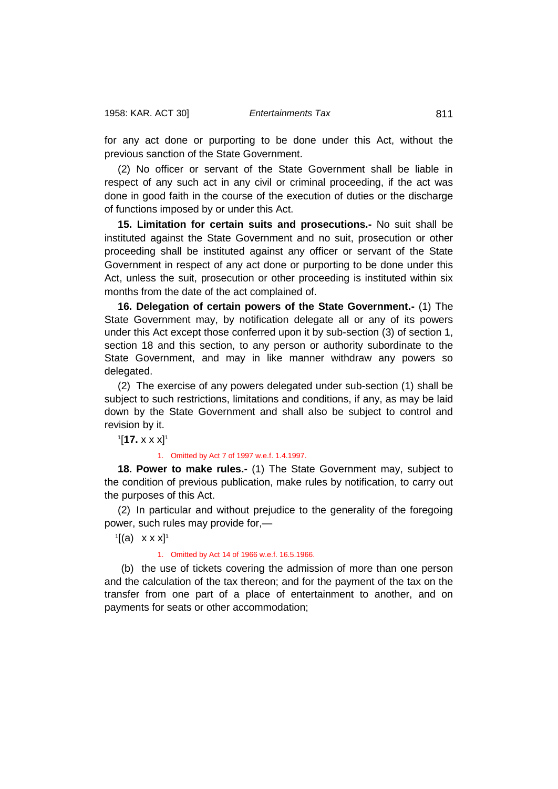for any act done or purporting to be done under this Act, without the previous sanction of the State Government.

(2) No officer or servant of the State Government shall be liable in respect of any such act in any civil or criminal proceeding, if the act was done in good faith in the course of the execution of duties or the discharge of functions imposed by or under this Act.

**15. Limitation for certain suits and prosecutions.-** No suit shall be instituted against the State Government and no suit, prosecution or other proceeding shall be instituted against any officer or servant of the State Government in respect of any act done or purporting to be done under this Act, unless the suit, prosecution or other proceeding is instituted within six months from the date of the act complained of.

**16. Delegation of certain powers of the State Government.-** (1) The State Government may, by notification delegate all or any of its powers under this Act except those conferred upon it by sub-section (3) of section 1, section 18 and this section, to any person or authority subordinate to the State Government, and may in like manner withdraw any powers so delegated.

(2) The exercise of any powers delegated under sub-section (1) shall be subject to such restrictions, limitations and conditions, if any, as may be laid down by the State Government and shall also be subject to control and revision by it.

1 [**17.** x x x]1

#### 1. Omitted by Act 7 of 1997 w.e.f. 1.4.1997.

**18. Power to make rules.-** (1) The State Government may, subject to the condition of previous publication, make rules by notification, to carry out the purposes of this Act.

(2) In particular and without prejudice to the generality of the foregoing power, such rules may provide for,—

 $\mathbb{I}[(a) \times x \times x]$ <sup>1</sup>

1. Omitted by Act 14 of 1966 w.e.f. 16.5.1966.

(b) the use of tickets covering the admission of more than one person and the calculation of the tax thereon; and for the payment of the tax on the transfer from one part of a place of entertainment to another, and on payments for seats or other accommodation;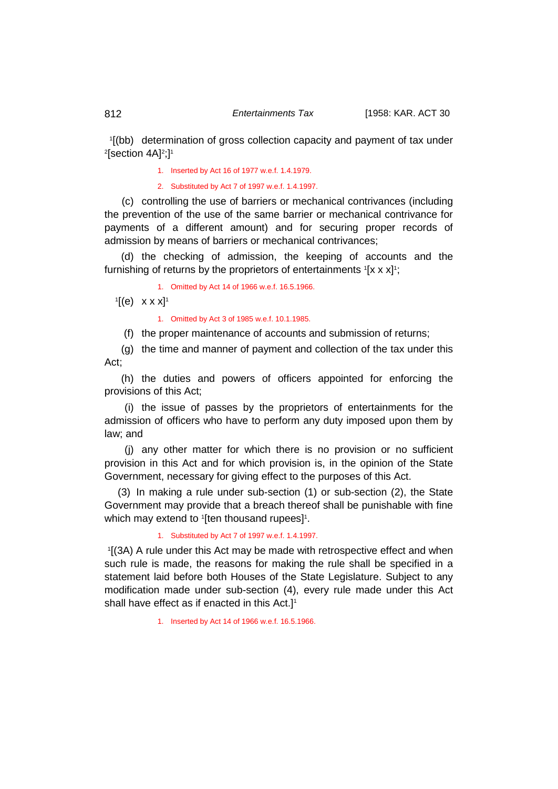1[(bb) determination of gross collection capacity and payment of tax under<br>थsection 4A1थ1 [section 4A]2 ;]1

1. Inserted by Act 16 of 1977 w.e.f. 1.4.1979.

2. Substituted by Act 7 of 1997 w.e.f. 1.4.1997.

(c) controlling the use of barriers or mechanical contrivances (including the prevention of the use of the same barrier or mechanical contrivance for payments of a different amount) and for securing proper records of admission by means of barriers or mechanical contrivances;

(d) the checking of admission, the keeping of accounts and the furnishing of returns by the proprietors of entertainments 1[x x x]1;

1. Omitted by Act 14 of 1966 w.e.f. 16.5.1966.

 $\left[ \begin{matrix} 1 \end{matrix} \right]$  x x x  $\left[ \begin{matrix} 1 \end{matrix} \right]$ 

1. Omitted by Act 3 of 1985 w.e.f. 10.1.1985.

(f) the proper maintenance of accounts and submission of returns;

(g) the time and manner of payment and collection of the tax under this Act;

(h) the duties and powers of officers appointed for enforcing the provisions of this Act;

(i) the issue of passes by the proprietors of entertainments for the admission of officers who have to perform any duty imposed upon them by law; and

(j) any other matter for which there is no provision or no sufficient provision in this Act and for which provision is, in the opinion of the State Government, necessary for giving effect to the purposes of this Act.

(3) In making a rule under sub-section (1) or sub-section (2), the State Government may provide that a breach thereof shall be punishable with fine which may extend to 1[ten thousand rupees]1.

#### 1. Substituted by Act 7 of 1997 w.e.f. 1.4.1997.

 1 [(3A) A rule under this Act may be made with retrospective effect and when such rule is made, the reasons for making the rule shall be specified in a statement laid before both Houses of the State Legislature. Subject to any modification made under sub-section (4), every rule made under this Act shall have effect as if enacted in this Act.]<sup>1</sup>

1. Inserted by Act 14 of 1966 w.e.f. 16.5.1966.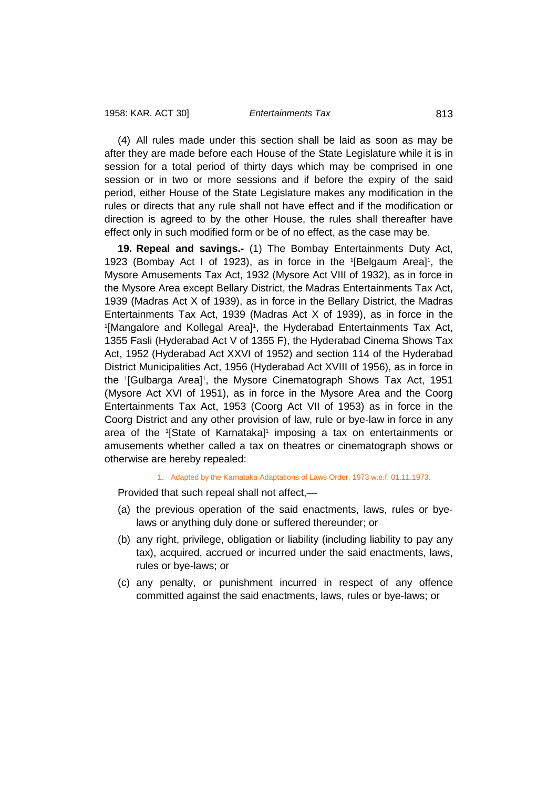(4) All rules made under this section shall be laid as soon as may be after they are made before each House of the State Legislature while it is in session for a total period of thirty days which may be comprised in one session or in two or more sessions and if before the expiry of the said period, either House of the State Legislature makes any modification in the rules or directs that any rule shall not have effect and if the modification or direction is agreed to by the other House, the rules shall thereafter have effect only in such modified form or be of no effect, as the case may be.

**19. Repeal and savings.-** (1) The Bombay Entertainments Duty Act, 1923 (Bombay Act I of 1923), as in force in the '[Belgaum Area]<sup>1</sup>, the Mysore Amusements Tax Act, 1932 (Mysore Act VIII of 1932), as in force in the Mysore Area except Bellary District, the Madras Entertainments Tax Act, 1939 (Madras Act X of 1939), as in force in the Bellary District, the Madras Entertainments Tax Act, 1939 (Madras Act X of 1939), as in force in the <sup>1</sup>[Mangalore and Kollegal Area]<sup>1</sup>, the Hyderabad Entertainments Tax Act, 1355 Fasli (Hyderabad Act V of 1355 F), the Hyderabad Cinema Shows Tax Act, 1952 (Hyderabad Act XXVI of 1952) and section 114 of the Hyderabad District Municipalities Act, 1956 (Hyderabad Act XVIII of 1956), as in force in the '[Gulbarga Area]', the Mysore Cinematograph Shows Tax Act, 1951 (Mysore Act XVI of 1951), as in force in the Mysore Area and the Coorg Entertainments Tax Act, 1953 (Coorg Act VII of 1953) as in force in the Coorg District and any other provision of law, rule or bye-law in force in any area of the <sup>1</sup>[State of Karnataka]<sup>1</sup> imposing a tax on entertainments or amusements whether called a tax on theatres or cinematograph shows or otherwise are hereby repealed:

## 1. Adapted by the Karnataka Adaptations of Laws Order, 1973 w.e.f. 01.11.1973.

Provided that such repeal shall not affect,—

- (a) the previous operation of the said enactments, laws, rules or byelaws or anything duly done or suffered thereunder; or
- (b) any right, privilege, obligation or liability (including liability to pay any tax), acquired, accrued or incurred under the said enactments, laws, rules or bye-laws; or
- (c) any penalty, or punishment incurred in respect of any offence committed against the said enactments, laws, rules or bye-laws; or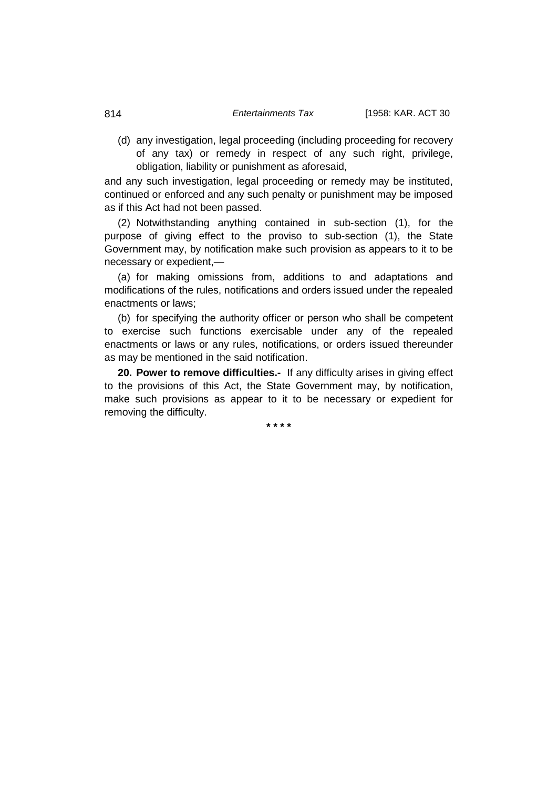(d) any investigation, legal proceeding (including proceeding for recovery of any tax) or remedy in respect of any such right, privilege, obligation, liability or punishment as aforesaid,

and any such investigation, legal proceeding or remedy may be instituted. continued or enforced and any such penalty or punishment may be imposed as if this Act had not been passed.

(2) Notwithstanding anything contained in sub-section (1), for the purpose of giving effect to the proviso to sub-section (1), the State Government may, by notification make such provision as appears to it to be necessary or expedient,—

(a) for making omissions from, additions to and adaptations and modifications of the rules, notifications and orders issued under the repealed enactments or laws;

(b) for specifying the authority officer or person who shall be competent to exercise such functions exercisable under any of the repealed enactments or laws or any rules, notifications, or orders issued thereunder as may be mentioned in the said notification.

**20. Power to remove difficulties.-** If any difficulty arises in giving effect to the provisions of this Act, the State Government may, by notification, make such provisions as appear to it to be necessary or expedient for removing the difficulty.

**\* \* \* \***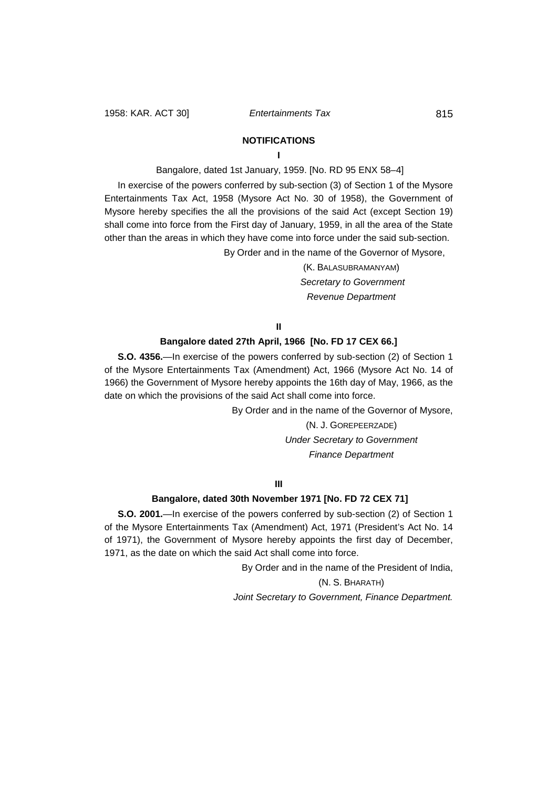# **NOTIFICATIONS**

## **I**

Bangalore, dated 1st January, 1959. [No. RD 95 ENX 58–4]

In exercise of the powers conferred by sub-section (3) of Section 1 of the Mysore Entertainments Tax Act, 1958 (Mysore Act No. 30 of 1958), the Government of Mysore hereby specifies the all the provisions of the said Act (except Section 19) shall come into force from the First day of January, 1959, in all the area of the State other than the areas in which they have come into force under the said sub-section.

By Order and in the name of the Governor of Mysore,

(K. BALASUBRAMANYAM) *Secretary to Government Revenue Department*

**II**

### **Bangalore dated 27th April, 1966 [No. FD 17 CEX 66.]**

**S.O. 4356.**—In exercise of the powers conferred by sub-section (2) of Section 1 of the Mysore Entertainments Tax (Amendment) Act, 1966 (Mysore Act No. 14 of 1966) the Government of Mysore hereby appoints the 16th day of May, 1966, as the date on which the provisions of the said Act shall come into force.

By Order and in the name of the Governor of Mysore,

(N. J. GOREPEERZADE) *Under Secretary to Government Finance Department*

**III**

### **Bangalore, dated 30th November 1971 [No. FD 72 CEX 71]**

**S.O. 2001.**—In exercise of the powers conferred by sub-section (2) of Section 1 of the Mysore Entertainments Tax (Amendment) Act, 1971 (President's Act No. 14 of 1971), the Government of Mysore hereby appoints the first day of December, 1971, as the date on which the said Act shall come into force.

By Order and in the name of the President of India,

(N. S. BHARATH) *Joint Secretary to Government, Finance Department.*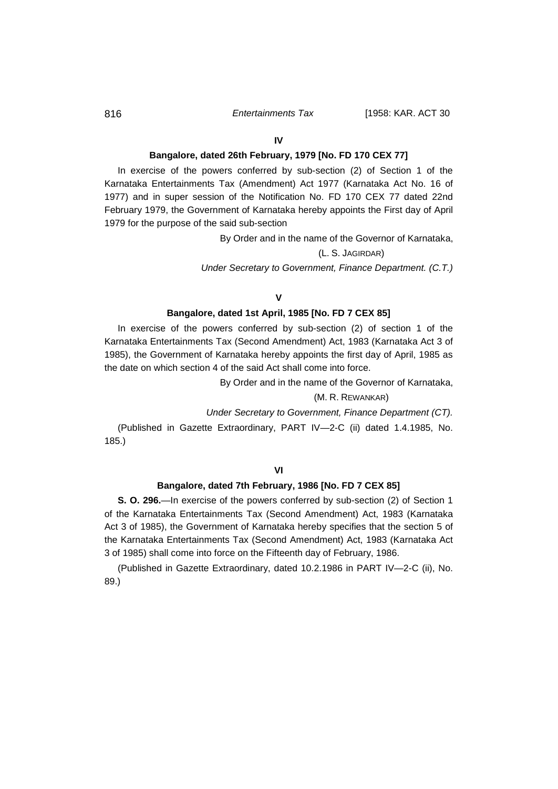#### **IV**

### **Bangalore, dated 26th February, 1979 [No. FD 170 CEX 77]**

In exercise of the powers conferred by sub-section (2) of Section 1 of the Karnataka Entertainments Tax (Amendment) Act 1977 (Karnataka Act No. 16 of 1977) and in super session of the Notification No. FD 170 CEX 77 dated 22nd February 1979, the Government of Karnataka hereby appoints the First day of April 1979 for the purpose of the said sub-section

By Order and in the name of the Governor of Karnataka,

## (L. S. JAGIRDAR)

*Under Secretary to Government, Finance Department. (C.T.)*

## **V**

## **Bangalore, dated 1st April, 1985 [No. FD 7 CEX 85]**

In exercise of the powers conferred by sub-section (2) of section 1 of the Karnataka Entertainments Tax (Second Amendment) Act, 1983 (Karnataka Act 3 of 1985), the Government of Karnataka hereby appoints the first day of April, 1985 as the date on which section 4 of the said Act shall come into force.

By Order and in the name of the Governor of Karnataka,

#### (M. R. REWANKAR)

*Under Secretary to Government, Finance Department (CT).*

(Published in Gazette Extraordinary, PART IV—2-C (ii) dated 1.4.1985, No. 185.)

#### **Bangalore, dated 7th February, 1986 [No. FD 7 CEX 85]**

**S. O. 296.**—In exercise of the powers conferred by sub-section (2) of Section 1 of the Karnataka Entertainments Tax (Second Amendment) Act, 1983 (Karnataka Act 3 of 1985), the Government of Karnataka hereby specifies that the section 5 of the Karnataka Entertainments Tax (Second Amendment) Act, 1983 (Karnataka Act 3 of 1985) shall come into force on the Fifteenth day of February, 1986.

(Published in Gazette Extraordinary, dated 10.2.1986 in PART IV—2-C (ii), No. 89.)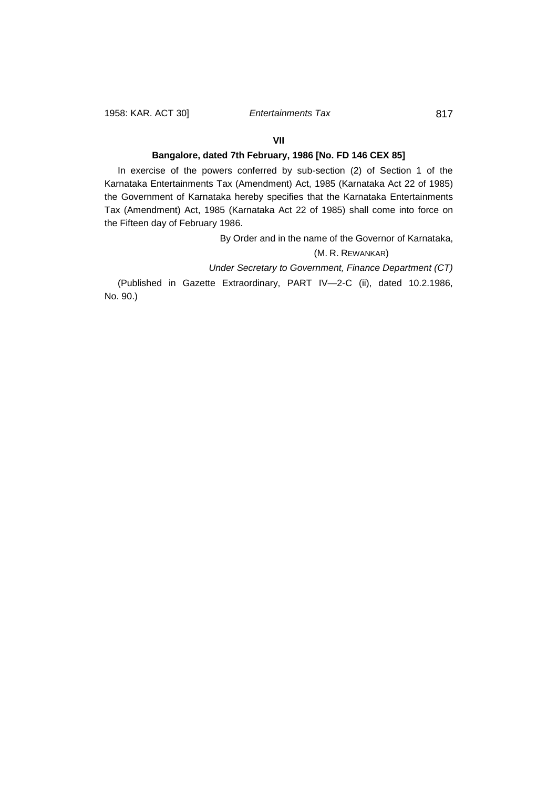## **VII**

## **Bangalore, dated 7th February, 1986 [No. FD 146 CEX 85]**

In exercise of the powers conferred by sub-section (2) of Section 1 of the Karnataka Entertainments Tax (Amendment) Act, 1985 (Karnataka Act 22 of 1985) the Government of Karnataka hereby specifies that the Karnataka Entertainments Tax (Amendment) Act, 1985 (Karnataka Act 22 of 1985) shall come into force on the Fifteen day of February 1986.

By Order and in the name of the Governor of Karnataka,

# (M. R. REWANKAR)

*Under Secretary to Government, Finance Department (CT)*

(Published in Gazette Extraordinary, PART IV—2-C (ii), dated 10.2.1986, No. 90.)